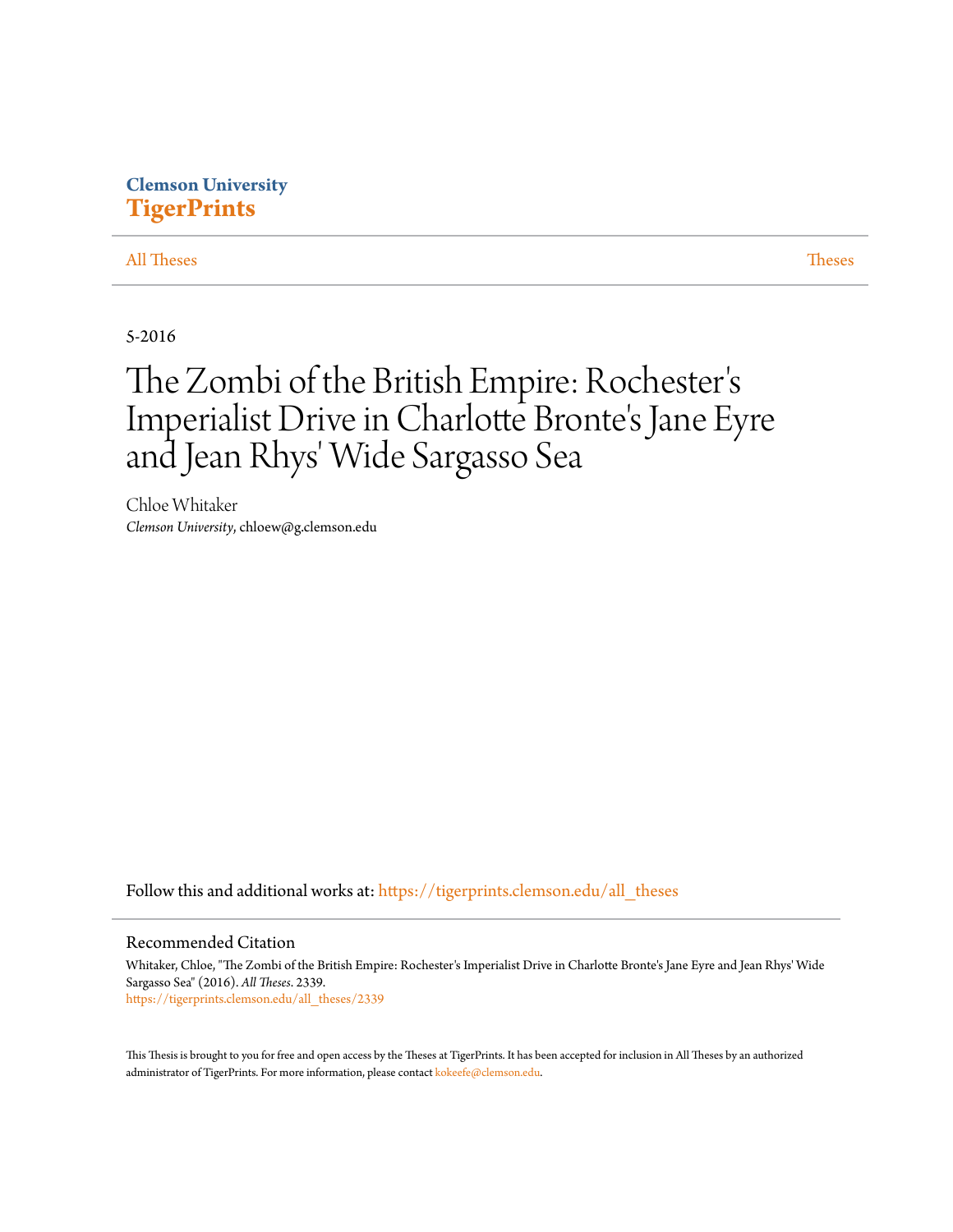## **Clemson University [TigerPrints](https://tigerprints.clemson.edu?utm_source=tigerprints.clemson.edu%2Fall_theses%2F2339&utm_medium=PDF&utm_campaign=PDFCoverPages)**

### [All Theses](https://tigerprints.clemson.edu/all_theses?utm_source=tigerprints.clemson.edu%2Fall_theses%2F2339&utm_medium=PDF&utm_campaign=PDFCoverPages) **[Theses](https://tigerprints.clemson.edu/theses?utm_source=tigerprints.clemson.edu%2Fall_theses%2F2339&utm_medium=PDF&utm_campaign=PDFCoverPages)**

5-2016

# The Zombi of the British Empire: Rochester ' s Imperialist Drive in Charlotte Bronte 's Jane Eyre and Jean Rhys' Wide Sargasso Sea

Chloe Whitaker *Clemson University*, chloew@g.clemson.edu

Follow this and additional works at: [https://tigerprints.clemson.edu/all\\_theses](https://tigerprints.clemson.edu/all_theses?utm_source=tigerprints.clemson.edu%2Fall_theses%2F2339&utm_medium=PDF&utm_campaign=PDFCoverPages)

#### Recommended Citation

Whitaker, Chloe, "The Zombi of the British Empire: Rochester's Imperialist Drive in Charlotte Bronte's Jane Eyre and Jean Rhys' Wide Sargasso Sea" (2016). *All Theses*. 2339. [https://tigerprints.clemson.edu/all\\_theses/2339](https://tigerprints.clemson.edu/all_theses/2339?utm_source=tigerprints.clemson.edu%2Fall_theses%2F2339&utm_medium=PDF&utm_campaign=PDFCoverPages)

This Thesis is brought to you for free and open access by the Theses at TigerPrints. It has been accepted for inclusion in All Theses by an authorized administrator of TigerPrints. For more information, please contact [kokeefe@clemson.edu](mailto:kokeefe@clemson.edu).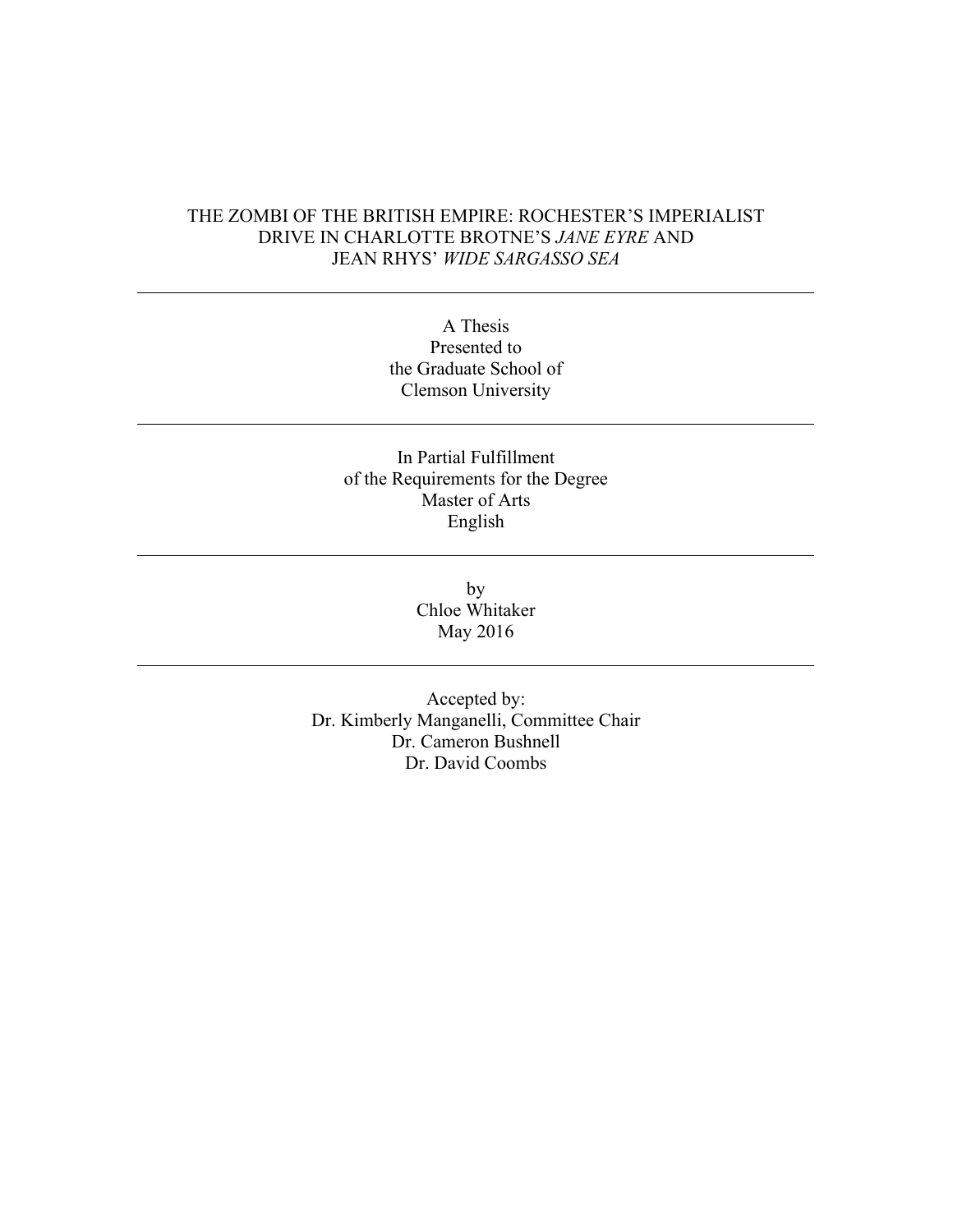### THE ZOMBI OF THE BRITISH EMPIRE: ROCHESTER'S IMPERIALIST DRIVE IN CHARLOTTE BROTNE'S *JANE EYRE* AND JEAN RHYS' *WIDE SARGASSO SEA*

A Thesis Presented to the Graduate School of Clemson University

### In Partial Fulfillment of the Requirements for the Degree Master of Arts English

by Chloe Whitaker May 2016

Accepted by: Dr. Kimberly Manganelli, Committee Chair Dr. Cameron Bushnell Dr. David Coombs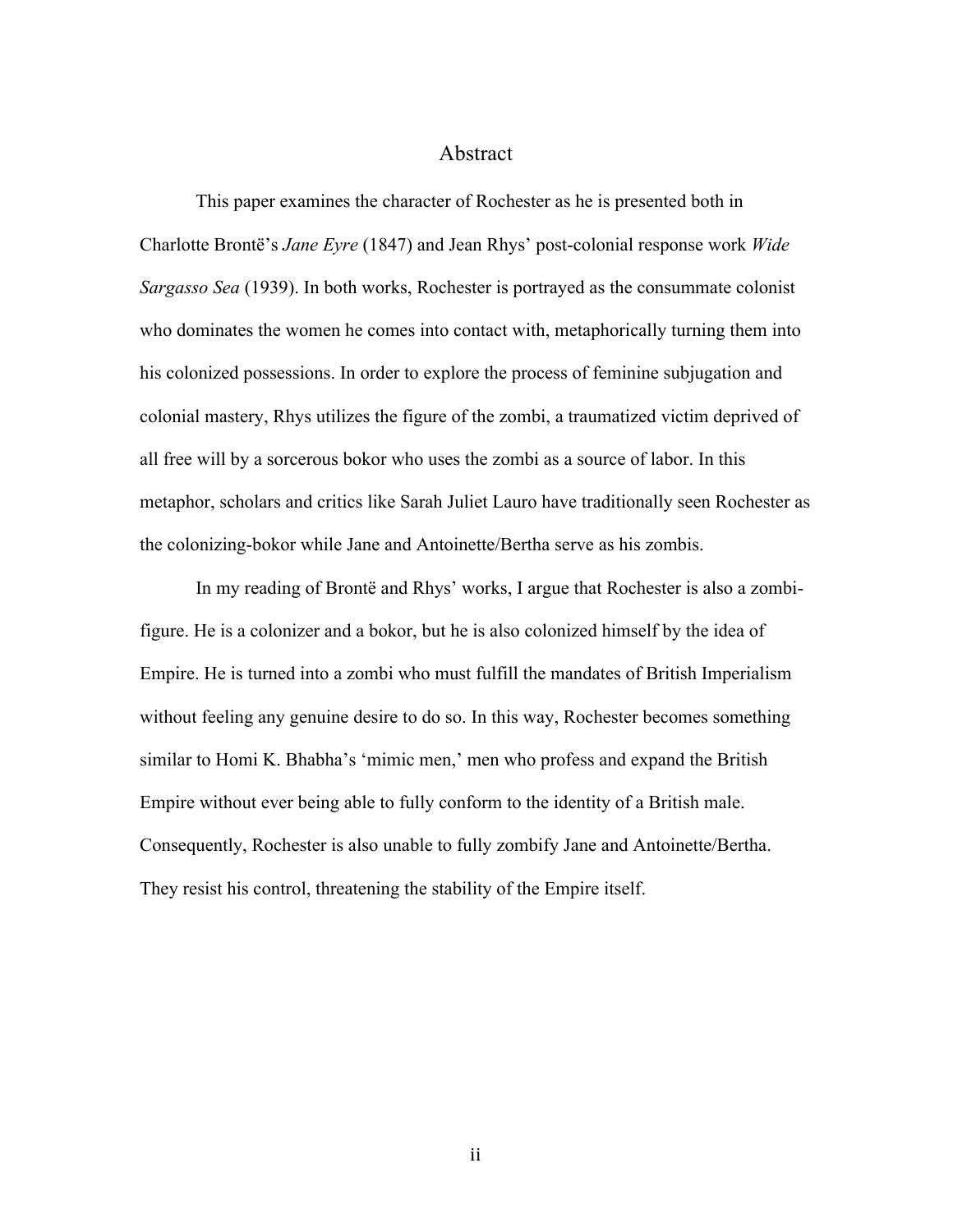### Abstract

This paper examines the character of Rochester as he is presented both in Charlotte Brontë's *Jane Eyre* (1847) and Jean Rhys' post-colonial response work *Wide Sargasso Sea* (1939). In both works, Rochester is portrayed as the consummate colonist who dominates the women he comes into contact with, metaphorically turning them into his colonized possessions. In order to explore the process of feminine subjugation and colonial mastery, Rhys utilizes the figure of the zombi, a traumatized victim deprived of all free will by a sorcerous bokor who uses the zombi as a source of labor. In this metaphor, scholars and critics like Sarah Juliet Lauro have traditionally seen Rochester as the colonizing-bokor while Jane and Antoinette/Bertha serve as his zombis.

In my reading of Brontë and Rhys' works, I argue that Rochester is also a zombifigure. He is a colonizer and a bokor, but he is also colonized himself by the idea of Empire. He is turned into a zombi who must fulfill the mandates of British Imperialism without feeling any genuine desire to do so. In this way, Rochester becomes something similar to Homi K. Bhabha's 'mimic men,' men who profess and expand the British Empire without ever being able to fully conform to the identity of a British male. Consequently, Rochester is also unable to fully zombify Jane and Antoinette/Bertha. They resist his control, threatening the stability of the Empire itself.

ii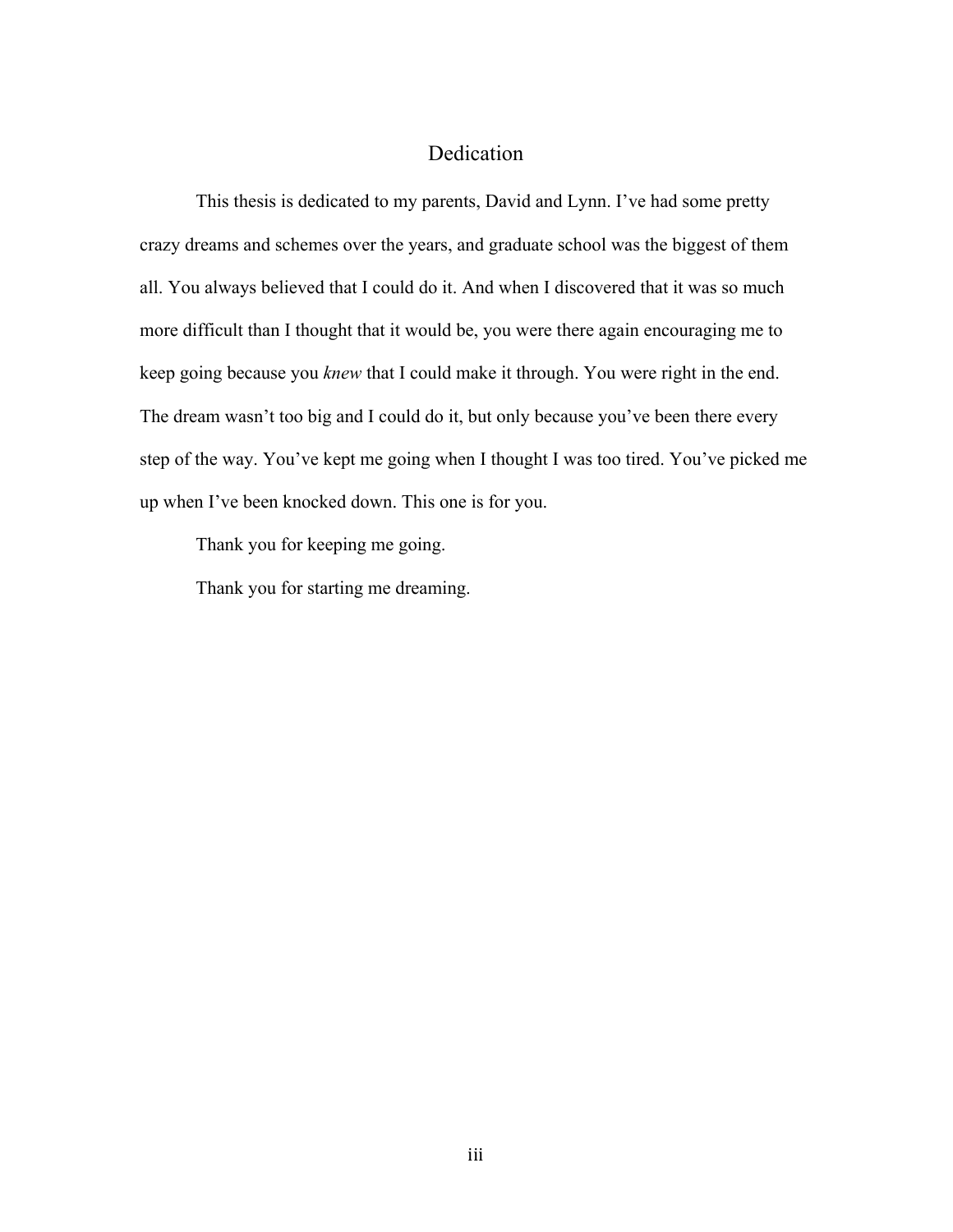### Dedication

This thesis is dedicated to my parents, David and Lynn. I've had some pretty crazy dreams and schemes over the years, and graduate school was the biggest of them all. You always believed that I could do it. And when I discovered that it was so much more difficult than I thought that it would be, you were there again encouraging me to keep going because you *knew* that I could make it through. You were right in the end. The dream wasn't too big and I could do it, but only because you've been there every step of the way. You've kept me going when I thought I was too tired. You've picked me up when I've been knocked down. This one is for you.

Thank you for keeping me going.

Thank you for starting me dreaming.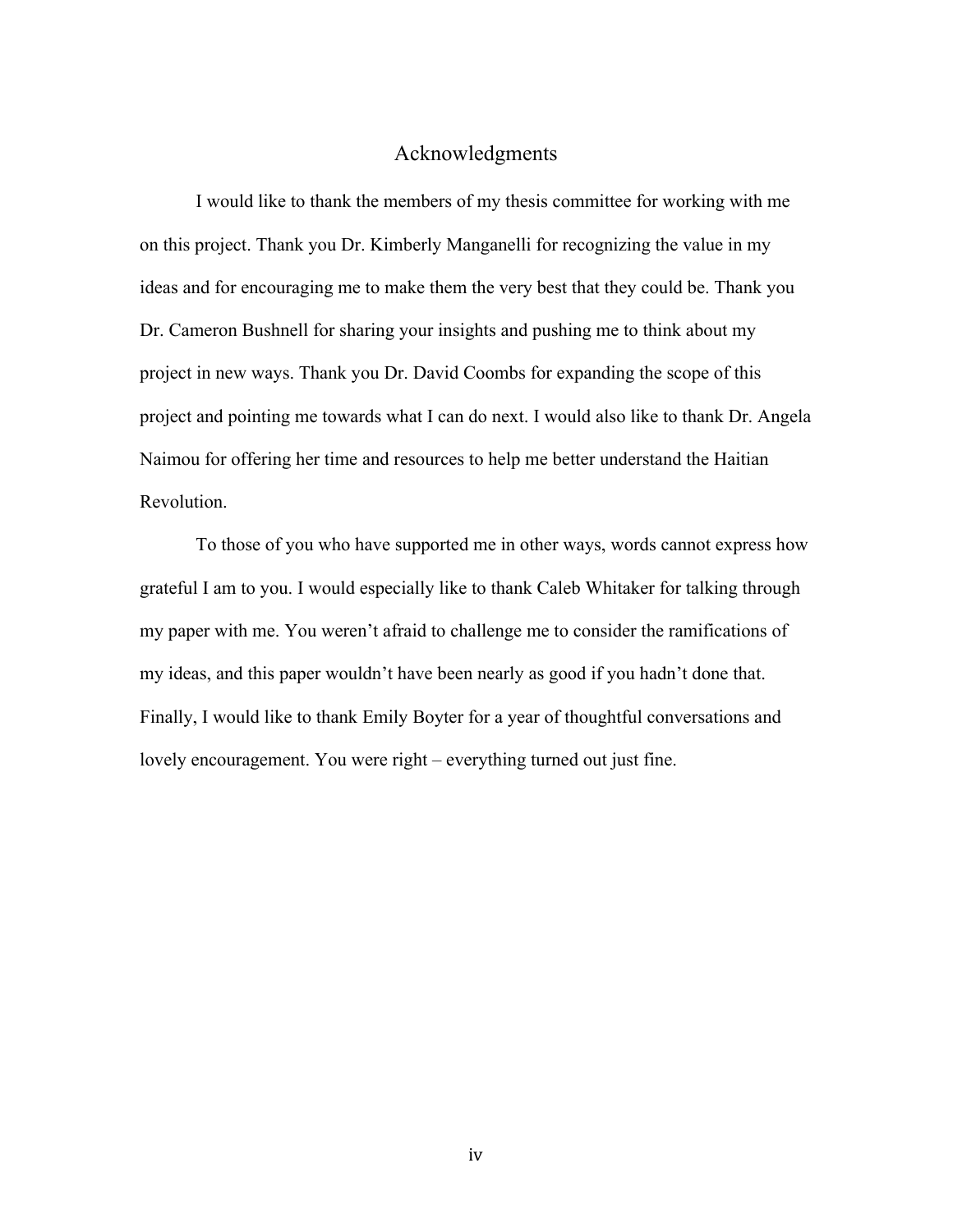### Acknowledgments

I would like to thank the members of my thesis committee for working with me on this project. Thank you Dr. Kimberly Manganelli for recognizing the value in my ideas and for encouraging me to make them the very best that they could be. Thank you Dr. Cameron Bushnell for sharing your insights and pushing me to think about my project in new ways. Thank you Dr. David Coombs for expanding the scope of this project and pointing me towards what I can do next. I would also like to thank Dr. Angela Naimou for offering her time and resources to help me better understand the Haitian Revolution.

To those of you who have supported me in other ways, words cannot express how grateful I am to you. I would especially like to thank Caleb Whitaker for talking through my paper with me. You weren't afraid to challenge me to consider the ramifications of my ideas, and this paper wouldn't have been nearly as good if you hadn't done that. Finally, I would like to thank Emily Boyter for a year of thoughtful conversations and lovely encouragement. You were right – everything turned out just fine.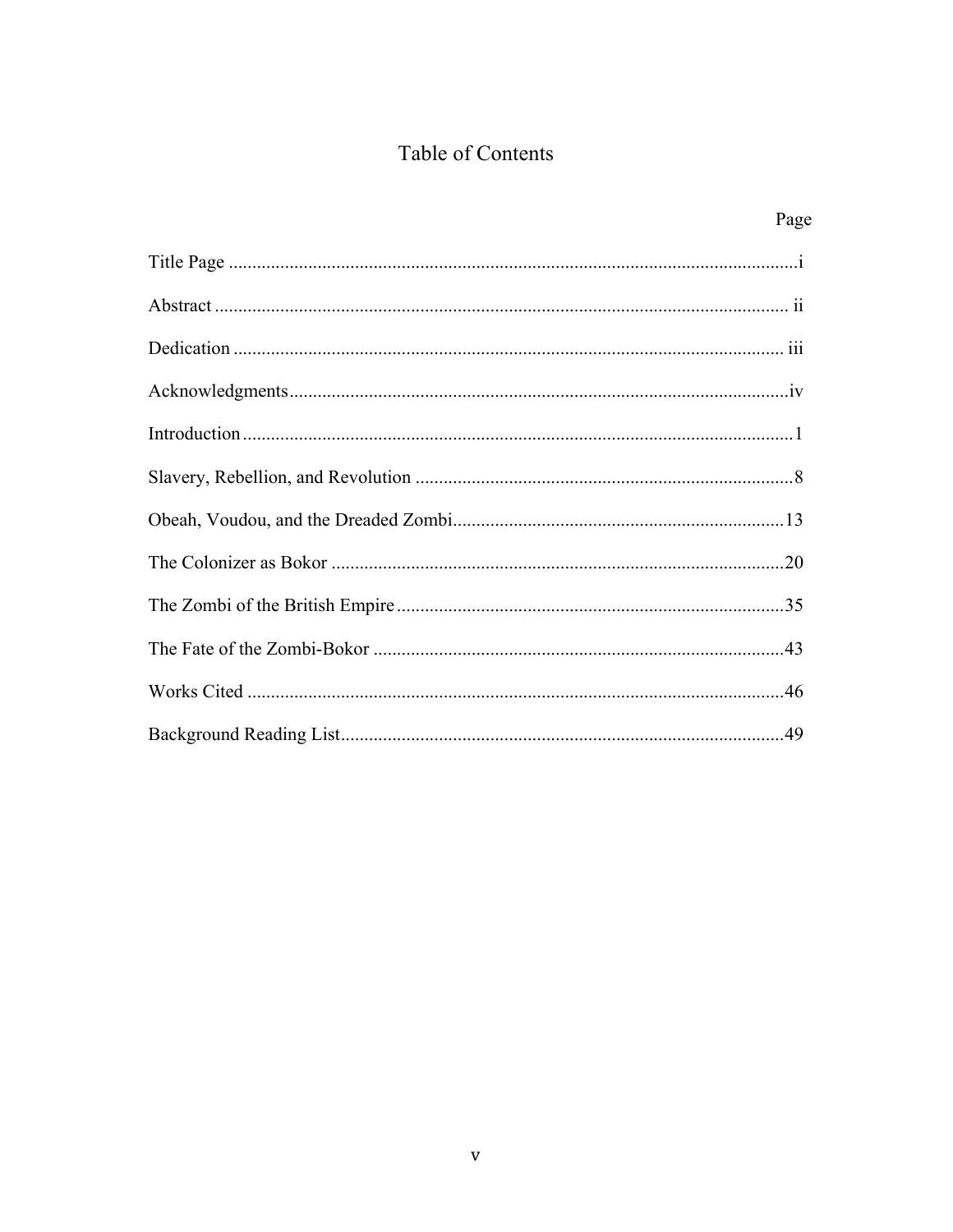## Table of Contents

| Page |
|------|
|      |
|      |
|      |
|      |
|      |
|      |
|      |
|      |
|      |
|      |
|      |
|      |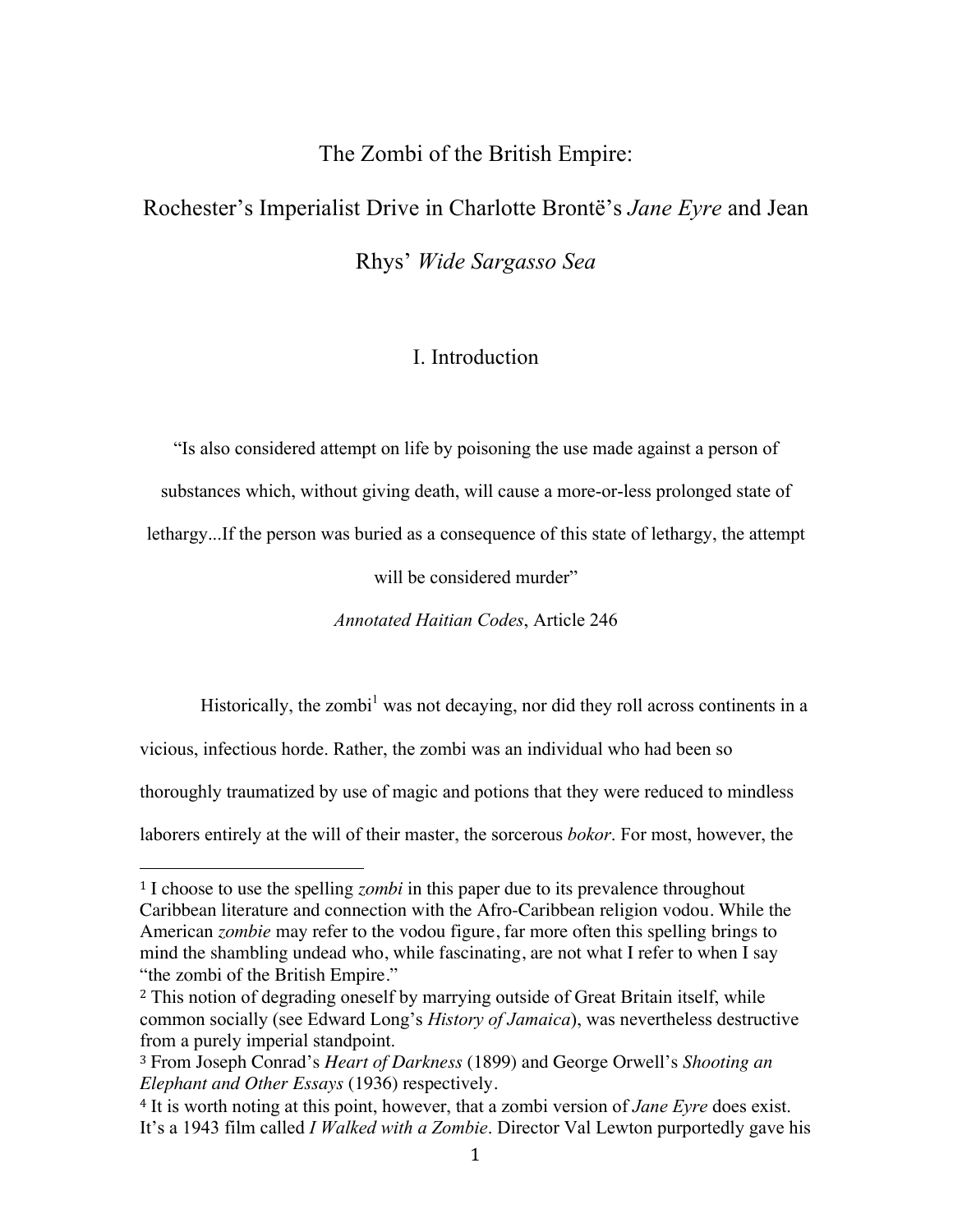The Zombi of the British Empire:

# Rochester's Imperialist Drive in Charlotte Brontë's *Jane Eyre* and Jean Rhys' *Wide Sargasso Sea*

## I. Introduction

"Is also considered attempt on life by poisoning the use made against a person of

substances which, without giving death, will cause a more-or-less prolonged state of

lethargy...If the person was buried as a consequence of this state of lethargy, the attempt

will be considered murder"

*Annotated Haitian Codes*, Article 246

Historically, the zombi<sup>1</sup> was not decaying, nor did they roll across continents in a

vicious, infectious horde. Rather, the zombi was an individual who had been so

 

thoroughly traumatized by use of magic and potions that they were reduced to mindless

laborers entirely at the will of their master, the sorcerous *bokor*. For most, however, the

<sup>1</sup> I choose to use the spelling *zombi* in this paper due to its prevalence throughout Caribbean literature and connection with the Afro-Caribbean religion vodou. While the American *zombie* may refer to the vodou figure, far more often this spelling brings to mind the shambling undead who, while fascinating, are not what I refer to when I say "the zombi of the British Empire."

<sup>2</sup> This notion of degrading oneself by marrying outside of Great Britain itself, while common socially (see Edward Long's *History of Jamaica*), was nevertheless destructive from a purely imperial standpoint.

<sup>3</sup> From Joseph Conrad's *Heart of Darkness* (1899) and George Orwell's *Shooting an Elephant and Other Essays* (1936) respectively.

<sup>4</sup> It is worth noting at this point, however, that a zombi version of *Jane Eyre* does exist. It's a 1943 film called *I Walked with a Zombie*. Director Val Lewton purportedly gave his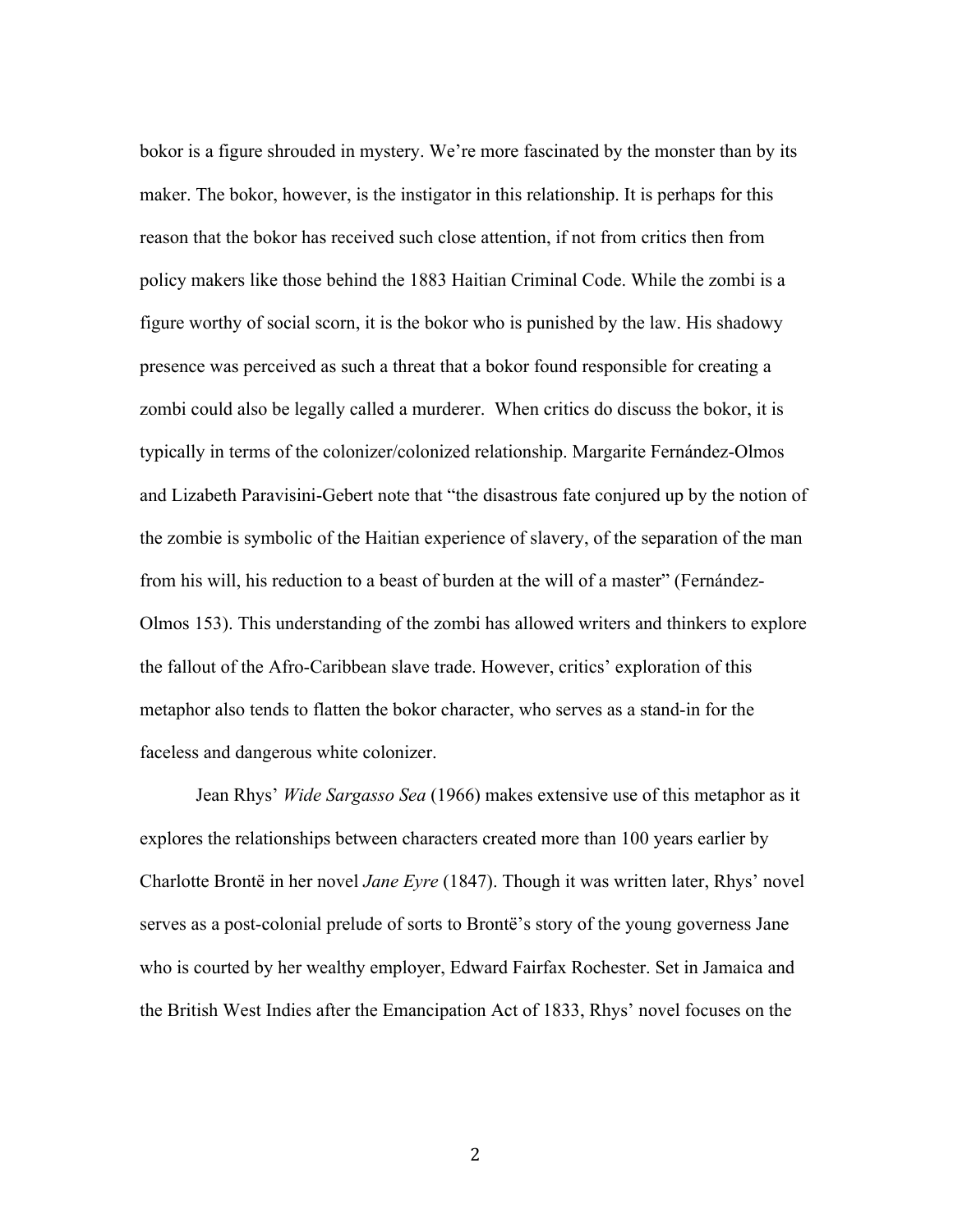bokor is a figure shrouded in mystery. We're more fascinated by the monster than by its maker. The bokor, however, is the instigator in this relationship. It is perhaps for this reason that the bokor has received such close attention, if not from critics then from policy makers like those behind the 1883 Haitian Criminal Code. While the zombi is a figure worthy of social scorn, it is the bokor who is punished by the law. His shadowy presence was perceived as such a threat that a bokor found responsible for creating a zombi could also be legally called a murderer. When critics do discuss the bokor, it is typically in terms of the colonizer/colonized relationship. Margarite Fernández-Olmos and Lizabeth Paravisini-Gebert note that "the disastrous fate conjured up by the notion of the zombie is symbolic of the Haitian experience of slavery, of the separation of the man from his will, his reduction to a beast of burden at the will of a master" (Fernández-Olmos 153). This understanding of the zombi has allowed writers and thinkers to explore the fallout of the Afro-Caribbean slave trade. However, critics' exploration of this metaphor also tends to flatten the bokor character, who serves as a stand-in for the faceless and dangerous white colonizer.

Jean Rhys' *Wide Sargasso Sea* (1966) makes extensive use of this metaphor as it explores the relationships between characters created more than 100 years earlier by Charlotte Brontë in her novel *Jane Eyre* (1847). Though it was written later, Rhys' novel serves as a post-colonial prelude of sorts to Brontë's story of the young governess Jane who is courted by her wealthy employer, Edward Fairfax Rochester. Set in Jamaica and the British West Indies after the Emancipation Act of 1833, Rhys' novel focuses on the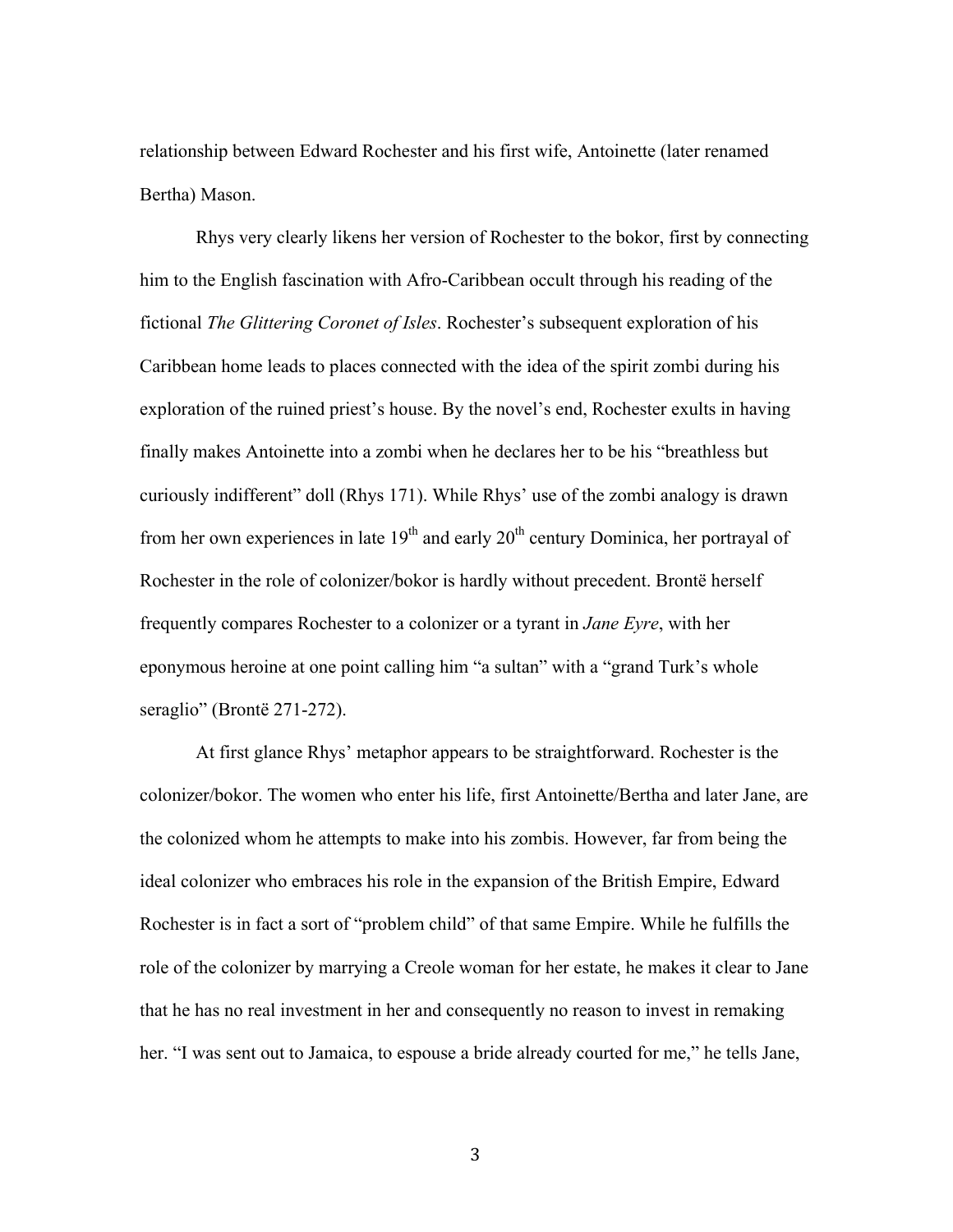relationship between Edward Rochester and his first wife, Antoinette (later renamed Bertha) Mason.

Rhys very clearly likens her version of Rochester to the bokor, first by connecting him to the English fascination with Afro-Caribbean occult through his reading of the fictional *The Glittering Coronet of Isles*. Rochester's subsequent exploration of his Caribbean home leads to places connected with the idea of the spirit zombi during his exploration of the ruined priest's house. By the novel's end, Rochester exults in having finally makes Antoinette into a zombi when he declares her to be his "breathless but curiously indifferent" doll (Rhys 171). While Rhys' use of the zombi analogy is drawn from her own experiences in late  $19<sup>th</sup>$  and early  $20<sup>th</sup>$  century Dominica, her portrayal of Rochester in the role of colonizer/bokor is hardly without precedent. Brontë herself frequently compares Rochester to a colonizer or a tyrant in *Jane Eyre*, with her eponymous heroine at one point calling him "a sultan" with a "grand Turk's whole seraglio" (Brontë 271-272).

At first glance Rhys' metaphor appears to be straightforward. Rochester is the colonizer/bokor. The women who enter his life, first Antoinette/Bertha and later Jane, are the colonized whom he attempts to make into his zombis. However, far from being the ideal colonizer who embraces his role in the expansion of the British Empire, Edward Rochester is in fact a sort of "problem child" of that same Empire. While he fulfills the role of the colonizer by marrying a Creole woman for her estate, he makes it clear to Jane that he has no real investment in her and consequently no reason to invest in remaking her. "I was sent out to Jamaica, to espouse a bride already courted for me," he tells Jane,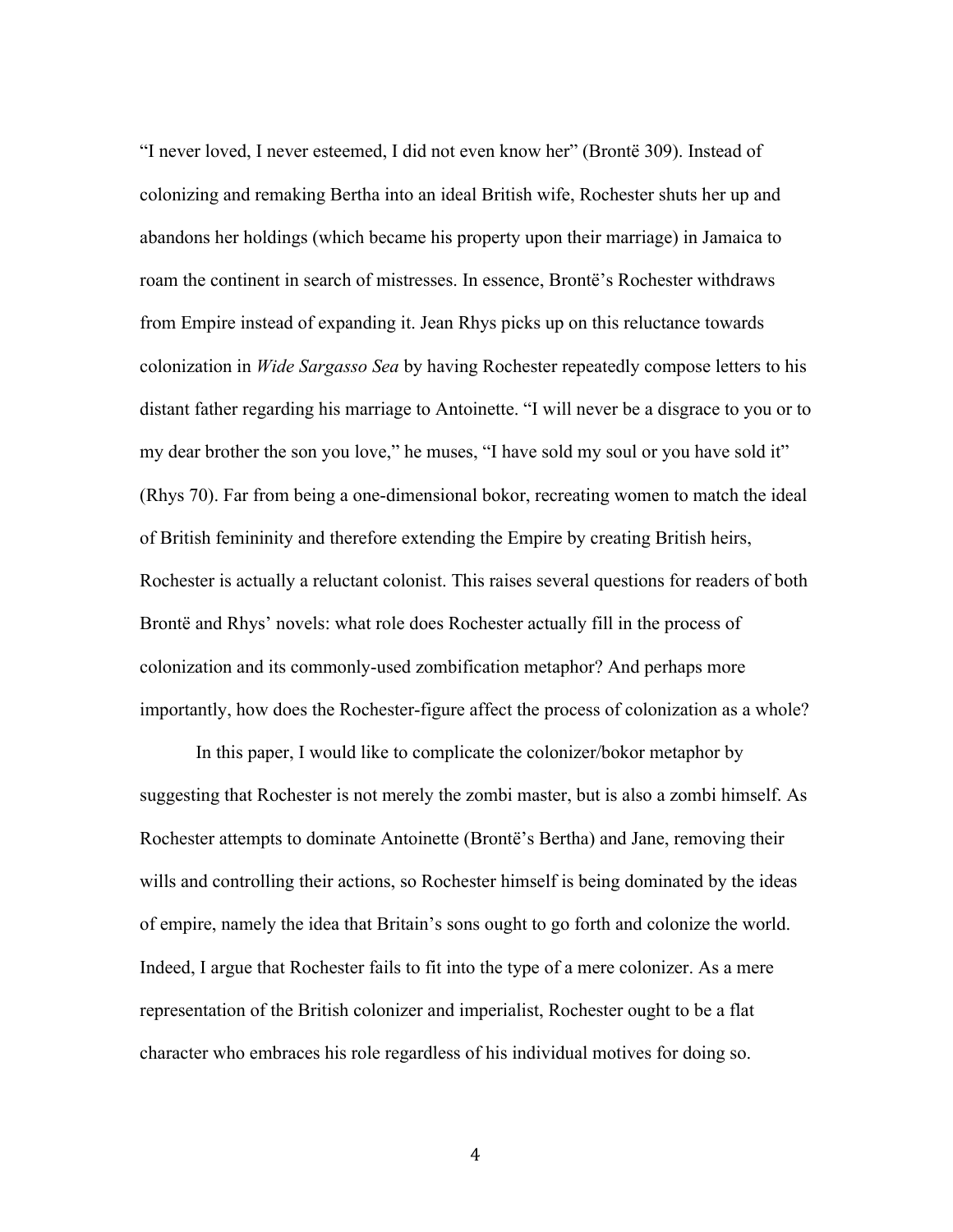"I never loved, I never esteemed, I did not even know her" (Brontë 309). Instead of colonizing and remaking Bertha into an ideal British wife, Rochester shuts her up and abandons her holdings (which became his property upon their marriage) in Jamaica to roam the continent in search of mistresses. In essence, Brontë's Rochester withdraws from Empire instead of expanding it. Jean Rhys picks up on this reluctance towards colonization in *Wide Sargasso Sea* by having Rochester repeatedly compose letters to his distant father regarding his marriage to Antoinette. "I will never be a disgrace to you or to my dear brother the son you love," he muses, "I have sold my soul or you have sold it" (Rhys 70). Far from being a one-dimensional bokor, recreating women to match the ideal of British femininity and therefore extending the Empire by creating British heirs, Rochester is actually a reluctant colonist. This raises several questions for readers of both Brontë and Rhys' novels: what role does Rochester actually fill in the process of colonization and its commonly-used zombification metaphor? And perhaps more importantly, how does the Rochester-figure affect the process of colonization as a whole?

In this paper, I would like to complicate the colonizer/bokor metaphor by suggesting that Rochester is not merely the zombi master, but is also a zombi himself. As Rochester attempts to dominate Antoinette (Brontë's Bertha) and Jane, removing their wills and controlling their actions, so Rochester himself is being dominated by the ideas of empire, namely the idea that Britain's sons ought to go forth and colonize the world. Indeed, I argue that Rochester fails to fit into the type of a mere colonizer. As a mere representation of the British colonizer and imperialist, Rochester ought to be a flat character who embraces his role regardless of his individual motives for doing so.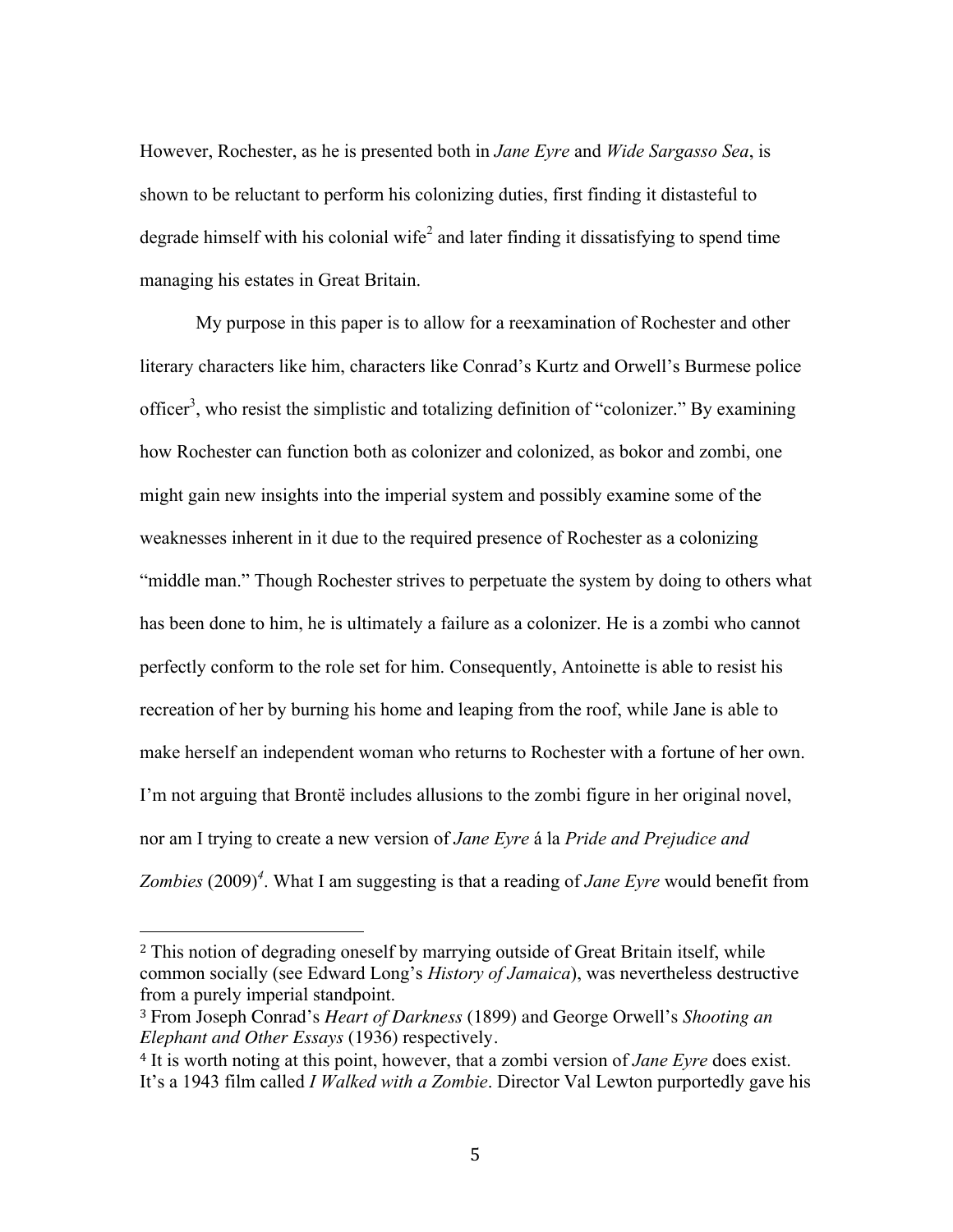However, Rochester, as he is presented both in *Jane Eyre* and *Wide Sargasso Sea*, is shown to be reluctant to perform his colonizing duties, first finding it distasteful to degrade himself with his colonial wife<sup>2</sup> and later finding it dissatisfying to spend time managing his estates in Great Britain.

My purpose in this paper is to allow for a reexamination of Rochester and other literary characters like him, characters like Conrad's Kurtz and Orwell's Burmese police officer<sup>3</sup>, who resist the simplistic and totalizing definition of "colonizer." By examining how Rochester can function both as colonizer and colonized, as bokor and zombi, one might gain new insights into the imperial system and possibly examine some of the weaknesses inherent in it due to the required presence of Rochester as a colonizing "middle man." Though Rochester strives to perpetuate the system by doing to others what has been done to him, he is ultimately a failure as a colonizer. He is a zombi who cannot perfectly conform to the role set for him. Consequently, Antoinette is able to resist his recreation of her by burning his home and leaping from the roof, while Jane is able to make herself an independent woman who returns to Rochester with a fortune of her own. I'm not arguing that Brontë includes allusions to the zombi figure in her original novel, nor am I trying to create a new version of *Jane Eyre* á la *Pride and Prejudice and Zombies* (2009)*<sup>4</sup>* . What I am suggesting is that a reading of *Jane Eyre* would benefit from

<sup>2</sup> This notion of degrading oneself by marrying outside of Great Britain itself, while common socially (see Edward Long's *History of Jamaica*), was nevertheless destructive from a purely imperial standpoint.

<sup>3</sup> From Joseph Conrad's *Heart of Darkness* (1899) and George Orwell's *Shooting an Elephant and Other Essays* (1936) respectively.

<sup>4</sup> It is worth noting at this point, however, that a zombi version of *Jane Eyre* does exist. It's a 1943 film called *I Walked with a Zombie*. Director Val Lewton purportedly gave his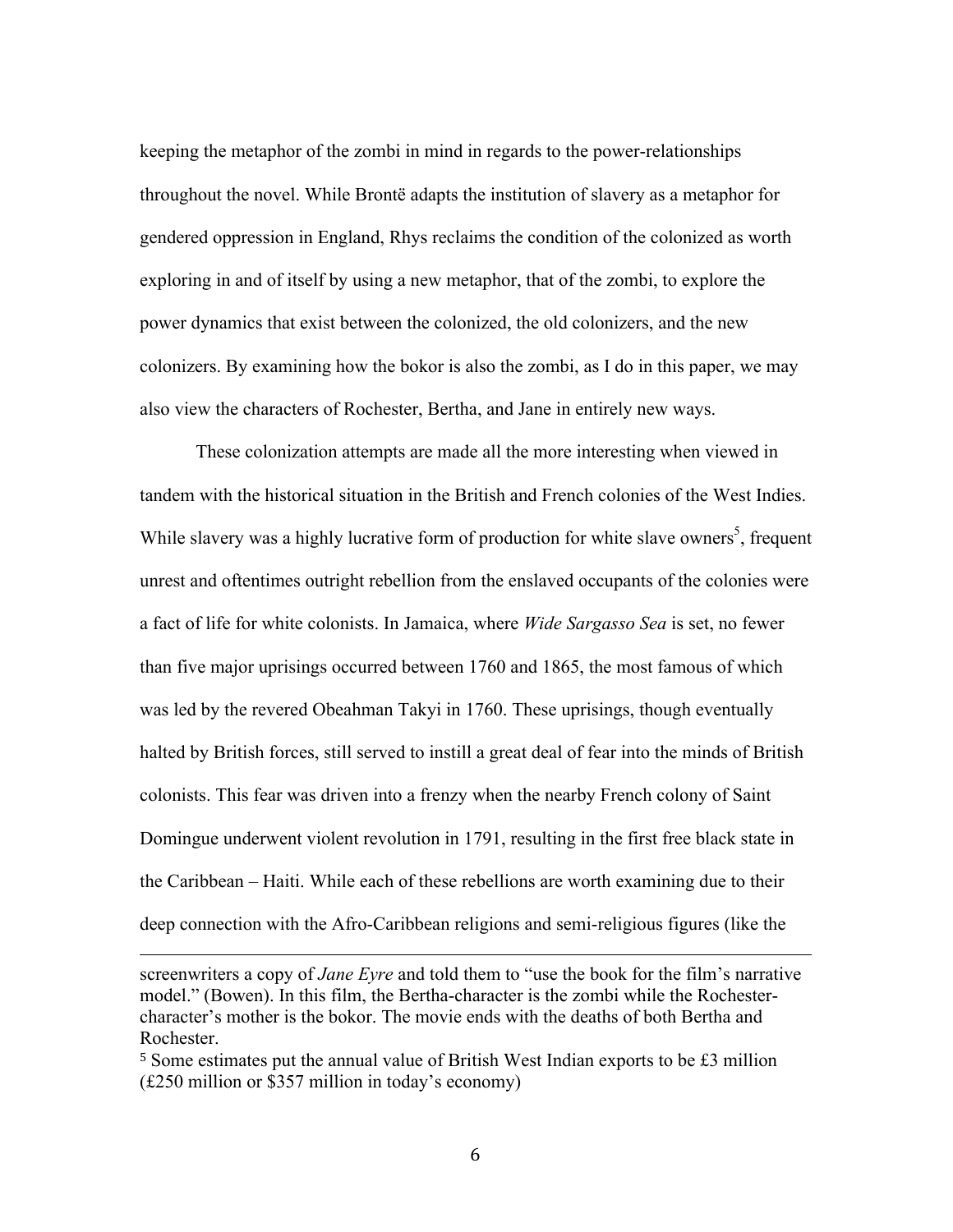keeping the metaphor of the zombi in mind in regards to the power-relationships throughout the novel. While Brontë adapts the institution of slavery as a metaphor for gendered oppression in England, Rhys reclaims the condition of the colonized as worth exploring in and of itself by using a new metaphor, that of the zombi, to explore the power dynamics that exist between the colonized, the old colonizers, and the new colonizers. By examining how the bokor is also the zombi, as I do in this paper, we may also view the characters of Rochester, Bertha, and Jane in entirely new ways.

These colonization attempts are made all the more interesting when viewed in tandem with the historical situation in the British and French colonies of the West Indies. While slavery was a highly lucrative form of production for white slave owners<sup>5</sup>, frequent unrest and oftentimes outright rebellion from the enslaved occupants of the colonies were a fact of life for white colonists. In Jamaica, where *Wide Sargasso Sea* is set, no fewer than five major uprisings occurred between 1760 and 1865, the most famous of which was led by the revered Obeahman Takyi in 1760. These uprisings, though eventually halted by British forces, still served to instill a great deal of fear into the minds of British colonists. This fear was driven into a frenzy when the nearby French colony of Saint Domingue underwent violent revolution in 1791, resulting in the first free black state in the Caribbean – Haiti. While each of these rebellions are worth examining due to their deep connection with the Afro-Caribbean religions and semi-religious figures (like the

<u> 2002 - Andrea San Andrea San Andrea San Andrea San Andrea San Andrea San Andrea San Andrea San Andrea San An</u>

<sup>5</sup> Some estimates put the annual value of British West Indian exports to be £3 million (£250 million or \$357 million in today's economy)

screenwriters a copy of *Jane Eyre* and told them to "use the book for the film's narrative model." (Bowen). In this film, the Bertha-character is the zombi while the Rochestercharacter's mother is the bokor. The movie ends with the deaths of both Bertha and Rochester.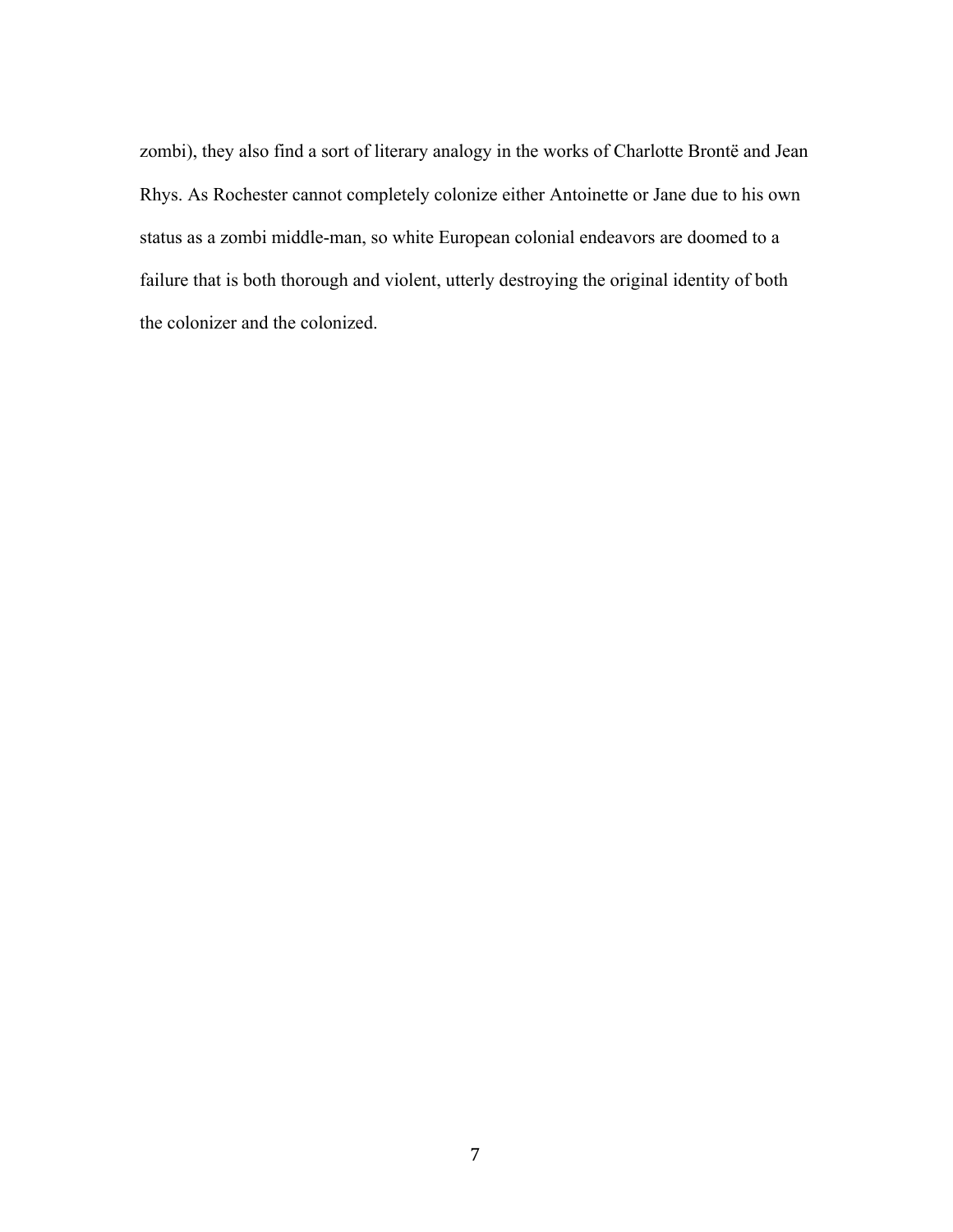zombi), they also find a sort of literary analogy in the works of Charlotte Brontë and Jean Rhys. As Rochester cannot completely colonize either Antoinette or Jane due to his own status as a zombi middle-man, so white European colonial endeavors are doomed to a failure that is both thorough and violent, utterly destroying the original identity of both the colonizer and the colonized.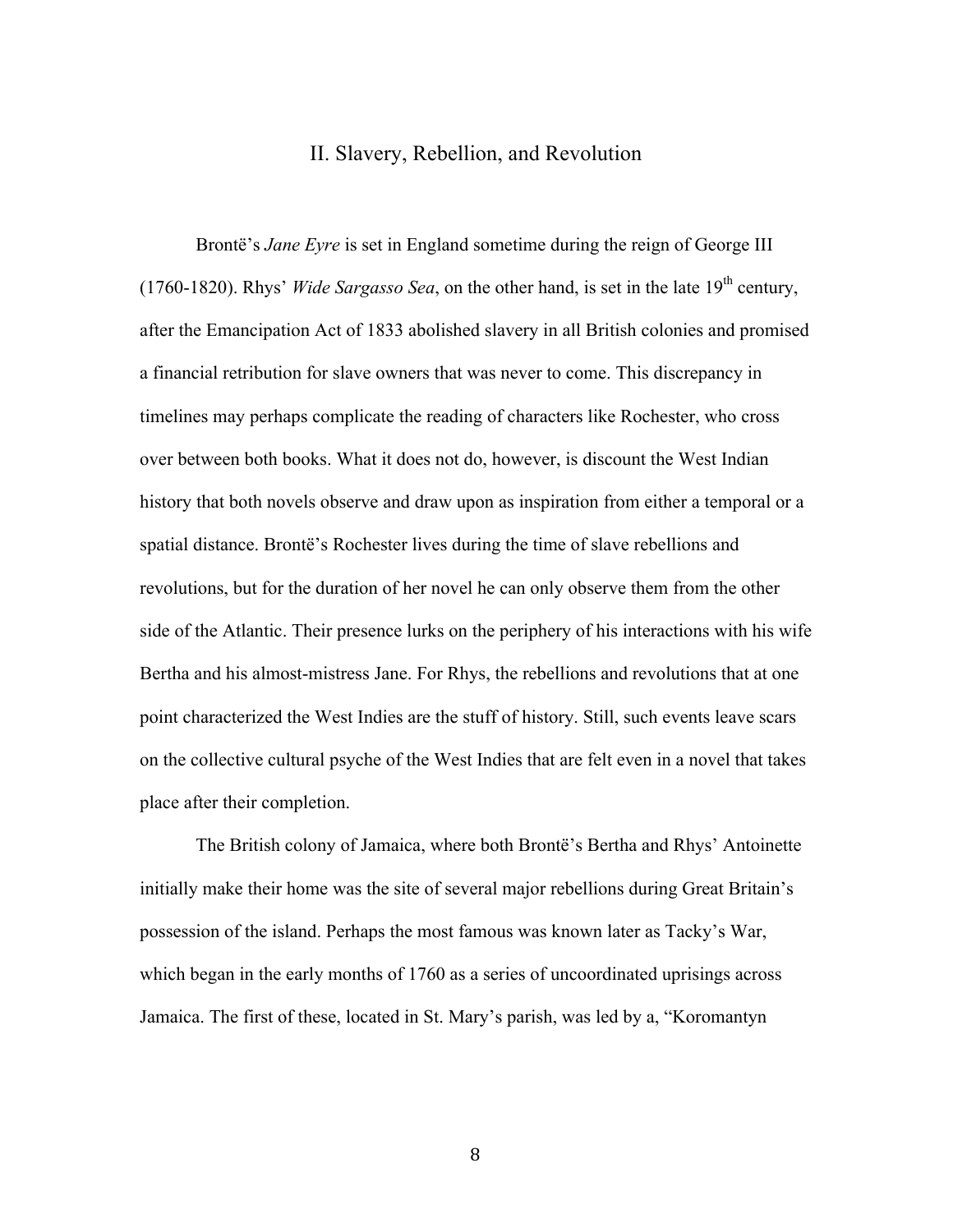### II. Slavery, Rebellion, and Revolution

Brontë's *Jane Eyre* is set in England sometime during the reign of George III (1760-1820). Rhys' *Wide Sargasso Sea*, on the other hand, is set in the late  $19<sup>th</sup>$  century, after the Emancipation Act of 1833 abolished slavery in all British colonies and promised a financial retribution for slave owners that was never to come. This discrepancy in timelines may perhaps complicate the reading of characters like Rochester, who cross over between both books. What it does not do, however, is discount the West Indian history that both novels observe and draw upon as inspiration from either a temporal or a spatial distance. Brontë's Rochester lives during the time of slave rebellions and revolutions, but for the duration of her novel he can only observe them from the other side of the Atlantic. Their presence lurks on the periphery of his interactions with his wife Bertha and his almost-mistress Jane. For Rhys, the rebellions and revolutions that at one point characterized the West Indies are the stuff of history. Still, such events leave scars on the collective cultural psyche of the West Indies that are felt even in a novel that takes place after their completion.

The British colony of Jamaica, where both Brontë's Bertha and Rhys' Antoinette initially make their home was the site of several major rebellions during Great Britain's possession of the island. Perhaps the most famous was known later as Tacky's War, which began in the early months of 1760 as a series of uncoordinated uprisings across Jamaica. The first of these, located in St. Mary's parish, was led by a, "Koromantyn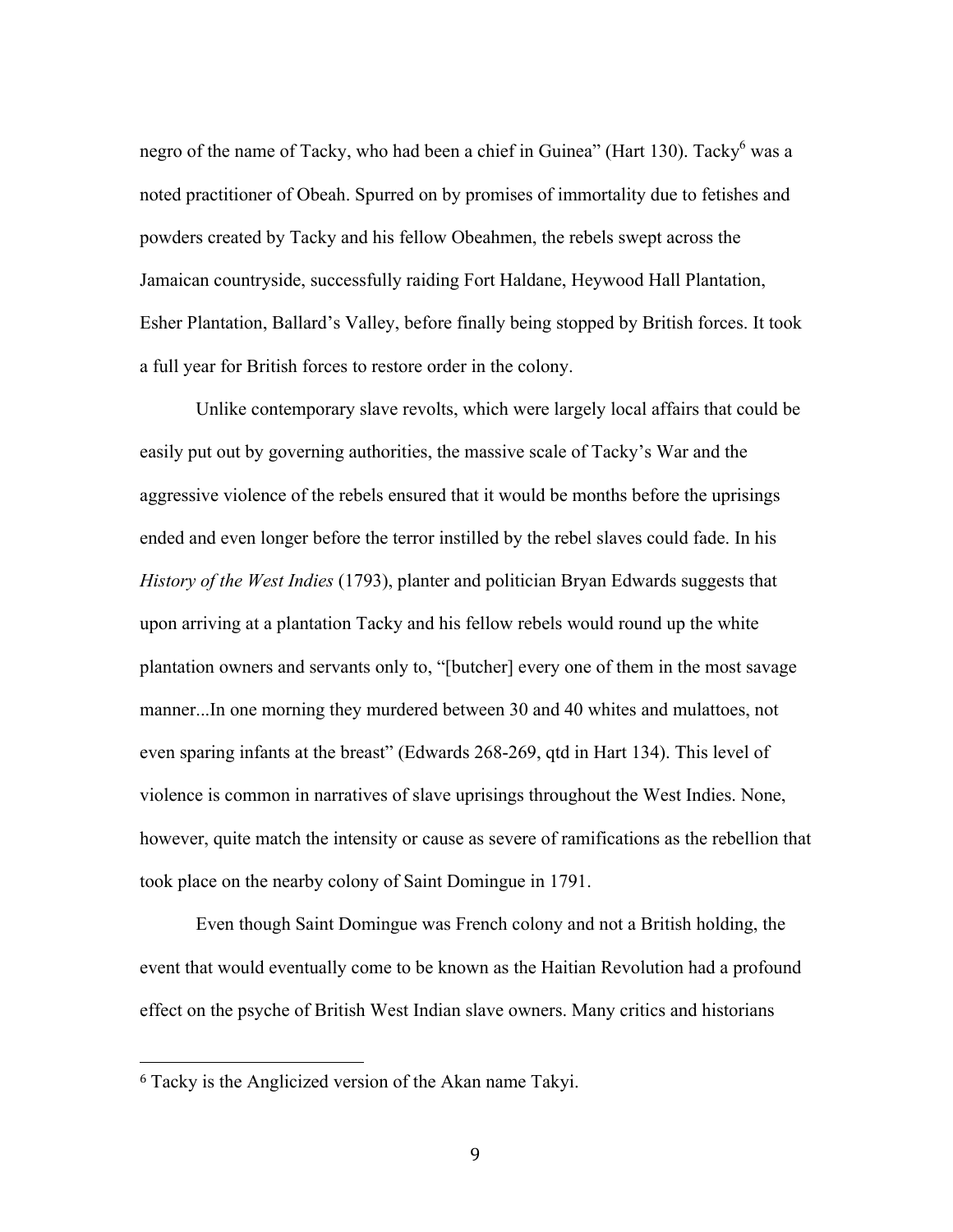negro of the name of Tacky, who had been a chief in Guinea" (Hart 130). Tacky <sup>6</sup> was a noted practitioner of Obeah. Spurred on by promises of immortality due to fetishes and powders created by Tacky and his fellow Obeahmen, the rebels swept across the Jamaican countryside, successfully raiding Fort Haldane, Heywood Hall Plantation, Esher Plantation, Ballard's Valley, before finally being stopped by British forces. It took a full year for British forces to restore order in the colony.

Unlike contemporary slave revolts, which were largely local affairs that could be easily put out by governing authorities, the massive scale of Tacky's War and the aggressive violence of the rebels ensured that it would be months before the uprisings ended and even longer before the terror instilled by the rebel slaves could fade. In his *History of the West Indies* (1793), planter and politician Bryan Edwards suggests that upon arriving at a plantation Tacky and his fellow rebels would round up the white plantation owners and servants only to, "[butcher] every one of them in the most savage manner...In one morning they murdered between 30 and 40 whites and mulattoes, not even sparing infants at the breast" (Edwards 268-269, qtd in Hart 134). This level of violence is common in narratives of slave uprisings throughout the West Indies. None, however, quite match the intensity or cause as severe of ramifications as the rebellion that took place on the nearby colony of Saint Domingue in 1791.

Even though Saint Domingue was French colony and not a British holding, the event that would eventually come to be known as the Haitian Revolution had a profound effect on the psyche of British West Indian slave owners. Many critics and historians

<sup>6</sup> Tacky is the Anglicized version of the Akan name Takyi.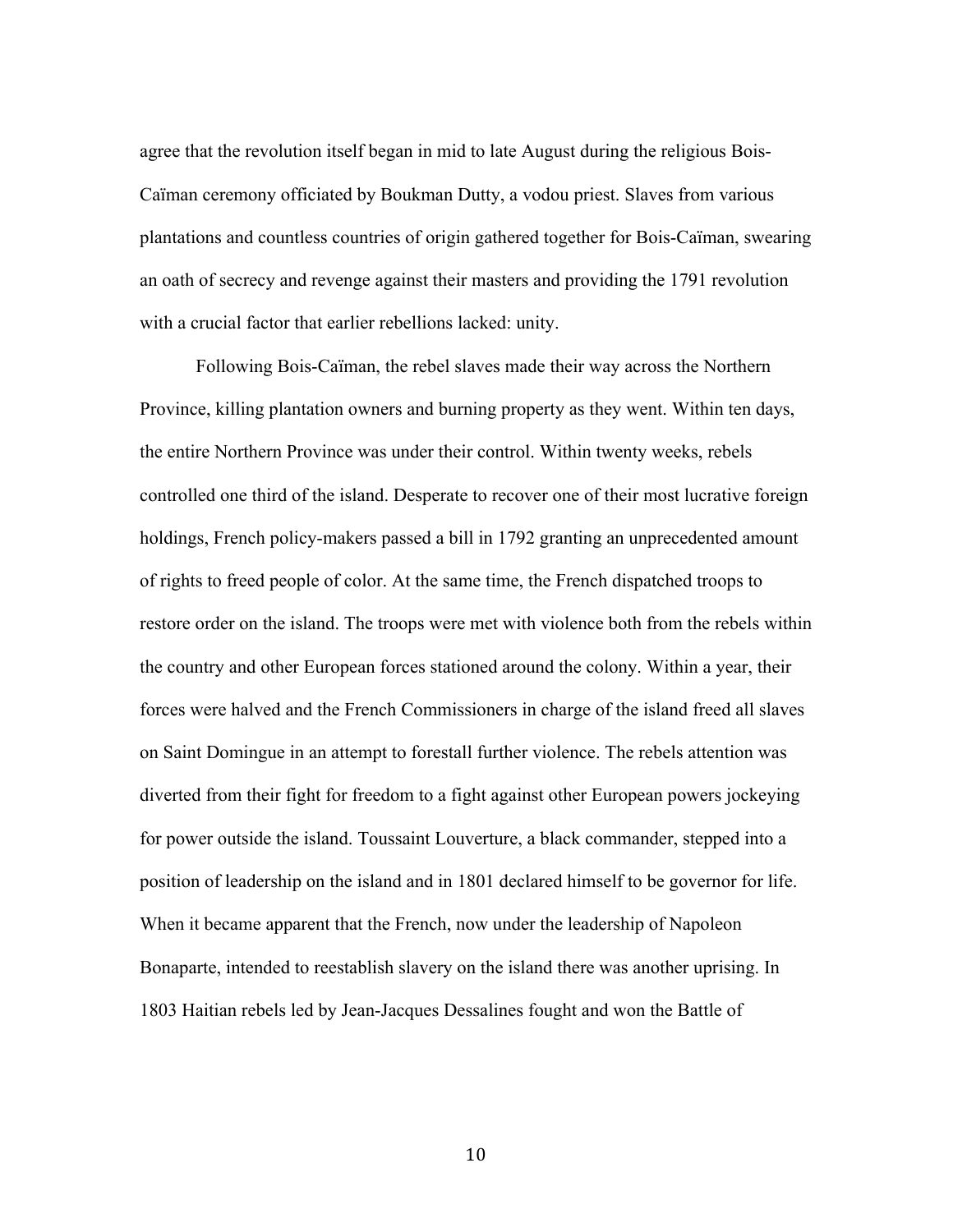agree that the revolution itself began in mid to late August during the religious Bois-Caïman ceremony officiated by Boukman Dutty, a vodou priest. Slaves from various plantations and countless countries of origin gathered together for Bois-Caïman, swearing an oath of secrecy and revenge against their masters and providing the 1791 revolution with a crucial factor that earlier rebellions lacked: unity.

Following Bois-Caïman, the rebel slaves made their way across the Northern Province, killing plantation owners and burning property as they went. Within ten days, the entire Northern Province was under their control. Within twenty weeks, rebels controlled one third of the island. Desperate to recover one of their most lucrative foreign holdings, French policy-makers passed a bill in 1792 granting an unprecedented amount of rights to freed people of color. At the same time, the French dispatched troops to restore order on the island. The troops were met with violence both from the rebels within the country and other European forces stationed around the colony. Within a year, their forces were halved and the French Commissioners in charge of the island freed all slaves on Saint Domingue in an attempt to forestall further violence. The rebels attention was diverted from their fight for freedom to a fight against other European powers jockeying for power outside the island. Toussaint Louverture, a black commander, stepped into a position of leadership on the island and in 1801 declared himself to be governor for life. When it became apparent that the French, now under the leadership of Napoleon Bonaparte, intended to reestablish slavery on the island there was another uprising. In 1803 Haitian rebels led by Jean-Jacques Dessalines fought and won the Battle of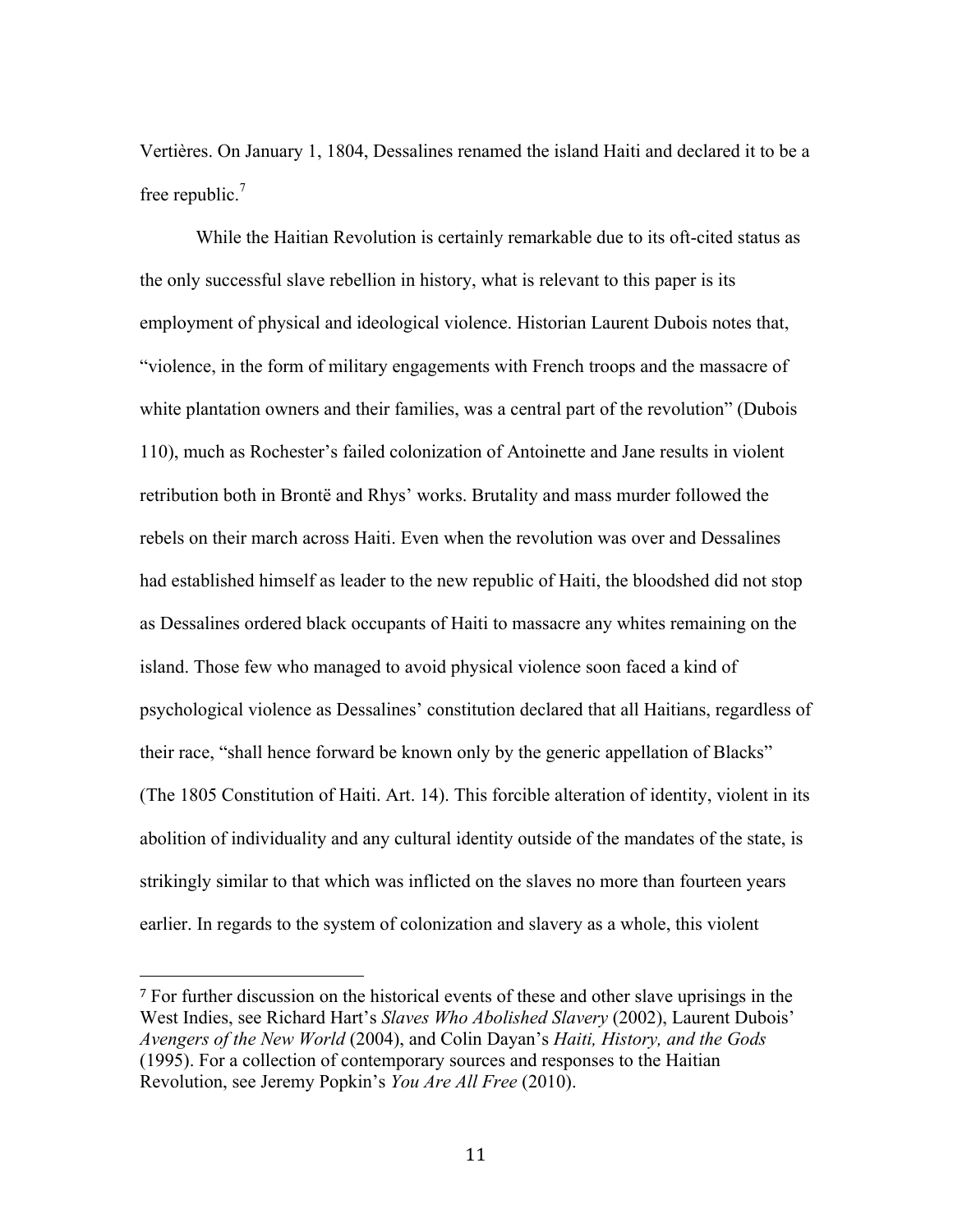Vertières. On January 1, 1804, Dessalines renamed the island Haiti and declared it to be a free republic.<sup>7</sup>

While the Haitian Revolution is certainly remarkable due to its oft-cited status as the only successful slave rebellion in history, what is relevant to this paper is its employment of physical and ideological violence. Historian Laurent Dubois notes that, "violence, in the form of military engagements with French troops and the massacre of white plantation owners and their families, was a central part of the revolution" (Dubois 110), much as Rochester's failed colonization of Antoinette and Jane results in violent retribution both in Brontë and Rhys' works. Brutality and mass murder followed the rebels on their march across Haiti. Even when the revolution was over and Dessalines had established himself as leader to the new republic of Haiti, the bloodshed did not stop as Dessalines ordered black occupants of Haiti to massacre any whites remaining on the island. Those few who managed to avoid physical violence soon faced a kind of psychological violence as Dessalines' constitution declared that all Haitians, regardless of their race, "shall hence forward be known only by the generic appellation of Blacks" (The 1805 Constitution of Haiti. Art. 14). This forcible alteration of identity, violent in its abolition of individuality and any cultural identity outside of the mandates of the state, is strikingly similar to that which was inflicted on the slaves no more than fourteen years earlier. In regards to the system of colonization and slavery as a whole, this violent

<sup>7</sup> For further discussion on the historical events of these and other slave uprisings in the West Indies, see Richard Hart's *Slaves Who Abolished Slavery* (2002), Laurent Dubois' *Avengers of the New World* (2004), and Colin Dayan's *Haiti, History, and the Gods* (1995). For a collection of contemporary sources and responses to the Haitian Revolution, see Jeremy Popkin's *You Are All Free* (2010).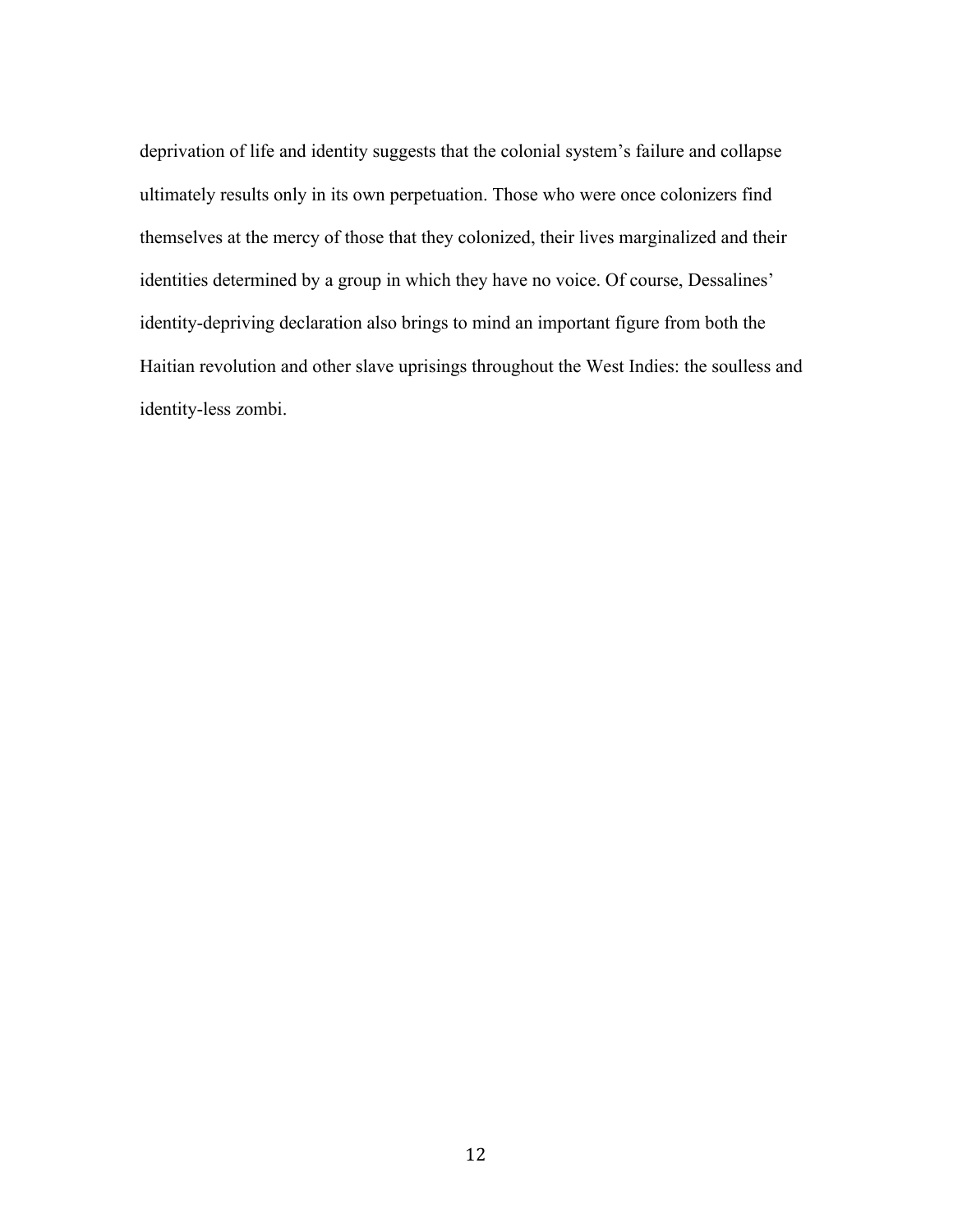deprivation of life and identity suggests that the colonial system's failure and collapse ultimately results only in its own perpetuation. Those who were once colonizers find themselves at the mercy of those that they colonized, their lives marginalized and their identities determined by a group in which they have no voice. Of course, Dessalines' identity-depriving declaration also brings to mind an important figure from both the Haitian revolution and other slave uprisings throughout the West Indies: the soulless and identity-less zombi.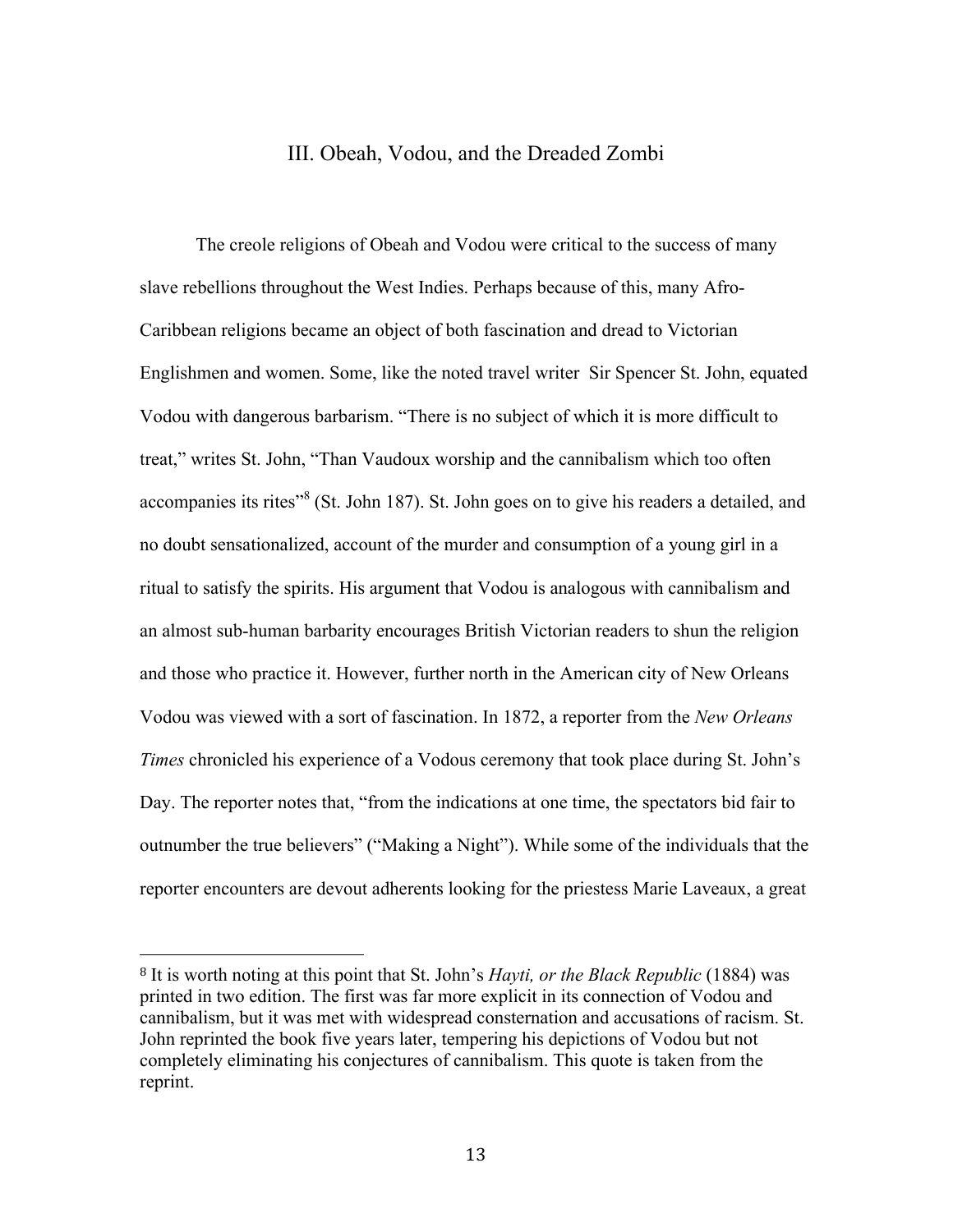### III. Obeah, Vodou, and the Dreaded Zombi

The creole religions of Obeah and Vodou were critical to the success of many slave rebellions throughout the West Indies. Perhaps because of this, many Afro-Caribbean religions became an object of both fascination and dread to Victorian Englishmen and women. Some, like the noted travel writer Sir Spencer St. John, equated Vodou with dangerous barbarism. "There is no subject of which it is more difficult to treat," writes St. John, "Than Vaudoux worship and the cannibalism which too often accompanies its rites"<sup>8</sup> (St. John 187). St. John goes on to give his readers a detailed, and no doubt sensationalized, account of the murder and consumption of a young girl in a ritual to satisfy the spirits. His argument that Vodou is analogous with cannibalism and an almost sub-human barbarity encourages British Victorian readers to shun the religion and those who practice it. However, further north in the American city of New Orleans Vodou was viewed with a sort of fascination. In 1872, a reporter from the *New Orleans Times* chronicled his experience of a Vodous ceremony that took place during St. John's Day. The reporter notes that, "from the indications at one time, the spectators bid fair to outnumber the true believers" ("Making a Night"). While some of the individuals that the reporter encounters are devout adherents looking for the priestess Marie Laveaux, a great

<sup>8</sup> It is worth noting at this point that St. John's *Hayti, or the Black Republic* (1884) was printed in two edition. The first was far more explicit in its connection of Vodou and cannibalism, but it was met with widespread consternation and accusations of racism. St. John reprinted the book five years later, tempering his depictions of Vodou but not completely eliminating his conjectures of cannibalism. This quote is taken from the reprint.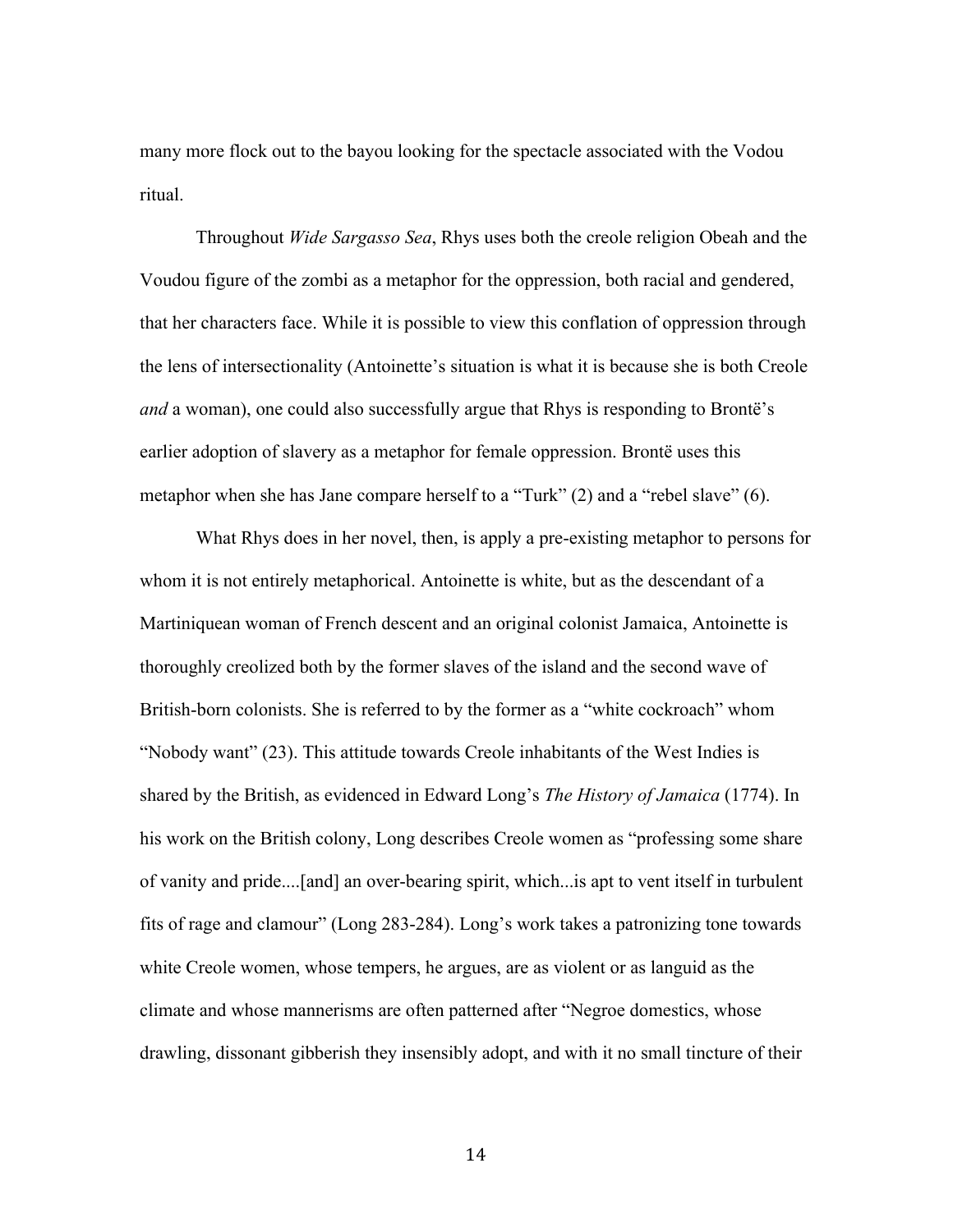many more flock out to the bayou looking for the spectacle associated with the Vodou ritual.

Throughout *Wide Sargasso Sea*, Rhys uses both the creole religion Obeah and the Voudou figure of the zombi as a metaphor for the oppression, both racial and gendered, that her characters face. While it is possible to view this conflation of oppression through the lens of intersectionality (Antoinette's situation is what it is because she is both Creole *and* a woman), one could also successfully argue that Rhys is responding to Brontë's earlier adoption of slavery as a metaphor for female oppression. Brontë uses this metaphor when she has Jane compare herself to a "Turk" (2) and a "rebel slave" (6).

What Rhys does in her novel, then, is apply a pre-existing metaphor to persons for whom it is not entirely metaphorical. Antoinette is white, but as the descendant of a Martiniquean woman of French descent and an original colonist Jamaica, Antoinette is thoroughly creolized both by the former slaves of the island and the second wave of British-born colonists. She is referred to by the former as a "white cockroach" whom "Nobody want" (23). This attitude towards Creole inhabitants of the West Indies is shared by the British, as evidenced in Edward Long's *The History of Jamaica* (1774). In his work on the British colony, Long describes Creole women as "professing some share of vanity and pride....[and] an over-bearing spirit, which...is apt to vent itself in turbulent fits of rage and clamour" (Long 283-284). Long's work takes a patronizing tone towards white Creole women, whose tempers, he argues, are as violent or as languid as the climate and whose mannerisms are often patterned after "Negroe domestics, whose drawling, dissonant gibberish they insensibly adopt, and with it no small tincture of their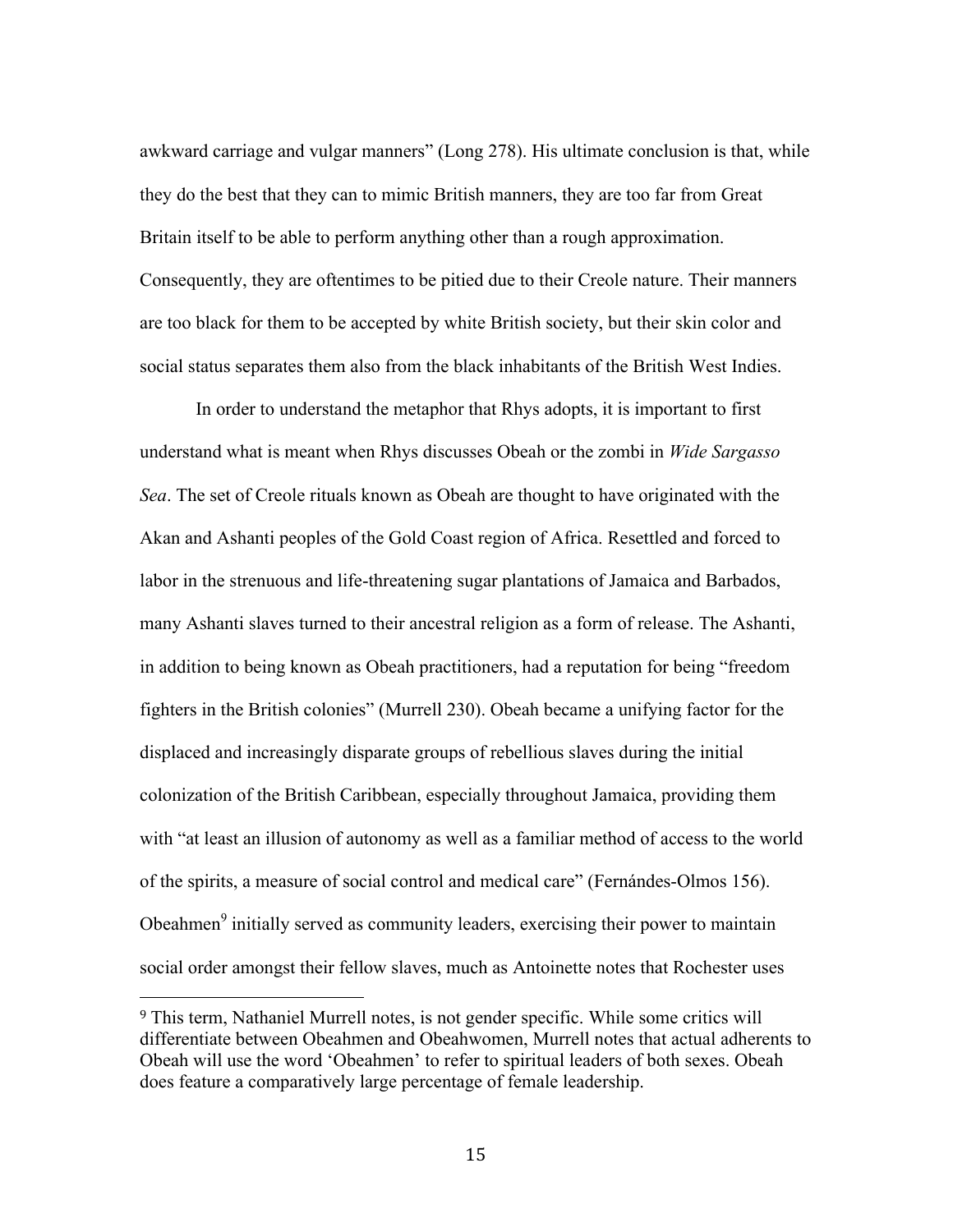awkward carriage and vulgar manners" (Long 278). His ultimate conclusion is that, while they do the best that they can to mimic British manners, they are too far from Great Britain itself to be able to perform anything other than a rough approximation. Consequently, they are oftentimes to be pitied due to their Creole nature. Their manners are too black for them to be accepted by white British society, but their skin color and social status separates them also from the black inhabitants of the British West Indies.

In order to understand the metaphor that Rhys adopts, it is important to first understand what is meant when Rhys discusses Obeah or the zombi in *Wide Sargasso Sea*. The set of Creole rituals known as Obeah are thought to have originated with the Akan and Ashanti peoples of the Gold Coast region of Africa. Resettled and forced to labor in the strenuous and life-threatening sugar plantations of Jamaica and Barbados, many Ashanti slaves turned to their ancestral religion as a form of release. The Ashanti, in addition to being known as Obeah practitioners, had a reputation for being "freedom fighters in the British colonies" (Murrell 230). Obeah became a unifying factor for the displaced and increasingly disparate groups of rebellious slaves during the initial colonization of the British Caribbean, especially throughout Jamaica, providing them with "at least an illusion of autonomy as well as a familiar method of access to the world of the spirits, a measure of social control and medical care" (Fernándes-Olmos 156). Obeahmen<sup>9</sup> initially served as community leaders, exercising their power to maintain social order amongst their fellow slaves, much as Antoinette notes that Rochester uses

<sup>9</sup> This term, Nathaniel Murrell notes, is not gender specific. While some critics will differentiate between Obeahmen and Obeahwomen, Murrell notes that actual adherents to Obeah will use the word 'Obeahmen' to refer to spiritual leaders of both sexes. Obeah does feature a comparatively large percentage of female leadership.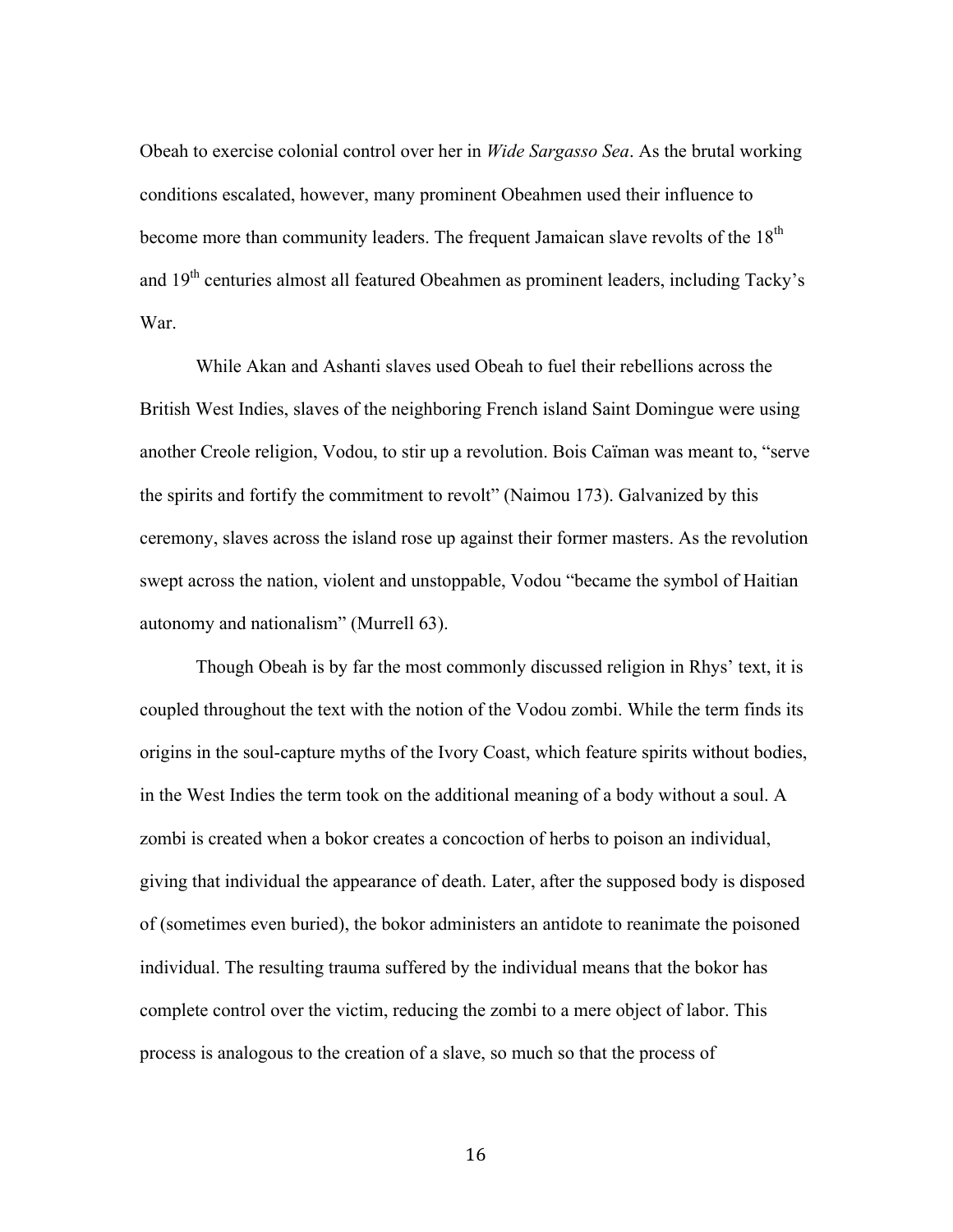Obeah to exercise colonial control over her in *Wide Sargasso Sea*. As the brutal working conditions escalated, however, many prominent Obeahmen used their influence to become more than community leaders. The frequent Jamaican slave revolts of the 18<sup>th</sup> and 19<sup>th</sup> centuries almost all featured Obeahmen as prominent leaders, including Tacky's War.

While Akan and Ashanti slaves used Obeah to fuel their rebellions across the British West Indies, slaves of the neighboring French island Saint Domingue were using another Creole religion, Vodou, to stir up a revolution. Bois Caïman was meant to, "serve the spirits and fortify the commitment to revolt" (Naimou 173). Galvanized by this ceremony, slaves across the island rose up against their former masters. As the revolution swept across the nation, violent and unstoppable, Vodou "became the symbol of Haitian autonomy and nationalism" (Murrell 63).

Though Obeah is by far the most commonly discussed religion in Rhys' text, it is coupled throughout the text with the notion of the Vodou zombi. While the term finds its origins in the soul-capture myths of the Ivory Coast, which feature spirits without bodies, in the West Indies the term took on the additional meaning of a body without a soul. A zombi is created when a bokor creates a concoction of herbs to poison an individual, giving that individual the appearance of death. Later, after the supposed body is disposed of (sometimes even buried), the bokor administers an antidote to reanimate the poisoned individual. The resulting trauma suffered by the individual means that the bokor has complete control over the victim, reducing the zombi to a mere object of labor. This process is analogous to the creation of a slave, so much so that the process of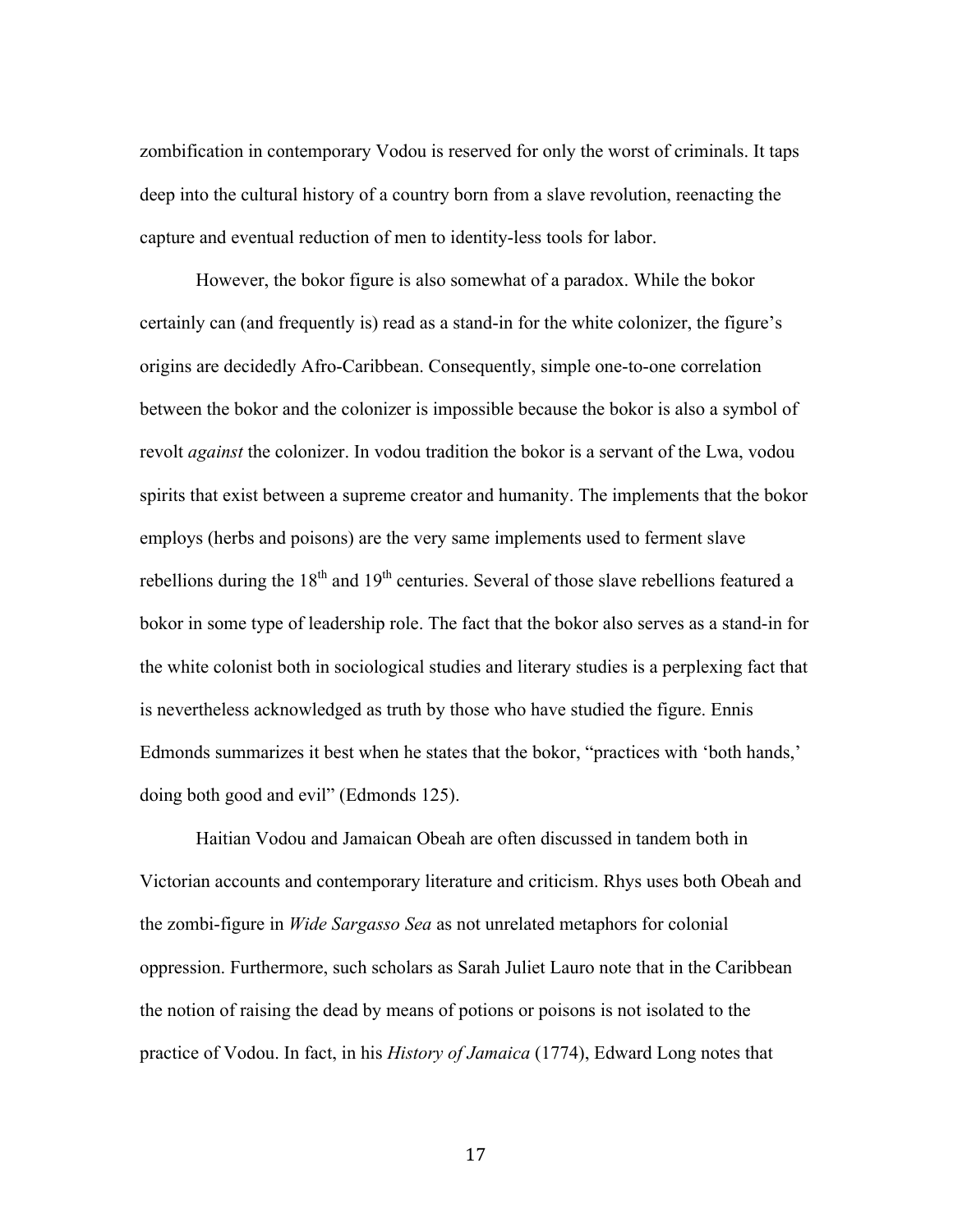zombification in contemporary Vodou is reserved for only the worst of criminals. It taps deep into the cultural history of a country born from a slave revolution, reenacting the capture and eventual reduction of men to identity-less tools for labor.

However, the bokor figure is also somewhat of a paradox. While the bokor certainly can (and frequently is) read as a stand-in for the white colonizer, the figure's origins are decidedly Afro-Caribbean. Consequently, simple one-to-one correlation between the bokor and the colonizer is impossible because the bokor is also a symbol of revolt *against* the colonizer. In vodou tradition the bokor is a servant of the Lwa, vodou spirits that exist between a supreme creator and humanity. The implements that the bokor employs (herbs and poisons) are the very same implements used to ferment slave rebellions during the  $18<sup>th</sup>$  and  $19<sup>th</sup>$  centuries. Several of those slave rebellions featured a bokor in some type of leadership role. The fact that the bokor also serves as a stand-in for the white colonist both in sociological studies and literary studies is a perplexing fact that is nevertheless acknowledged as truth by those who have studied the figure. Ennis Edmonds summarizes it best when he states that the bokor, "practices with 'both hands,' doing both good and evil" (Edmonds 125).

Haitian Vodou and Jamaican Obeah are often discussed in tandem both in Victorian accounts and contemporary literature and criticism. Rhys uses both Obeah and the zombi-figure in *Wide Sargasso Sea* as not unrelated metaphors for colonial oppression. Furthermore, such scholars as Sarah Juliet Lauro note that in the Caribbean the notion of raising the dead by means of potions or poisons is not isolated to the practice of Vodou. In fact, in his *History of Jamaica* (1774), Edward Long notes that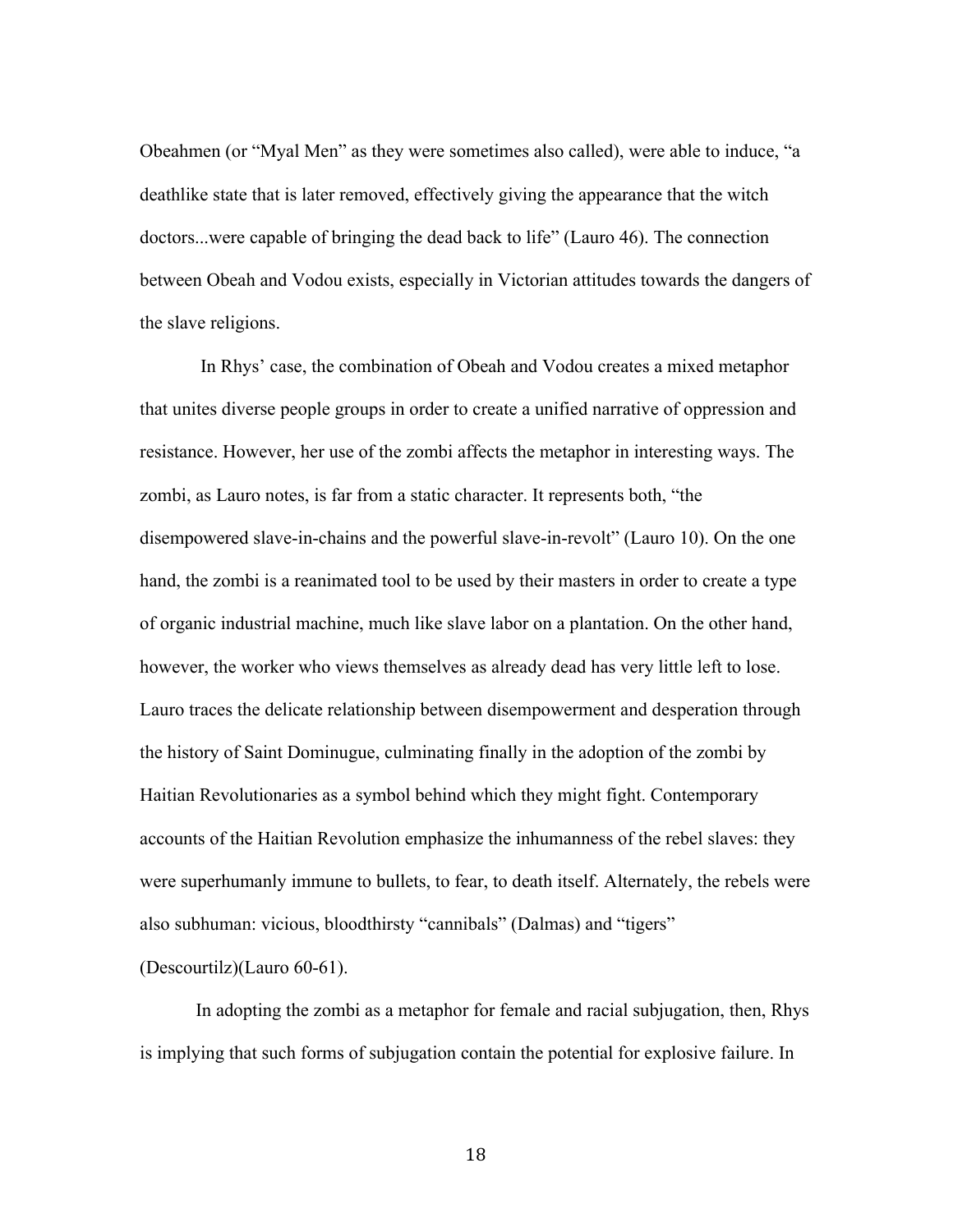Obeahmen (or "Myal Men" as they were sometimes also called), were able to induce, "a deathlike state that is later removed, effectively giving the appearance that the witch doctors...were capable of bringing the dead back to life" (Lauro 46). The connection between Obeah and Vodou exists, especially in Victorian attitudes towards the dangers of the slave religions.

In Rhys' case, the combination of Obeah and Vodou creates a mixed metaphor that unites diverse people groups in order to create a unified narrative of oppression and resistance. However, her use of the zombi affects the metaphor in interesting ways. The zombi, as Lauro notes, is far from a static character. It represents both, "the disempowered slave-in-chains and the powerful slave-in-revolt" (Lauro 10). On the one hand, the zombi is a reanimated tool to be used by their masters in order to create a type of organic industrial machine, much like slave labor on a plantation. On the other hand, however, the worker who views themselves as already dead has very little left to lose. Lauro traces the delicate relationship between disempowerment and desperation through the history of Saint Dominugue, culminating finally in the adoption of the zombi by Haitian Revolutionaries as a symbol behind which they might fight. Contemporary accounts of the Haitian Revolution emphasize the inhumanness of the rebel slaves: they were superhumanly immune to bullets, to fear, to death itself. Alternately, the rebels were also subhuman: vicious, bloodthirsty "cannibals" (Dalmas) and "tigers" (Descourtilz)(Lauro 60-61).

In adopting the zombi as a metaphor for female and racial subjugation, then, Rhys is implying that such forms of subjugation contain the potential for explosive failure. In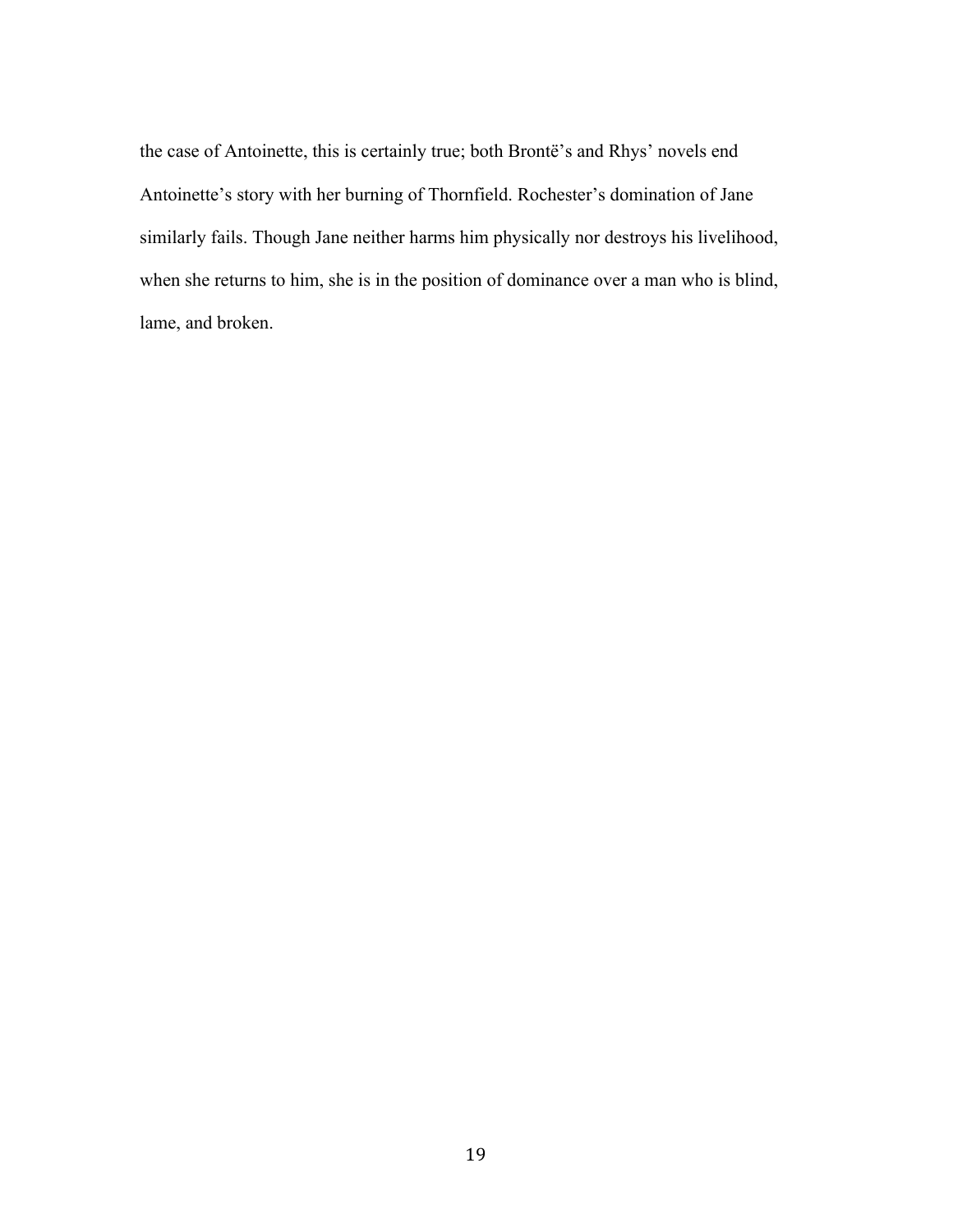the case of Antoinette, this is certainly true; both Brontë's and Rhys' novels end Antoinette's story with her burning of Thornfield. Rochester's domination of Jane similarly fails. Though Jane neither harms him physically nor destroys his livelihood, when she returns to him, she is in the position of dominance over a man who is blind, lame, and broken.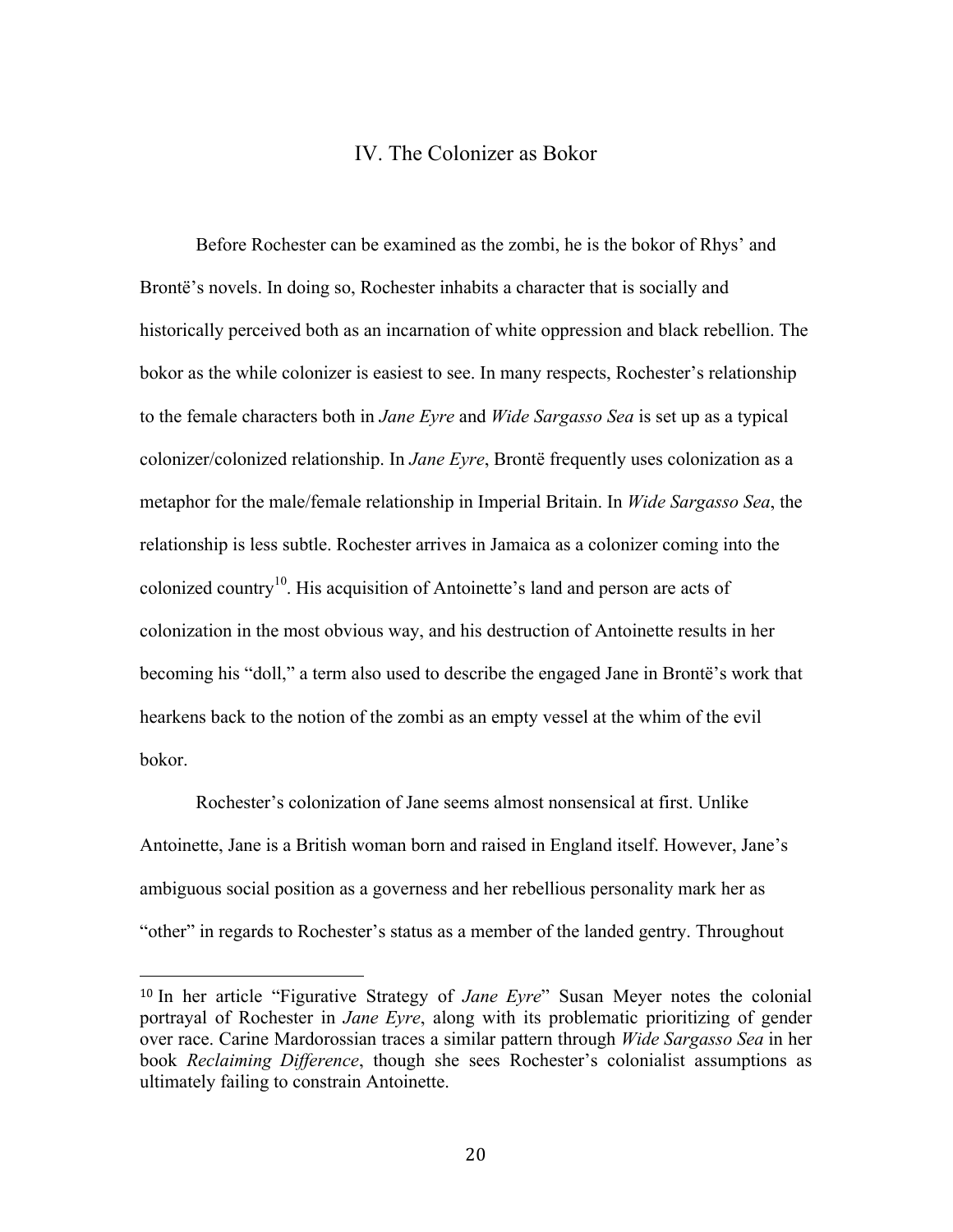### IV. The Colonizer as Bokor

Before Rochester can be examined as the zombi, he is the bokor of Rhys' and Brontë's novels. In doing so, Rochester inhabits a character that is socially and historically perceived both as an incarnation of white oppression and black rebellion. The bokor as the while colonizer is easiest to see. In many respects, Rochester's relationship to the female characters both in *Jane Eyre* and *Wide Sargasso Sea* is set up as a typical colonizer/colonized relationship. In *Jane Eyre*, Brontë frequently uses colonization as a metaphor for the male/female relationship in Imperial Britain. In *Wide Sargasso Sea*, the relationship is less subtle. Rochester arrives in Jamaica as a colonizer coming into the colonized country10. His acquisition of Antoinette's land and person are acts of colonization in the most obvious way, and his destruction of Antoinette results in her becoming his "doll," a term also used to describe the engaged Jane in Brontë's work that hearkens back to the notion of the zombi as an empty vessel at the whim of the evil bokor.

Rochester's colonization of Jane seems almost nonsensical at first. Unlike Antoinette, Jane is a British woman born and raised in England itself. However, Jane's ambiguous social position as a governess and her rebellious personality mark her as "other" in regards to Rochester's status as a member of the landed gentry. Throughout

<sup>10</sup> In her article "Figurative Strategy of *Jane Eyre*" Susan Meyer notes the colonial portrayal of Rochester in *Jane Eyre*, along with its problematic prioritizing of gender over race. Carine Mardorossian traces a similar pattern through *Wide Sargasso Sea* in her book *Reclaiming Difference*, though she sees Rochester's colonialist assumptions as ultimately failing to constrain Antoinette.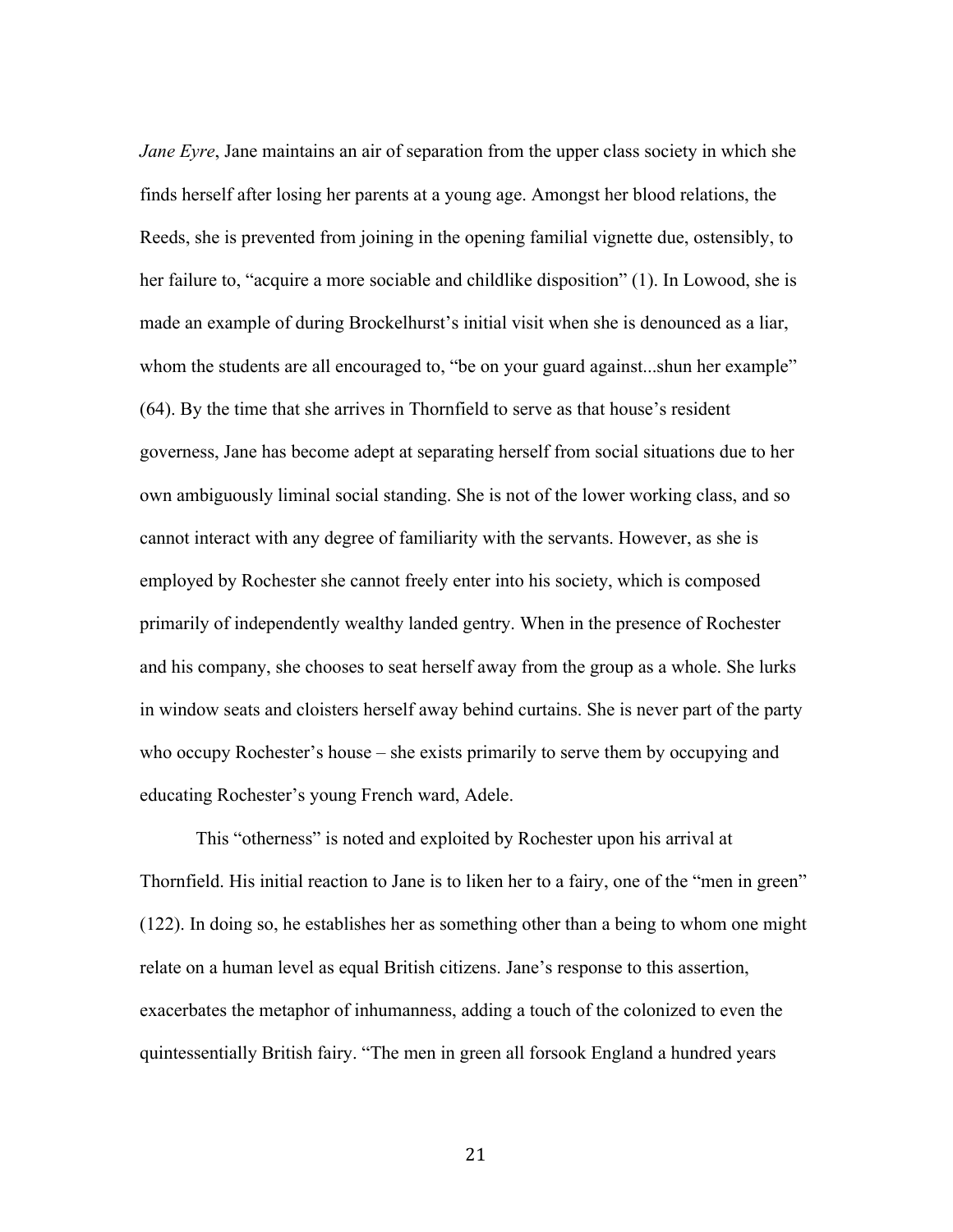*Jane Eyre*, Jane maintains an air of separation from the upper class society in which she finds herself after losing her parents at a young age. Amongst her blood relations, the Reeds, she is prevented from joining in the opening familial vignette due, ostensibly, to her failure to, "acquire a more sociable and childlike disposition" (1). In Lowood, she is made an example of during Brockelhurst's initial visit when she is denounced as a liar, whom the students are all encouraged to, "be on your guard against...shun her example" (64). By the time that she arrives in Thornfield to serve as that house's resident governess, Jane has become adept at separating herself from social situations due to her own ambiguously liminal social standing. She is not of the lower working class, and so cannot interact with any degree of familiarity with the servants. However, as she is employed by Rochester she cannot freely enter into his society, which is composed primarily of independently wealthy landed gentry. When in the presence of Rochester and his company, she chooses to seat herself away from the group as a whole. She lurks in window seats and cloisters herself away behind curtains. She is never part of the party who occupy Rochester's house – she exists primarily to serve them by occupying and educating Rochester's young French ward, Adele.

This "otherness" is noted and exploited by Rochester upon his arrival at Thornfield. His initial reaction to Jane is to liken her to a fairy, one of the "men in green" (122). In doing so, he establishes her as something other than a being to whom one might relate on a human level as equal British citizens. Jane's response to this assertion, exacerbates the metaphor of inhumanness, adding a touch of the colonized to even the quintessentially British fairy. "The men in green all forsook England a hundred years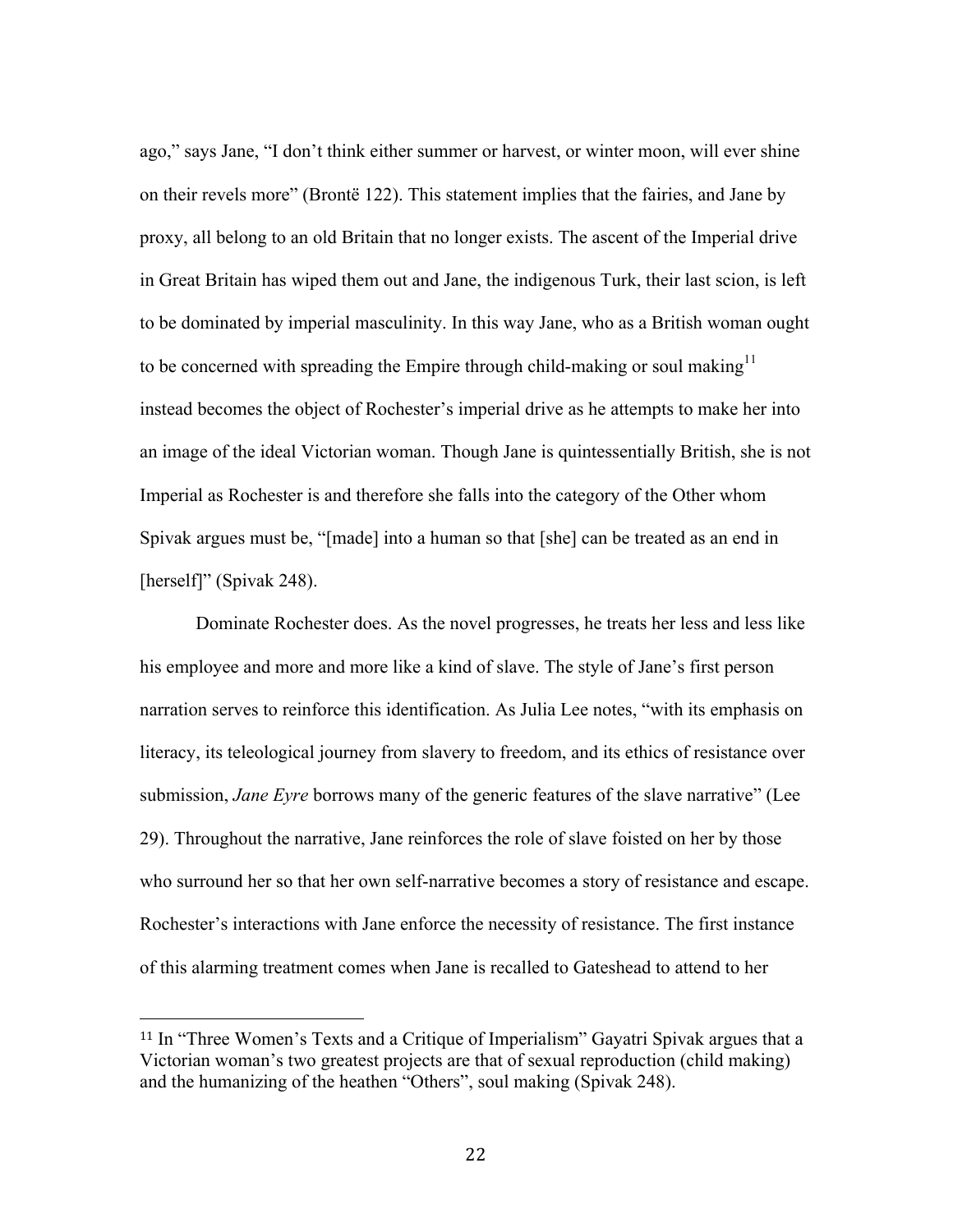ago," says Jane, "I don't think either summer or harvest, or winter moon, will ever shine on their revels more" (Brontë 122). This statement implies that the fairies, and Jane by proxy, all belong to an old Britain that no longer exists. The ascent of the Imperial drive in Great Britain has wiped them out and Jane, the indigenous Turk, their last scion, is left to be dominated by imperial masculinity. In this way Jane, who as a British woman ought to be concerned with spreading the Empire through child-making or soul making<sup>11</sup> instead becomes the object of Rochester's imperial drive as he attempts to make her into an image of the ideal Victorian woman. Though Jane is quintessentially British, she is not Imperial as Rochester is and therefore she falls into the category of the Other whom Spivak argues must be, "[made] into a human so that [she] can be treated as an end in [herself]" (Spivak 248).

Dominate Rochester does. As the novel progresses, he treats her less and less like his employee and more and more like a kind of slave. The style of Jane's first person narration serves to reinforce this identification. As Julia Lee notes, "with its emphasis on literacy, its teleological journey from slavery to freedom, and its ethics of resistance over submission, *Jane Eyre* borrows many of the generic features of the slave narrative" (Lee 29). Throughout the narrative, Jane reinforces the role of slave foisted on her by those who surround her so that her own self-narrative becomes a story of resistance and escape. Rochester's interactions with Jane enforce the necessity of resistance. The first instance of this alarming treatment comes when Jane is recalled to Gateshead to attend to her

<sup>11</sup> In "Three Women's Texts and a Critique of Imperialism" Gayatri Spivak argues that a Victorian woman's two greatest projects are that of sexual reproduction (child making) and the humanizing of the heathen "Others", soul making (Spivak 248).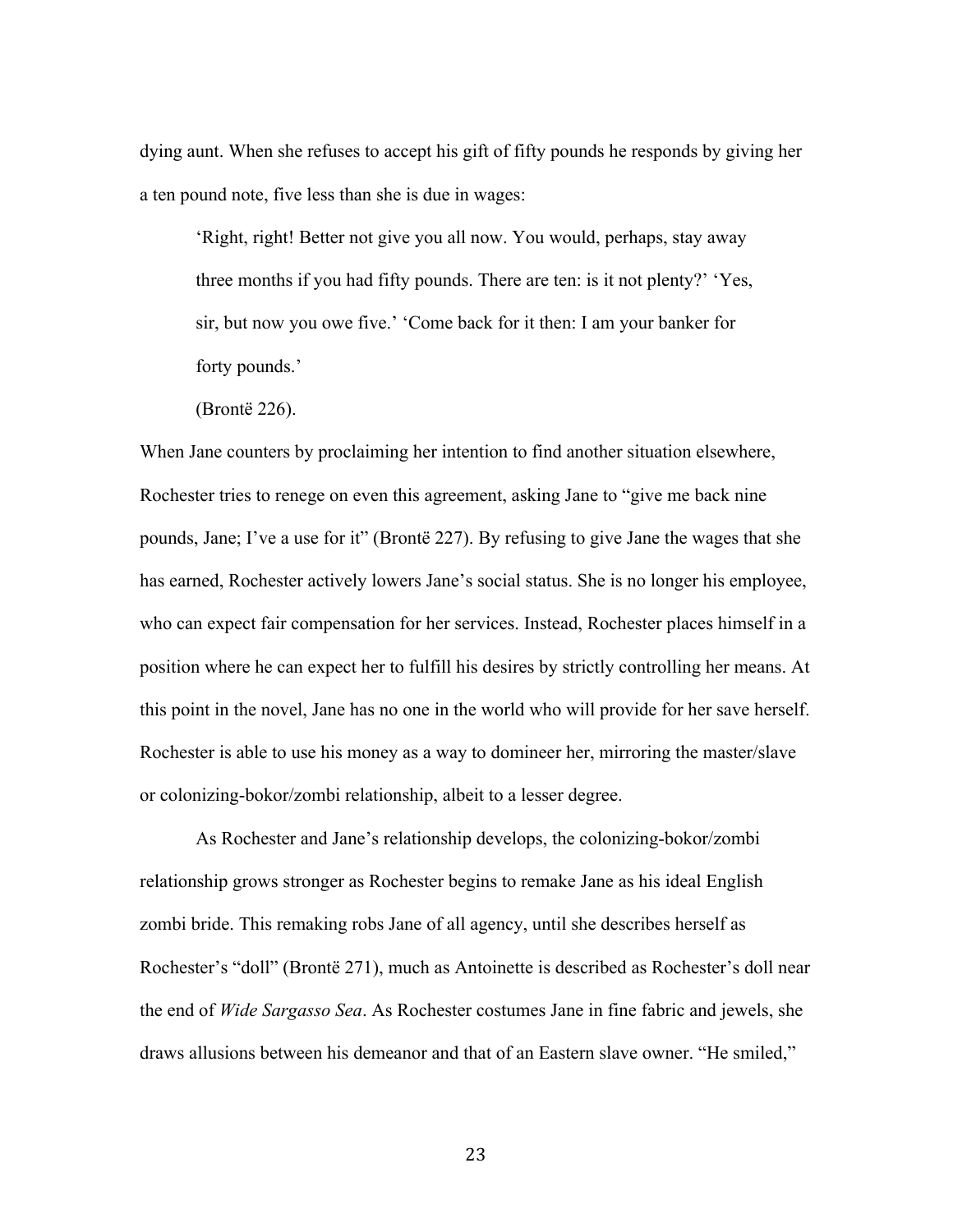dying aunt. When she refuses to accept his gift of fifty pounds he responds by giving her a ten pound note, five less than she is due in wages:

'Right, right! Better not give you all now. You would, perhaps, stay away three months if you had fifty pounds. There are ten: is it not plenty?' 'Yes, sir, but now you owe five.' 'Come back for it then: I am your banker for forty pounds.'

(Brontë 226).

When Jane counters by proclaiming her intention to find another situation elsewhere, Rochester tries to renege on even this agreement, asking Jane to "give me back nine pounds, Jane; I've a use for it" (Brontë 227). By refusing to give Jane the wages that she has earned, Rochester actively lowers Jane's social status. She is no longer his employee, who can expect fair compensation for her services. Instead, Rochester places himself in a position where he can expect her to fulfill his desires by strictly controlling her means. At this point in the novel, Jane has no one in the world who will provide for her save herself. Rochester is able to use his money as a way to domineer her, mirroring the master/slave or colonizing-bokor/zombi relationship, albeit to a lesser degree.

As Rochester and Jane's relationship develops, the colonizing-bokor/zombi relationship grows stronger as Rochester begins to remake Jane as his ideal English zombi bride. This remaking robs Jane of all agency, until she describes herself as Rochester's "doll" (Brontë 271), much as Antoinette is described as Rochester's doll near the end of *Wide Sargasso Sea*. As Rochester costumes Jane in fine fabric and jewels, she draws allusions between his demeanor and that of an Eastern slave owner. "He smiled,"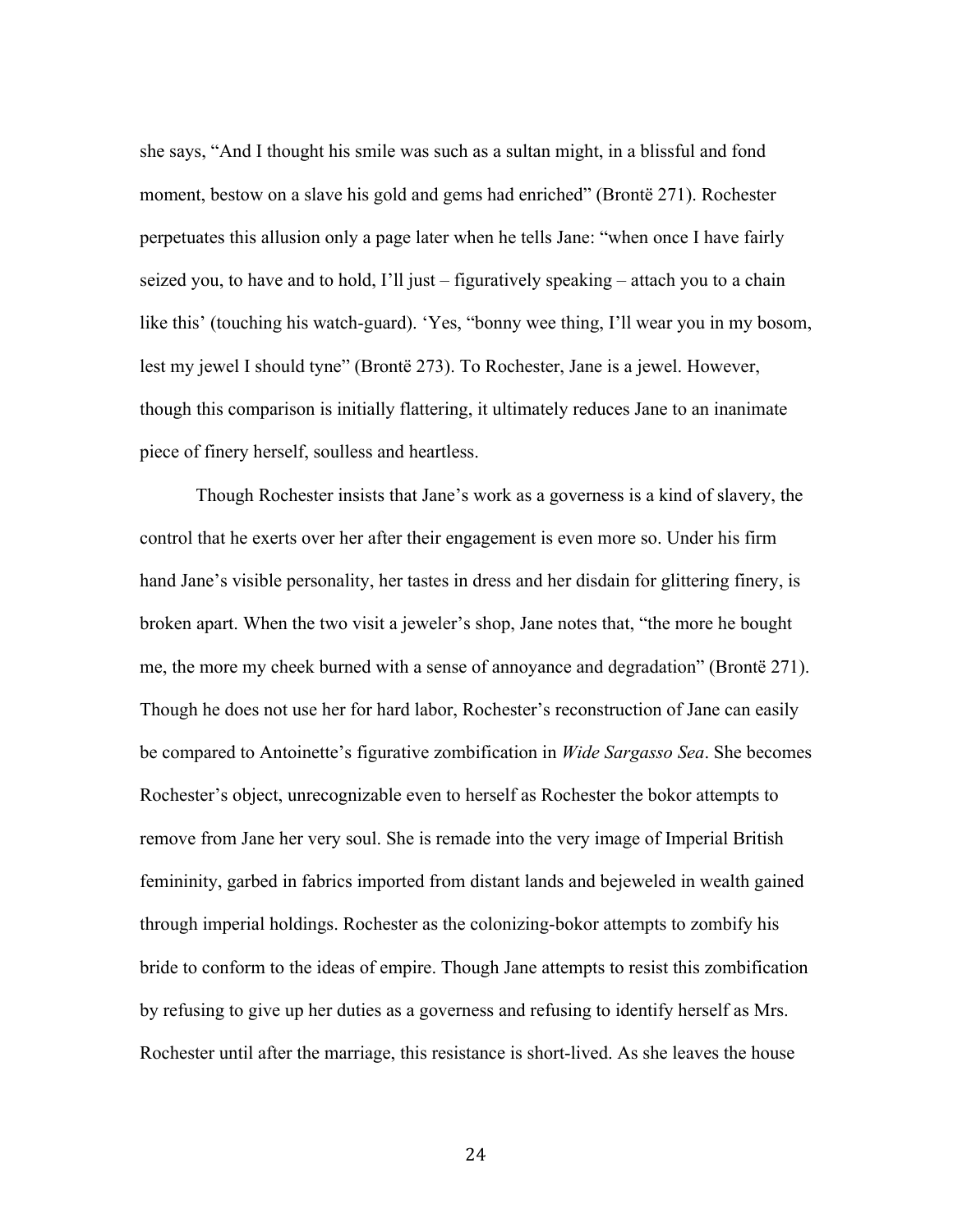she says, "And I thought his smile was such as a sultan might, in a blissful and fond moment, bestow on a slave his gold and gems had enriched" (Brontë 271). Rochester perpetuates this allusion only a page later when he tells Jane: "when once I have fairly seized you, to have and to hold, I'll just – figuratively speaking – attach you to a chain like this' (touching his watch-guard). 'Yes, "bonny wee thing, I'll wear you in my bosom, lest my jewel I should tyne" (Brontë 273). To Rochester, Jane is a jewel. However, though this comparison is initially flattering, it ultimately reduces Jane to an inanimate piece of finery herself, soulless and heartless.

Though Rochester insists that Jane's work as a governess is a kind of slavery, the control that he exerts over her after their engagement is even more so. Under his firm hand Jane's visible personality, her tastes in dress and her disdain for glittering finery, is broken apart. When the two visit a jeweler's shop, Jane notes that, "the more he bought me, the more my cheek burned with a sense of annoyance and degradation" (Brontë 271). Though he does not use her for hard labor, Rochester's reconstruction of Jane can easily be compared to Antoinette's figurative zombification in *Wide Sargasso Sea*. She becomes Rochester's object, unrecognizable even to herself as Rochester the bokor attempts to remove from Jane her very soul. She is remade into the very image of Imperial British femininity, garbed in fabrics imported from distant lands and bejeweled in wealth gained through imperial holdings. Rochester as the colonizing-bokor attempts to zombify his bride to conform to the ideas of empire. Though Jane attempts to resist this zombification by refusing to give up her duties as a governess and refusing to identify herself as Mrs. Rochester until after the marriage, this resistance is short-lived. As she leaves the house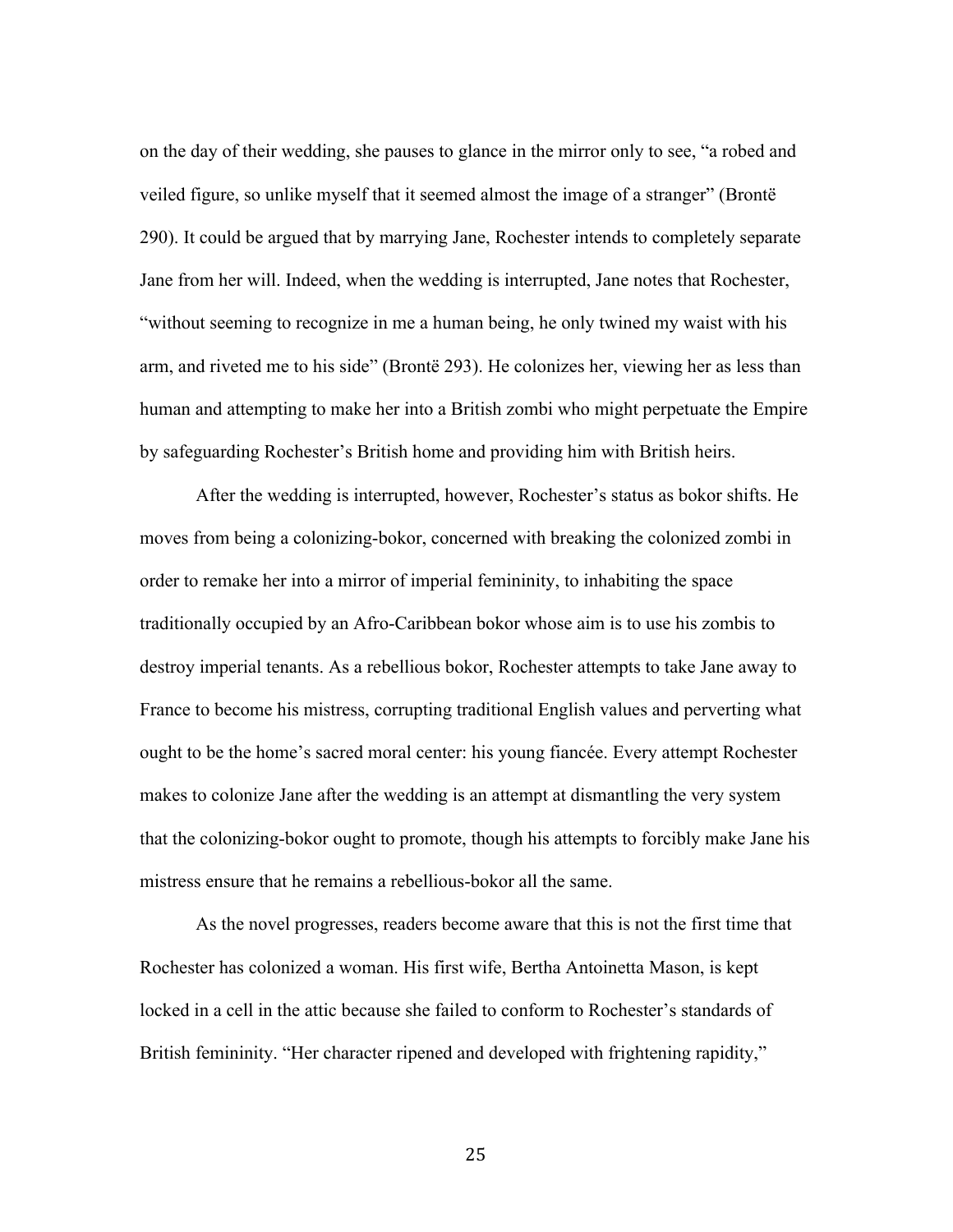on the day of their wedding, she pauses to glance in the mirror only to see, "a robed and veiled figure, so unlike myself that it seemed almost the image of a stranger" (Brontë 290). It could be argued that by marrying Jane, Rochester intends to completely separate Jane from her will. Indeed, when the wedding is interrupted, Jane notes that Rochester, "without seeming to recognize in me a human being, he only twined my waist with his arm, and riveted me to his side" (Brontë 293). He colonizes her, viewing her as less than human and attempting to make her into a British zombi who might perpetuate the Empire by safeguarding Rochester's British home and providing him with British heirs.

After the wedding is interrupted, however, Rochester's status as bokor shifts. He moves from being a colonizing-bokor, concerned with breaking the colonized zombi in order to remake her into a mirror of imperial femininity, to inhabiting the space traditionally occupied by an Afro-Caribbean bokor whose aim is to use his zombis to destroy imperial tenants. As a rebellious bokor, Rochester attempts to take Jane away to France to become his mistress, corrupting traditional English values and perverting what ought to be the home's sacred moral center: his young fiancée. Every attempt Rochester makes to colonize Jane after the wedding is an attempt at dismantling the very system that the colonizing-bokor ought to promote, though his attempts to forcibly make Jane his mistress ensure that he remains a rebellious-bokor all the same.

As the novel progresses, readers become aware that this is not the first time that Rochester has colonized a woman. His first wife, Bertha Antoinetta Mason, is kept locked in a cell in the attic because she failed to conform to Rochester's standards of British femininity. "Her character ripened and developed with frightening rapidity,"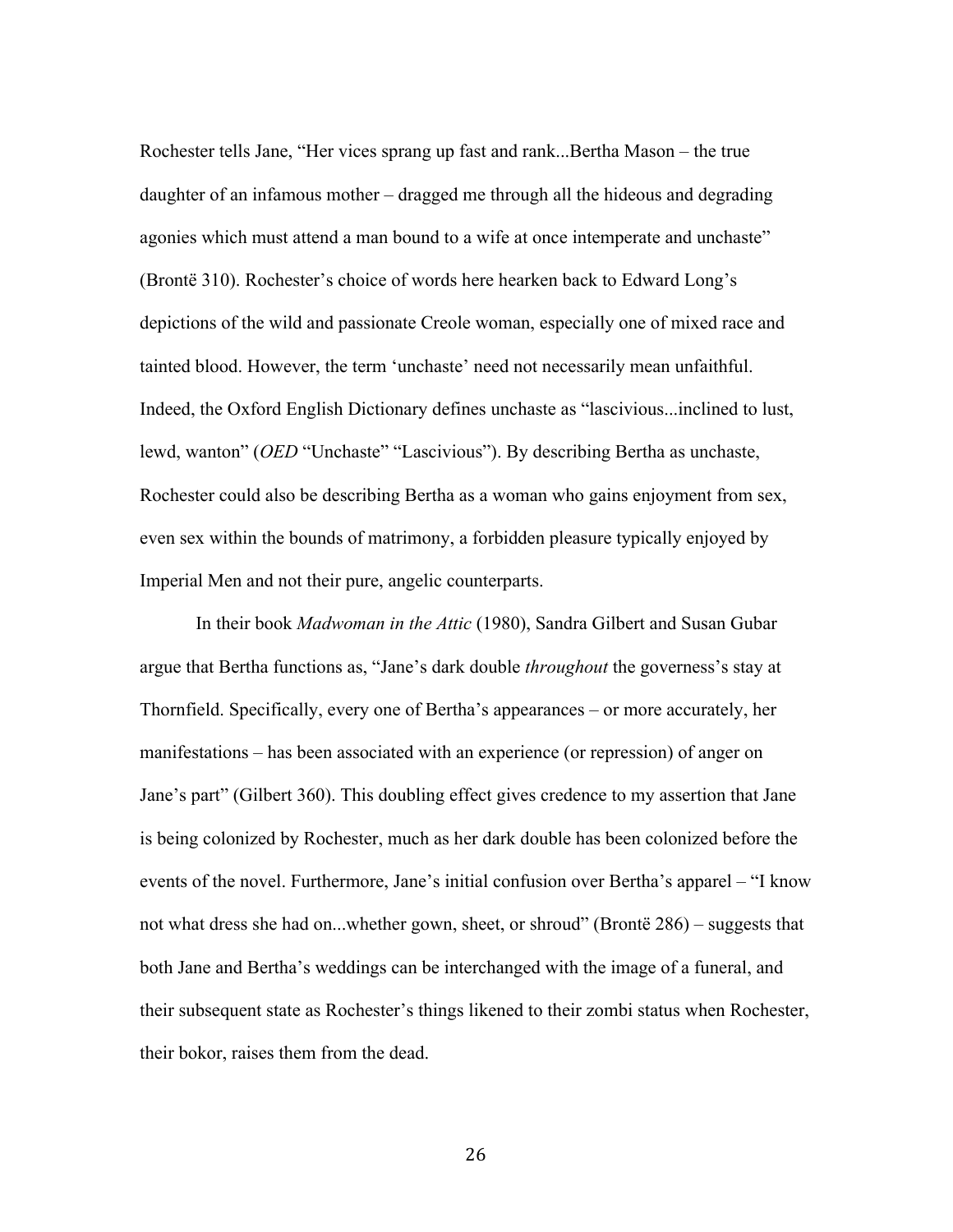Rochester tells Jane, "Her vices sprang up fast and rank...Bertha Mason – the true daughter of an infamous mother – dragged me through all the hideous and degrading agonies which must attend a man bound to a wife at once intemperate and unchaste" (Brontë 310). Rochester's choice of words here hearken back to Edward Long's depictions of the wild and passionate Creole woman, especially one of mixed race and tainted blood. However, the term 'unchaste' need not necessarily mean unfaithful. Indeed, the Oxford English Dictionary defines unchaste as "lascivious...inclined to lust, lewd, wanton" (*OED* "Unchaste" "Lascivious"). By describing Bertha as unchaste, Rochester could also be describing Bertha as a woman who gains enjoyment from sex, even sex within the bounds of matrimony, a forbidden pleasure typically enjoyed by Imperial Men and not their pure, angelic counterparts.

In their book *Madwoman in the Attic* (1980), Sandra Gilbert and Susan Gubar argue that Bertha functions as, "Jane's dark double *throughout* the governess's stay at Thornfield. Specifically, every one of Bertha's appearances – or more accurately, her manifestations – has been associated with an experience (or repression) of anger on Jane's part" (Gilbert 360). This doubling effect gives credence to my assertion that Jane is being colonized by Rochester, much as her dark double has been colonized before the events of the novel. Furthermore, Jane's initial confusion over Bertha's apparel – "I know not what dress she had on...whether gown, sheet, or shroud" (Brontë 286) – suggests that both Jane and Bertha's weddings can be interchanged with the image of a funeral, and their subsequent state as Rochester's things likened to their zombi status when Rochester, their bokor, raises them from the dead.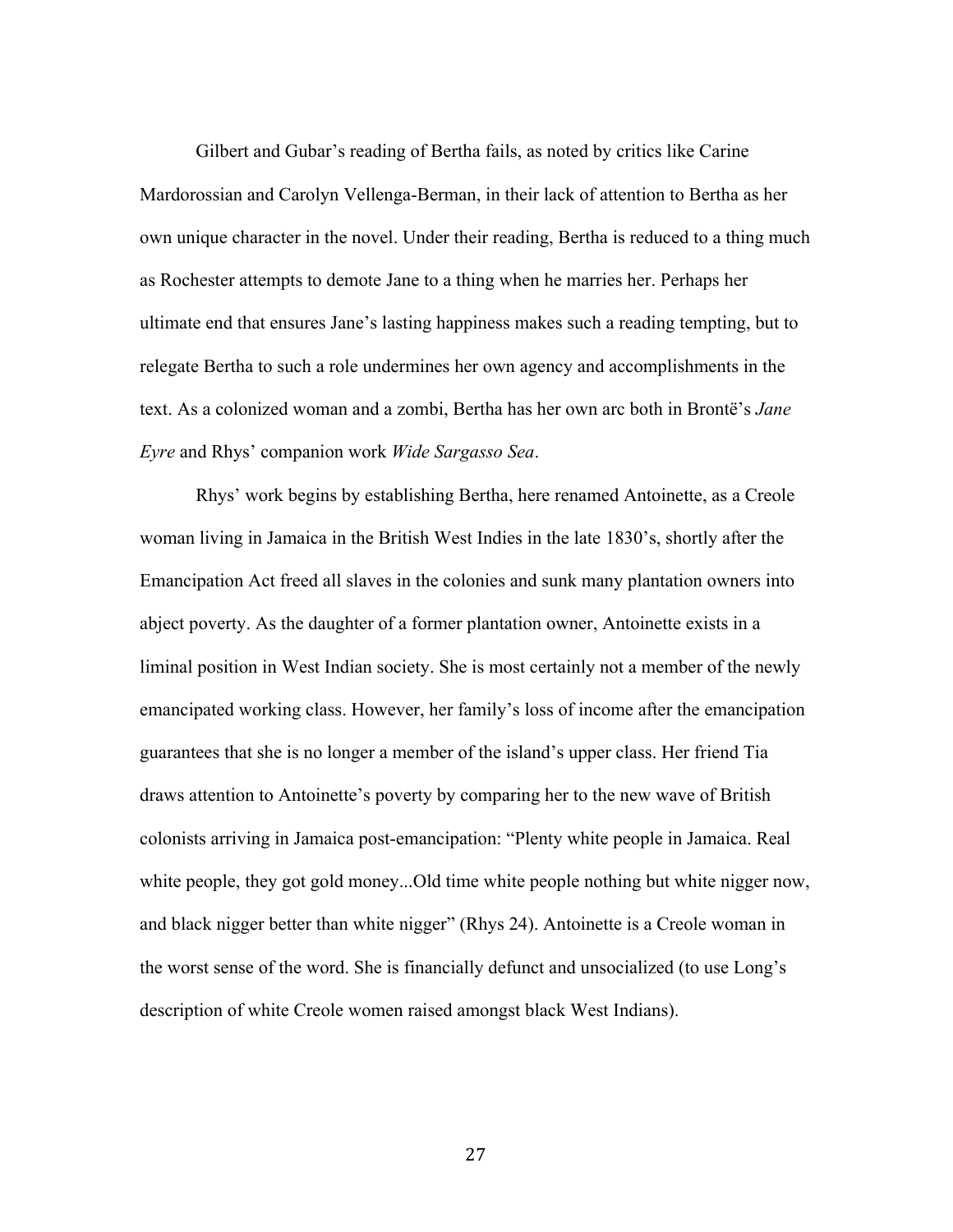Gilbert and Gubar's reading of Bertha fails, as noted by critics like Carine Mardorossian and Carolyn Vellenga-Berman, in their lack of attention to Bertha as her own unique character in the novel. Under their reading, Bertha is reduced to a thing much as Rochester attempts to demote Jane to a thing when he marries her. Perhaps her ultimate end that ensures Jane's lasting happiness makes such a reading tempting, but to relegate Bertha to such a role undermines her own agency and accomplishments in the text. As a colonized woman and a zombi, Bertha has her own arc both in Brontë's *Jane Eyre* and Rhys' companion work *Wide Sargasso Sea*.

Rhys' work begins by establishing Bertha, here renamed Antoinette, as a Creole woman living in Jamaica in the British West Indies in the late 1830's, shortly after the Emancipation Act freed all slaves in the colonies and sunk many plantation owners into abject poverty. As the daughter of a former plantation owner, Antoinette exists in a liminal position in West Indian society. She is most certainly not a member of the newly emancipated working class. However, her family's loss of income after the emancipation guarantees that she is no longer a member of the island's upper class. Her friend Tia draws attention to Antoinette's poverty by comparing her to the new wave of British colonists arriving in Jamaica post-emancipation: "Plenty white people in Jamaica. Real white people, they got gold money...Old time white people nothing but white nigger now, and black nigger better than white nigger" (Rhys 24). Antoinette is a Creole woman in the worst sense of the word. She is financially defunct and unsocialized (to use Long's description of white Creole women raised amongst black West Indians).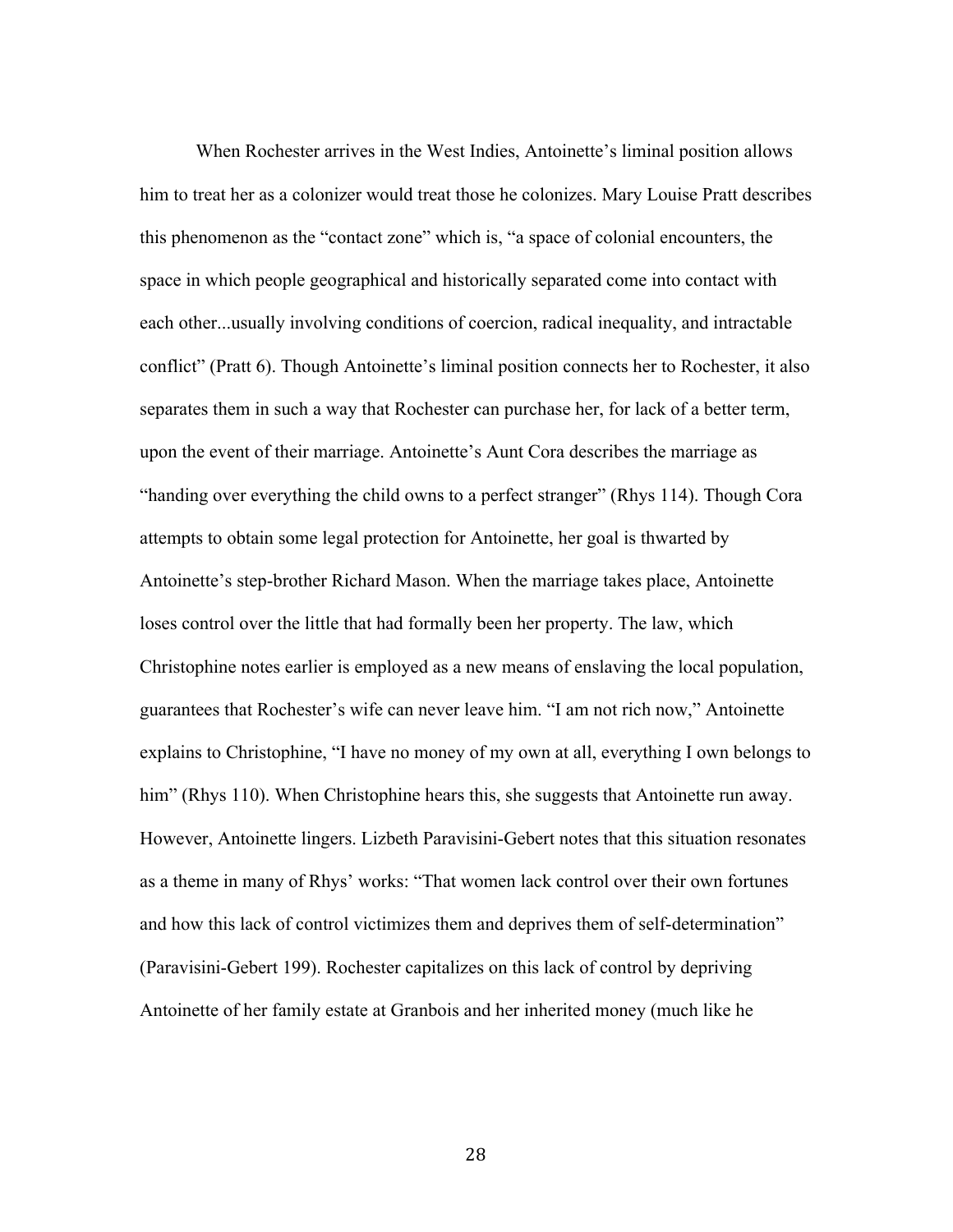When Rochester arrives in the West Indies, Antoinette's liminal position allows him to treat her as a colonizer would treat those he colonizes. Mary Louise Pratt describes this phenomenon as the "contact zone" which is, "a space of colonial encounters, the space in which people geographical and historically separated come into contact with each other...usually involving conditions of coercion, radical inequality, and intractable conflict" (Pratt 6). Though Antoinette's liminal position connects her to Rochester, it also separates them in such a way that Rochester can purchase her, for lack of a better term, upon the event of their marriage. Antoinette's Aunt Cora describes the marriage as "handing over everything the child owns to a perfect stranger" (Rhys 114). Though Cora attempts to obtain some legal protection for Antoinette, her goal is thwarted by Antoinette's step-brother Richard Mason. When the marriage takes place, Antoinette loses control over the little that had formally been her property. The law, which Christophine notes earlier is employed as a new means of enslaving the local population, guarantees that Rochester's wife can never leave him. "I am not rich now," Antoinette explains to Christophine, "I have no money of my own at all, everything I own belongs to him" (Rhys 110). When Christophine hears this, she suggests that Antoinette run away. However, Antoinette lingers. Lizbeth Paravisini-Gebert notes that this situation resonates as a theme in many of Rhys' works: "That women lack control over their own fortunes and how this lack of control victimizes them and deprives them of self-determination" (Paravisini-Gebert 199). Rochester capitalizes on this lack of control by depriving Antoinette of her family estate at Granbois and her inherited money (much like he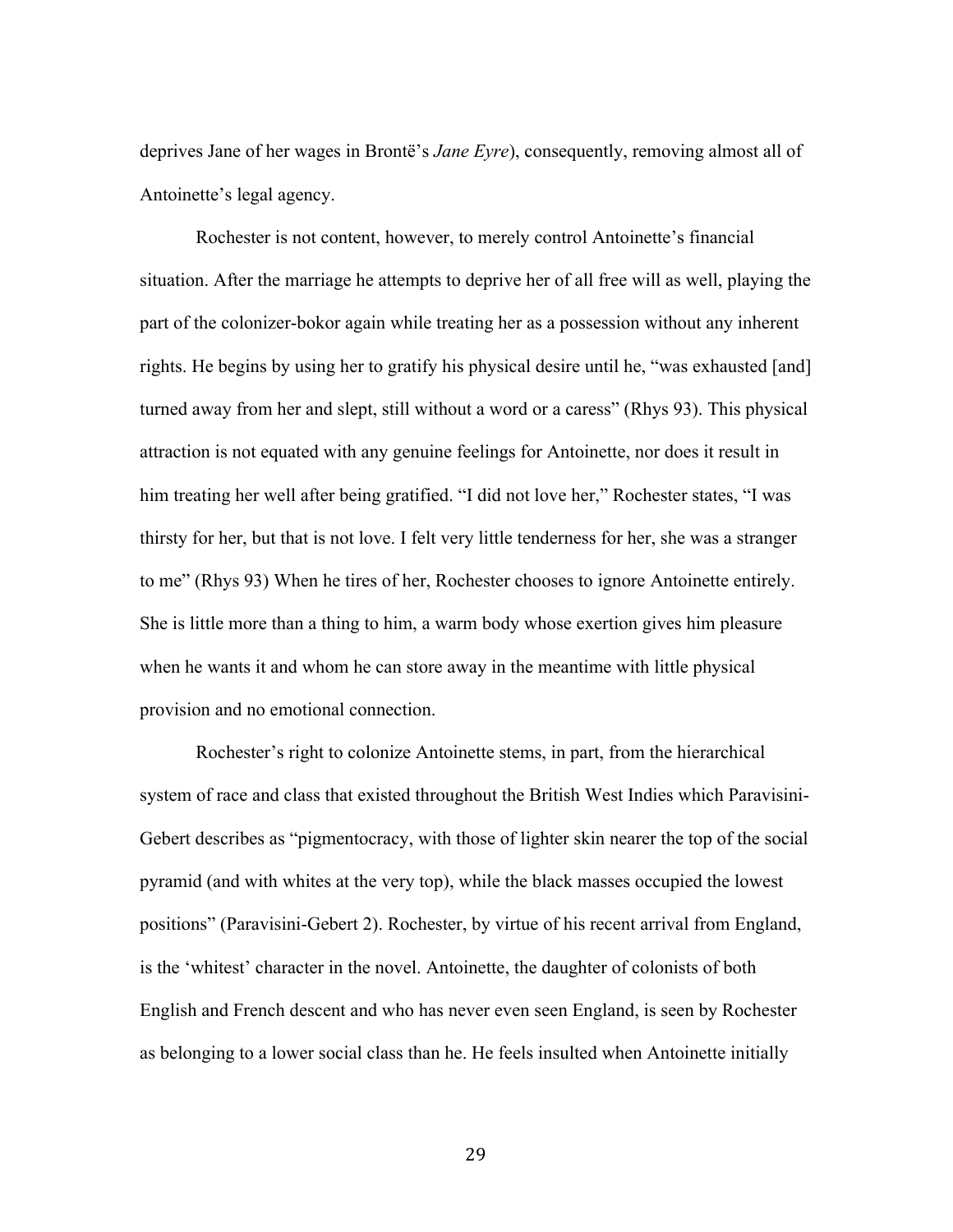deprives Jane of her wages in Brontë's *Jane Eyre*), consequently, removing almost all of Antoinette's legal agency.

Rochester is not content, however, to merely control Antoinette's financial situation. After the marriage he attempts to deprive her of all free will as well, playing the part of the colonizer-bokor again while treating her as a possession without any inherent rights. He begins by using her to gratify his physical desire until he, "was exhausted [and] turned away from her and slept, still without a word or a caress" (Rhys 93). This physical attraction is not equated with any genuine feelings for Antoinette, nor does it result in him treating her well after being gratified. "I did not love her," Rochester states, "I was thirsty for her, but that is not love. I felt very little tenderness for her, she was a stranger to me" (Rhys 93) When he tires of her, Rochester chooses to ignore Antoinette entirely. She is little more than a thing to him, a warm body whose exertion gives him pleasure when he wants it and whom he can store away in the meantime with little physical provision and no emotional connection.

Rochester's right to colonize Antoinette stems, in part, from the hierarchical system of race and class that existed throughout the British West Indies which Paravisini-Gebert describes as "pigmentocracy, with those of lighter skin nearer the top of the social pyramid (and with whites at the very top), while the black masses occupied the lowest positions" (Paravisini-Gebert 2). Rochester, by virtue of his recent arrival from England, is the 'whitest' character in the novel. Antoinette, the daughter of colonists of both English and French descent and who has never even seen England, is seen by Rochester as belonging to a lower social class than he. He feels insulted when Antoinette initially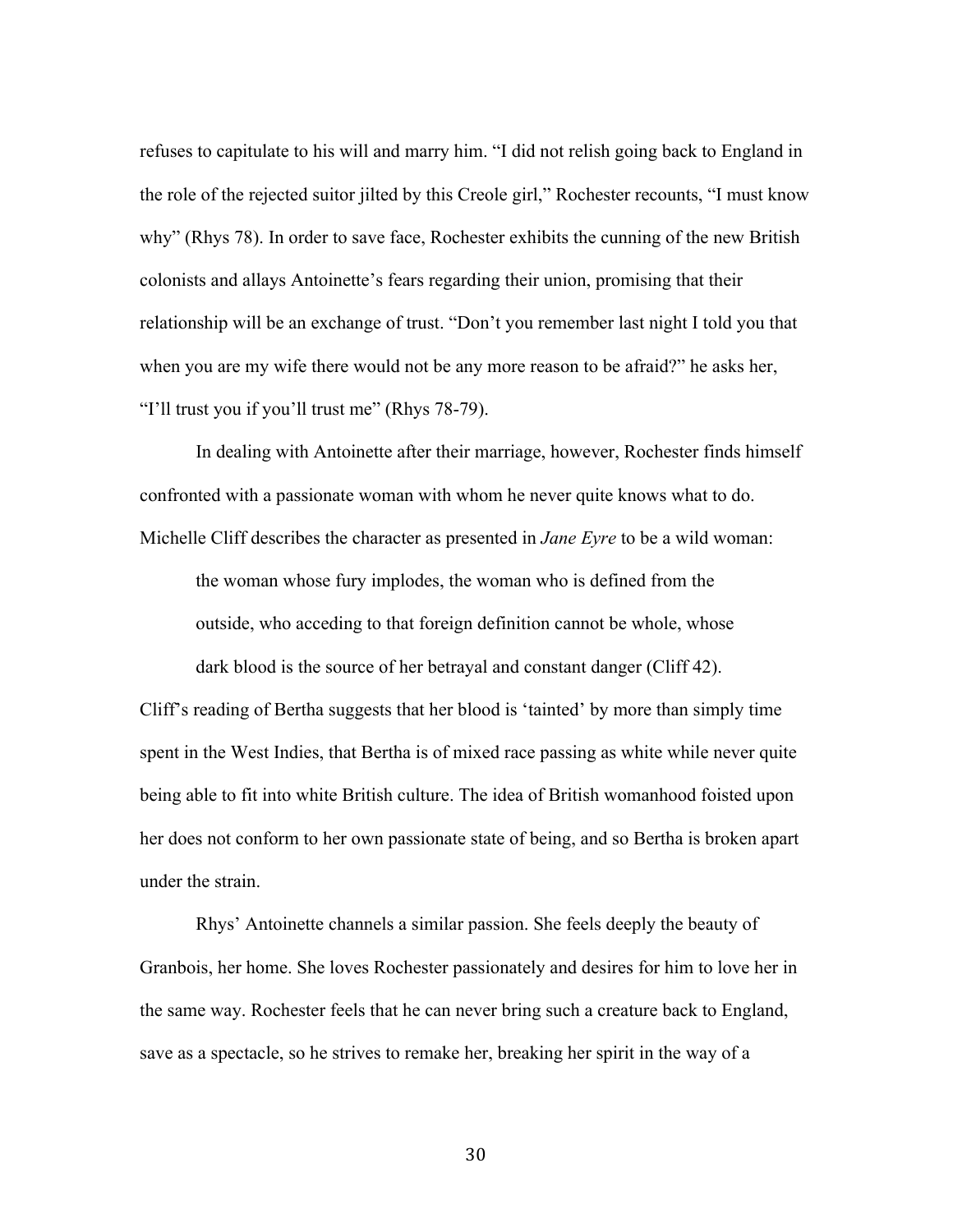refuses to capitulate to his will and marry him. "I did not relish going back to England in the role of the rejected suitor jilted by this Creole girl," Rochester recounts, "I must know why" (Rhys 78). In order to save face, Rochester exhibits the cunning of the new British colonists and allays Antoinette's fears regarding their union, promising that their relationship will be an exchange of trust. "Don't you remember last night I told you that when you are my wife there would not be any more reason to be afraid?" he asks her, "I'll trust you if you'll trust me" (Rhys 78-79).

In dealing with Antoinette after their marriage, however, Rochester finds himself confronted with a passionate woman with whom he never quite knows what to do. Michelle Cliff describes the character as presented in *Jane Eyre* to be a wild woman:

the woman whose fury implodes, the woman who is defined from the outside, who acceding to that foreign definition cannot be whole, whose dark blood is the source of her betrayal and constant danger (Cliff 42).

Cliff's reading of Bertha suggests that her blood is 'tainted' by more than simply time spent in the West Indies, that Bertha is of mixed race passing as white while never quite being able to fit into white British culture. The idea of British womanhood foisted upon her does not conform to her own passionate state of being, and so Bertha is broken apart under the strain.

Rhys' Antoinette channels a similar passion. She feels deeply the beauty of Granbois, her home. She loves Rochester passionately and desires for him to love her in the same way. Rochester feels that he can never bring such a creature back to England, save as a spectacle, so he strives to remake her, breaking her spirit in the way of a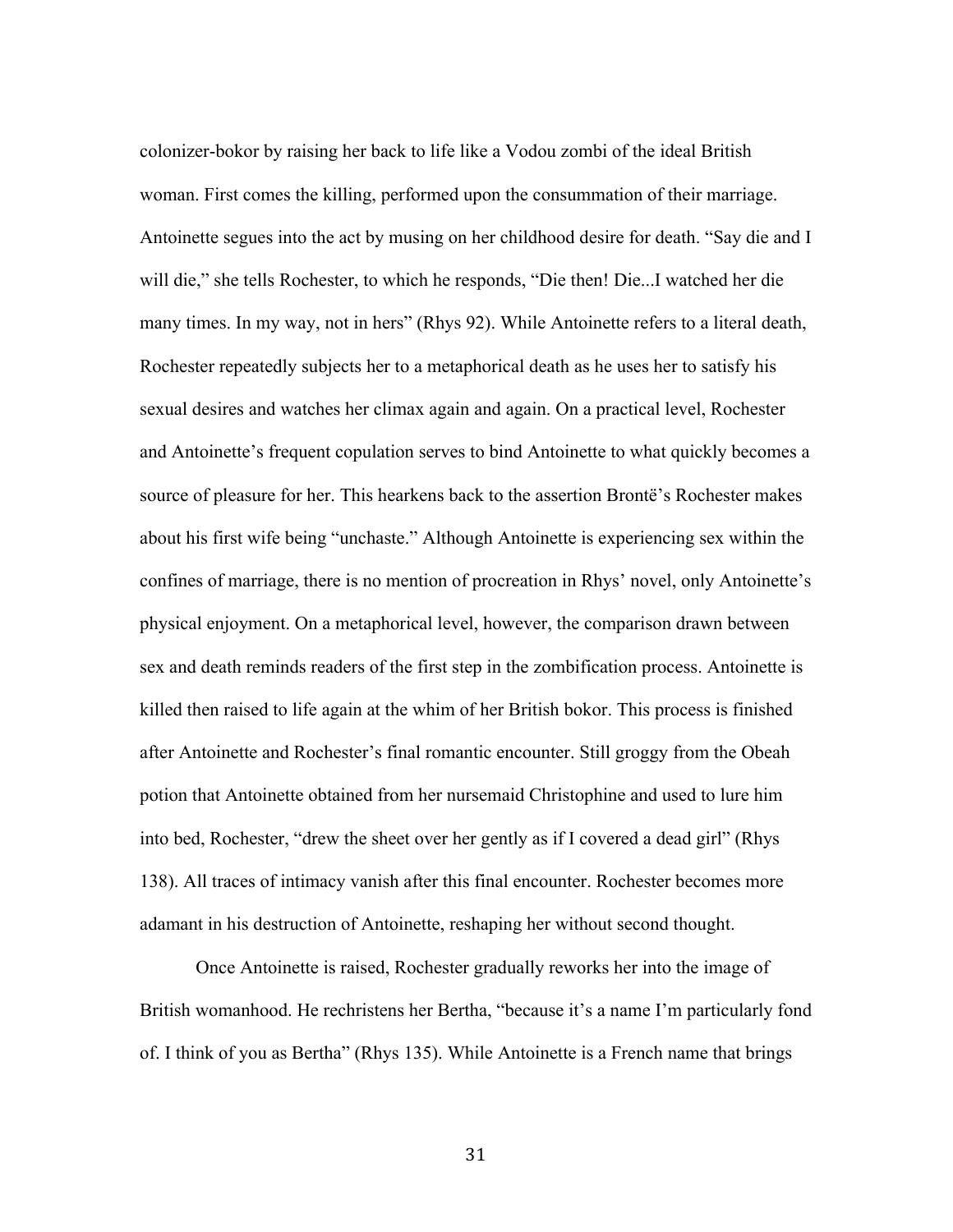colonizer-bokor by raising her back to life like a Vodou zombi of the ideal British woman. First comes the killing, performed upon the consummation of their marriage. Antoinette segues into the act by musing on her childhood desire for death. "Say die and I will die," she tells Rochester, to which he responds, "Die then! Die...I watched her die many times. In my way, not in hers" (Rhys 92). While Antoinette refers to a literal death, Rochester repeatedly subjects her to a metaphorical death as he uses her to satisfy his sexual desires and watches her climax again and again. On a practical level, Rochester and Antoinette's frequent copulation serves to bind Antoinette to what quickly becomes a source of pleasure for her. This hearkens back to the assertion Brontë's Rochester makes about his first wife being "unchaste." Although Antoinette is experiencing sex within the confines of marriage, there is no mention of procreation in Rhys' novel, only Antoinette's physical enjoyment. On a metaphorical level, however, the comparison drawn between sex and death reminds readers of the first step in the zombification process. Antoinette is killed then raised to life again at the whim of her British bokor. This process is finished after Antoinette and Rochester's final romantic encounter. Still groggy from the Obeah potion that Antoinette obtained from her nursemaid Christophine and used to lure him into bed, Rochester, "drew the sheet over her gently as if I covered a dead girl" (Rhys 138). All traces of intimacy vanish after this final encounter. Rochester becomes more adamant in his destruction of Antoinette, reshaping her without second thought.

Once Antoinette is raised, Rochester gradually reworks her into the image of British womanhood. He rechristens her Bertha, "because it's a name I'm particularly fond of. I think of you as Bertha" (Rhys 135). While Antoinette is a French name that brings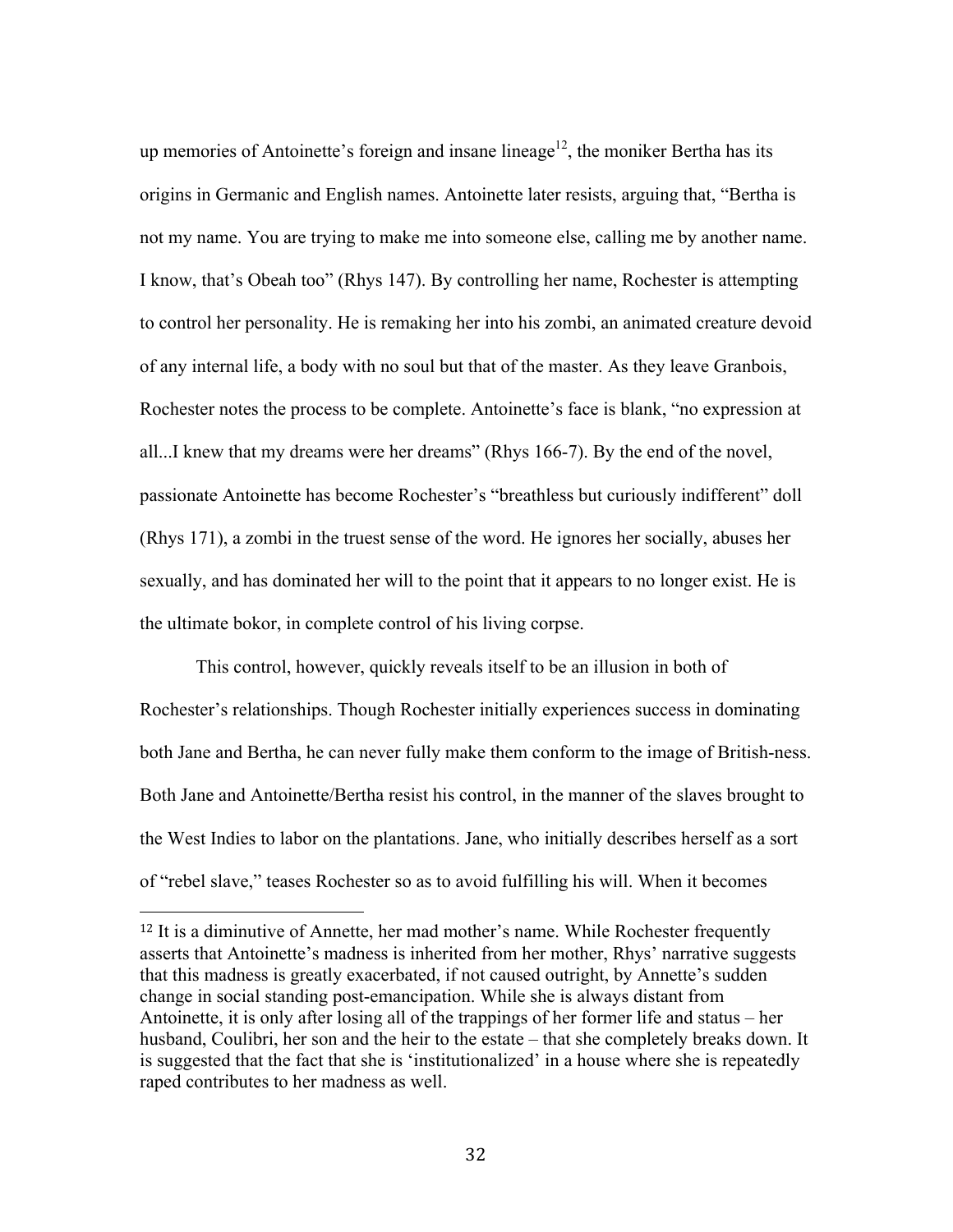up memories of Antoinette's foreign and insane lineage<sup>12</sup>, the moniker Bertha has its origins in Germanic and English names. Antoinette later resists, arguing that, "Bertha is not my name. You are trying to make me into someone else, calling me by another name. I know, that's Obeah too" (Rhys 147). By controlling her name, Rochester is attempting to control her personality. He is remaking her into his zombi, an animated creature devoid of any internal life, a body with no soul but that of the master. As they leave Granbois, Rochester notes the process to be complete. Antoinette's face is blank, "no expression at all...I knew that my dreams were her dreams" (Rhys 166-7). By the end of the novel, passionate Antoinette has become Rochester's "breathless but curiously indifferent" doll (Rhys 171), a zombi in the truest sense of the word. He ignores her socially, abuses her sexually, and has dominated her will to the point that it appears to no longer exist. He is the ultimate bokor, in complete control of his living corpse.

This control, however, quickly reveals itself to be an illusion in both of Rochester's relationships. Though Rochester initially experiences success in dominating both Jane and Bertha, he can never fully make them conform to the image of British-ness. Both Jane and Antoinette/Bertha resist his control, in the manner of the slaves brought to the West Indies to labor on the plantations. Jane, who initially describes herself as a sort of "rebel slave," teases Rochester so as to avoid fulfilling his will. When it becomes

<sup>12</sup> It is a diminutive of Annette, her mad mother's name. While Rochester frequently asserts that Antoinette's madness is inherited from her mother, Rhys' narrative suggests that this madness is greatly exacerbated, if not caused outright, by Annette's sudden change in social standing post-emancipation. While she is always distant from Antoinette, it is only after losing all of the trappings of her former life and status – her husband, Coulibri, her son and the heir to the estate – that she completely breaks down. It is suggested that the fact that she is 'institutionalized' in a house where she is repeatedly raped contributes to her madness as well.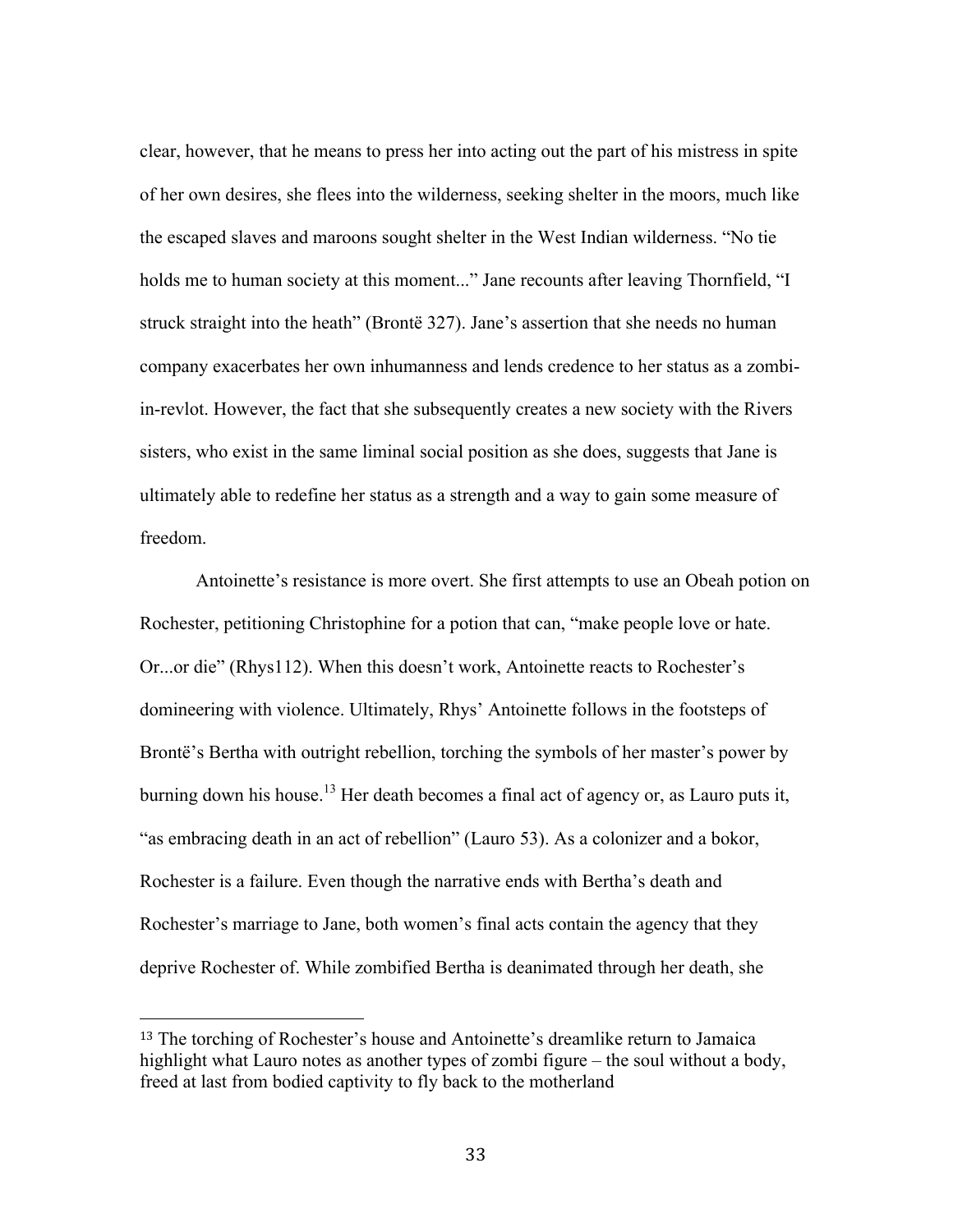clear, however, that he means to press her into acting out the part of his mistress in spite of her own desires, she flees into the wilderness, seeking shelter in the moors, much like the escaped slaves and maroons sought shelter in the West Indian wilderness. "No tie holds me to human society at this moment..." Jane recounts after leaving Thornfield, "I struck straight into the heath" (Brontë 327). Jane's assertion that she needs no human company exacerbates her own inhumanness and lends credence to her status as a zombiin-revlot. However, the fact that she subsequently creates a new society with the Rivers sisters, who exist in the same liminal social position as she does, suggests that Jane is ultimately able to redefine her status as a strength and a way to gain some measure of freedom.

Antoinette's resistance is more overt. She first attempts to use an Obeah potion on Rochester, petitioning Christophine for a potion that can, "make people love or hate. Or...or die" (Rhys112). When this doesn't work, Antoinette reacts to Rochester's domineering with violence. Ultimately, Rhys' Antoinette follows in the footsteps of Brontë's Bertha with outright rebellion, torching the symbols of her master's power by burning down his house.<sup>13</sup> Her death becomes a final act of agency or, as Lauro puts it, "as embracing death in an act of rebellion" (Lauro 53). As a colonizer and a bokor, Rochester is a failure. Even though the narrative ends with Bertha's death and Rochester's marriage to Jane, both women's final acts contain the agency that they deprive Rochester of. While zombified Bertha is deanimated through her death, she

<sup>13</sup> The torching of Rochester's house and Antoinette's dreamlike return to Jamaica highlight what Lauro notes as another types of zombi figure – the soul without a body, freed at last from bodied captivity to fly back to the motherland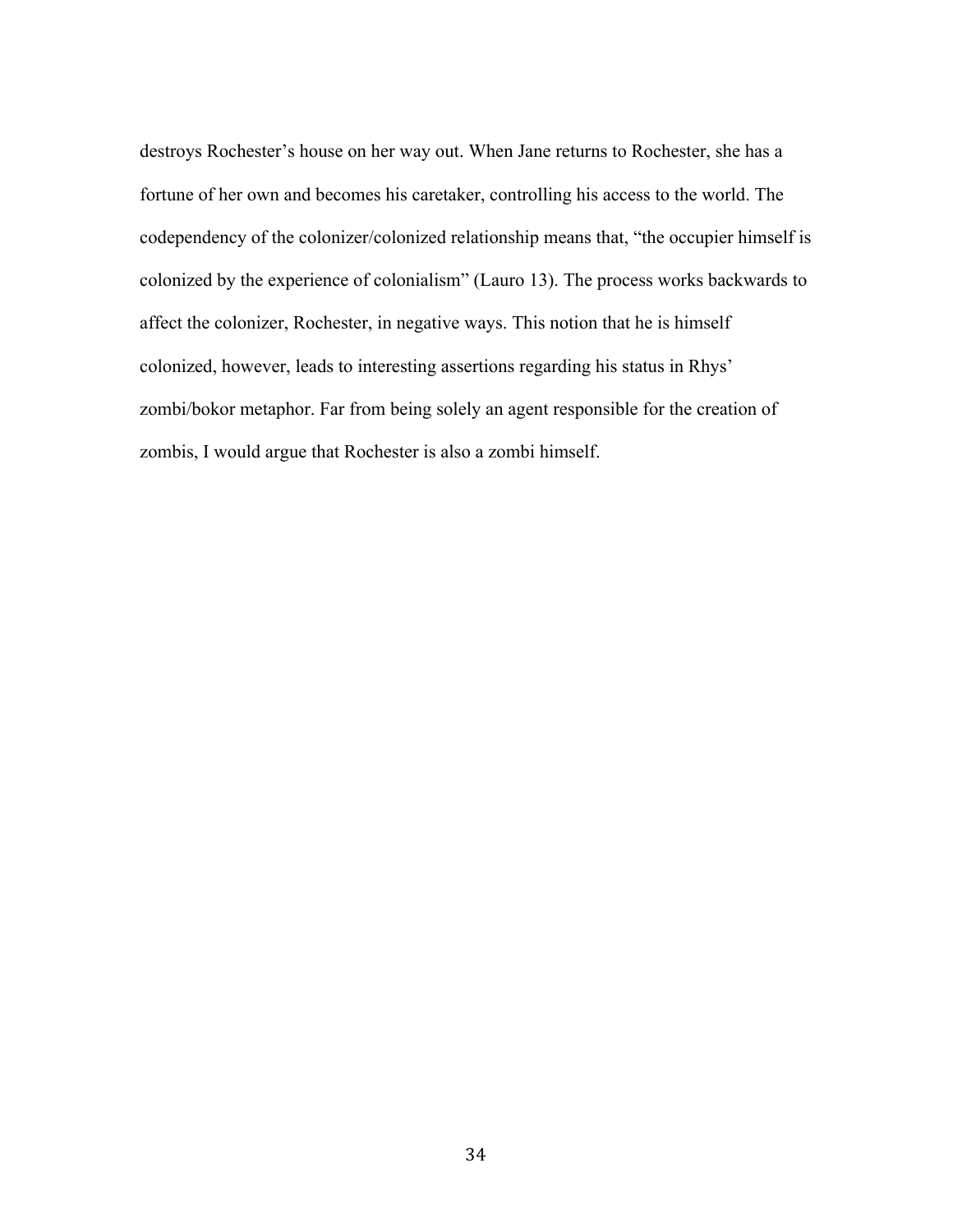destroys Rochester's house on her way out. When Jane returns to Rochester, she has a fortune of her own and becomes his caretaker, controlling his access to the world. The codependency of the colonizer/colonized relationship means that, "the occupier himself is colonized by the experience of colonialism" (Lauro 13). The process works backwards to affect the colonizer, Rochester, in negative ways. This notion that he is himself colonized, however, leads to interesting assertions regarding his status in Rhys' zombi/bokor metaphor. Far from being solely an agent responsible for the creation of zombis, I would argue that Rochester is also a zombi himself.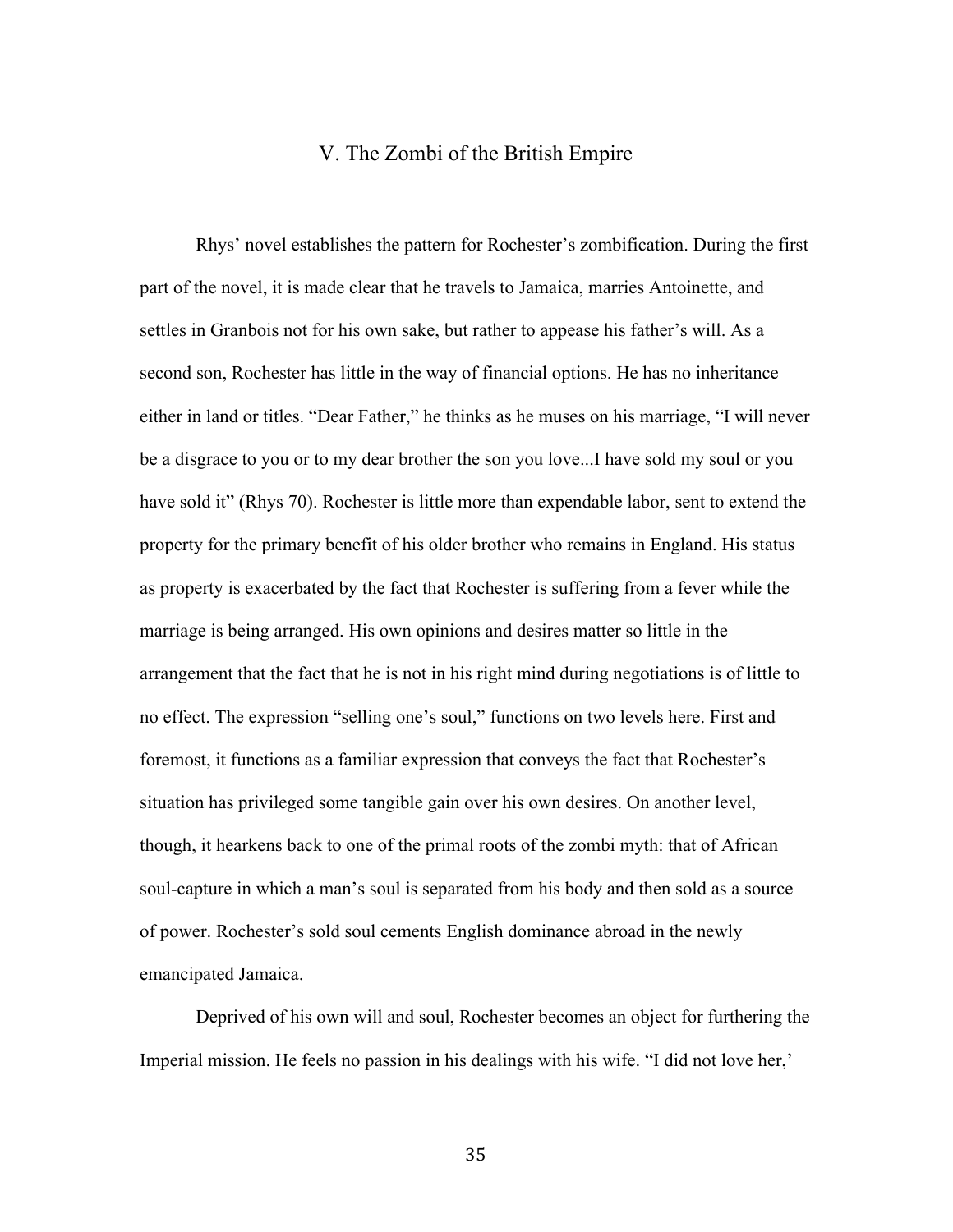### V. The Zombi of the British Empire

Rhys' novel establishes the pattern for Rochester's zombification. During the first part of the novel, it is made clear that he travels to Jamaica, marries Antoinette, and settles in Granbois not for his own sake, but rather to appease his father's will. As a second son, Rochester has little in the way of financial options. He has no inheritance either in land or titles. "Dear Father," he thinks as he muses on his marriage, "I will never be a disgrace to you or to my dear brother the son you love...I have sold my soul or you have sold it" (Rhys 70). Rochester is little more than expendable labor, sent to extend the property for the primary benefit of his older brother who remains in England. His status as property is exacerbated by the fact that Rochester is suffering from a fever while the marriage is being arranged. His own opinions and desires matter so little in the arrangement that the fact that he is not in his right mind during negotiations is of little to no effect. The expression "selling one's soul," functions on two levels here. First and foremost, it functions as a familiar expression that conveys the fact that Rochester's situation has privileged some tangible gain over his own desires. On another level, though, it hearkens back to one of the primal roots of the zombi myth: that of African soul-capture in which a man's soul is separated from his body and then sold as a source of power. Rochester's sold soul cements English dominance abroad in the newly emancipated Jamaica.

Deprived of his own will and soul, Rochester becomes an object for furthering the Imperial mission. He feels no passion in his dealings with his wife. "I did not love her,'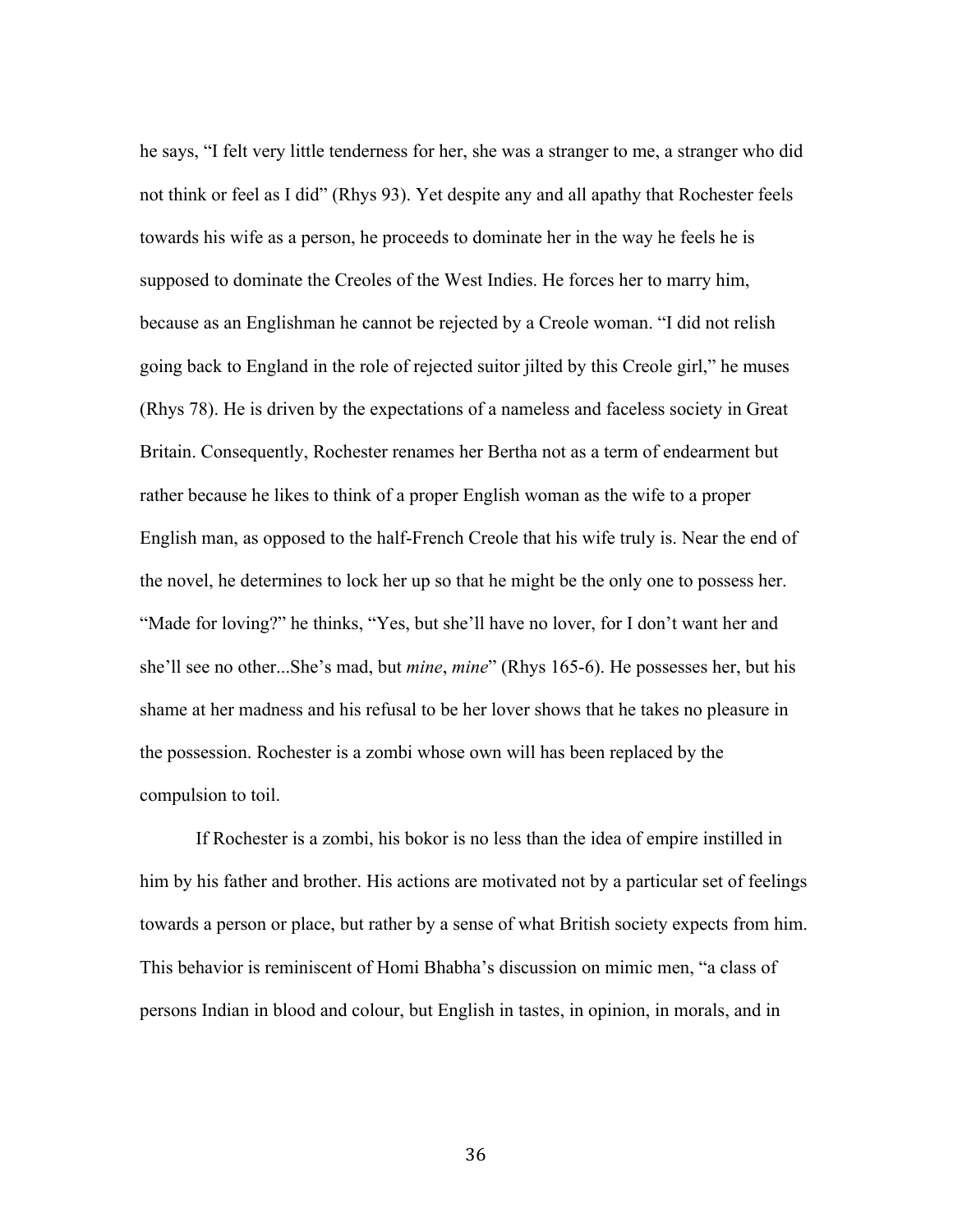he says, "I felt very little tenderness for her, she was a stranger to me, a stranger who did not think or feel as I did" (Rhys 93). Yet despite any and all apathy that Rochester feels towards his wife as a person, he proceeds to dominate her in the way he feels he is supposed to dominate the Creoles of the West Indies. He forces her to marry him, because as an Englishman he cannot be rejected by a Creole woman. "I did not relish going back to England in the role of rejected suitor jilted by this Creole girl," he muses (Rhys 78). He is driven by the expectations of a nameless and faceless society in Great Britain. Consequently, Rochester renames her Bertha not as a term of endearment but rather because he likes to think of a proper English woman as the wife to a proper English man, as opposed to the half-French Creole that his wife truly is. Near the end of the novel, he determines to lock her up so that he might be the only one to possess her. "Made for loving?" he thinks, "Yes, but she'll have no lover, for I don't want her and she'll see no other...She's mad, but *mine*, *mine*" (Rhys 165-6). He possesses her, but his shame at her madness and his refusal to be her lover shows that he takes no pleasure in the possession. Rochester is a zombi whose own will has been replaced by the compulsion to toil.

If Rochester is a zombi, his bokor is no less than the idea of empire instilled in him by his father and brother. His actions are motivated not by a particular set of feelings towards a person or place, but rather by a sense of what British society expects from him. This behavior is reminiscent of Homi Bhabha's discussion on mimic men, "a class of persons Indian in blood and colour, but English in tastes, in opinion, in morals, and in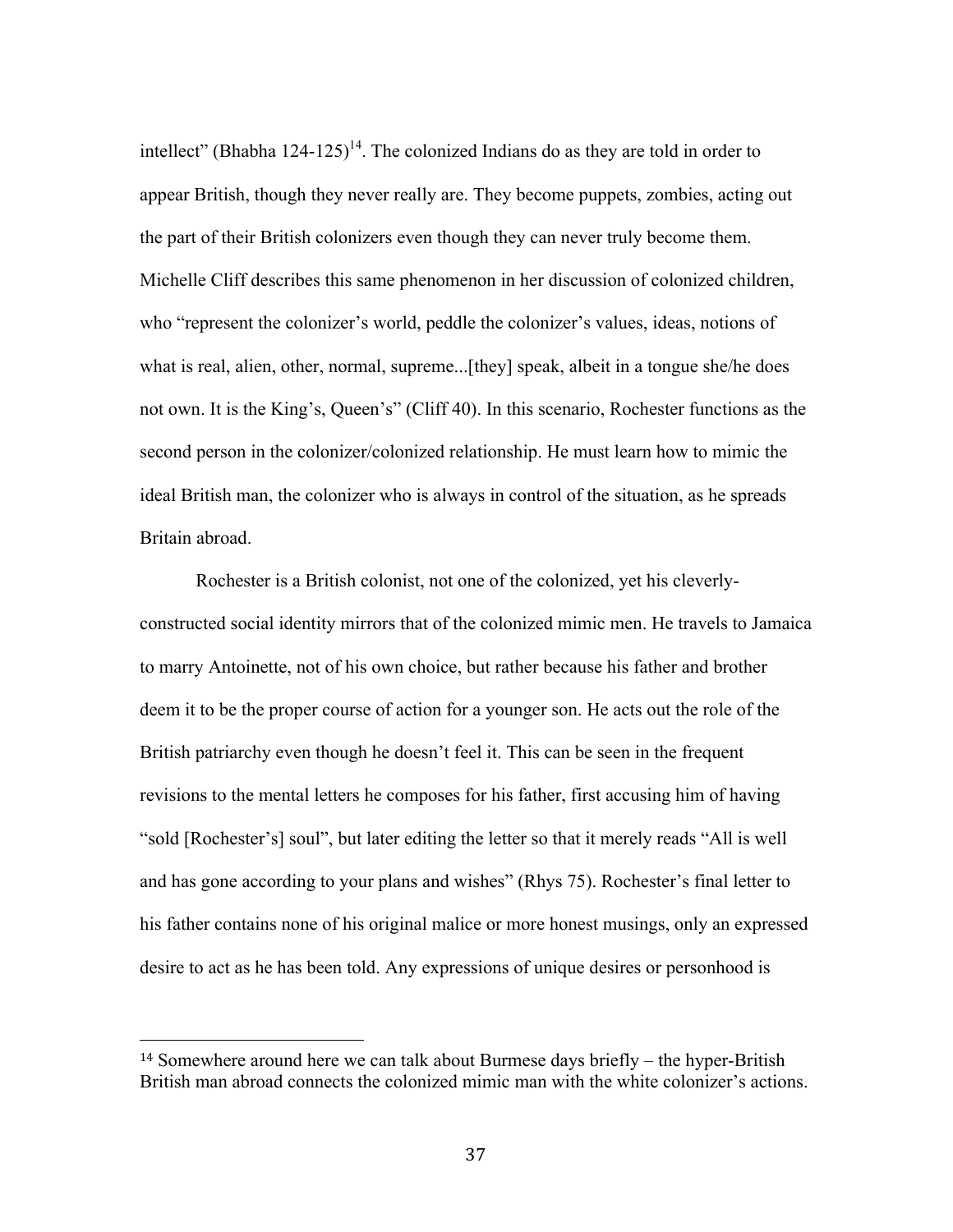intellect" (Bhabha 124-125)<sup>14</sup>. The colonized Indians do as they are told in order to appear British, though they never really are. They become puppets, zombies, acting out the part of their British colonizers even though they can never truly become them. Michelle Cliff describes this same phenomenon in her discussion of colonized children, who "represent the colonizer's world, peddle the colonizer's values, ideas, notions of what is real, alien, other, normal, supreme...[they] speak, albeit in a tongue she/he does not own. It is the King's, Queen's" (Cliff 40). In this scenario, Rochester functions as the second person in the colonizer/colonized relationship. He must learn how to mimic the ideal British man, the colonizer who is always in control of the situation, as he spreads Britain abroad.

Rochester is a British colonist, not one of the colonized, yet his cleverlyconstructed social identity mirrors that of the colonized mimic men. He travels to Jamaica to marry Antoinette, not of his own choice, but rather because his father and brother deem it to be the proper course of action for a younger son. He acts out the role of the British patriarchy even though he doesn't feel it. This can be seen in the frequent revisions to the mental letters he composes for his father, first accusing him of having "sold [Rochester's] soul", but later editing the letter so that it merely reads "All is well and has gone according to your plans and wishes" (Rhys 75). Rochester's final letter to his father contains none of his original malice or more honest musings, only an expressed desire to act as he has been told. Any expressions of unique desires or personhood is

<sup>14</sup> Somewhere around here we can talk about Burmese days briefly – the hyper-British British man abroad connects the colonized mimic man with the white colonizer's actions.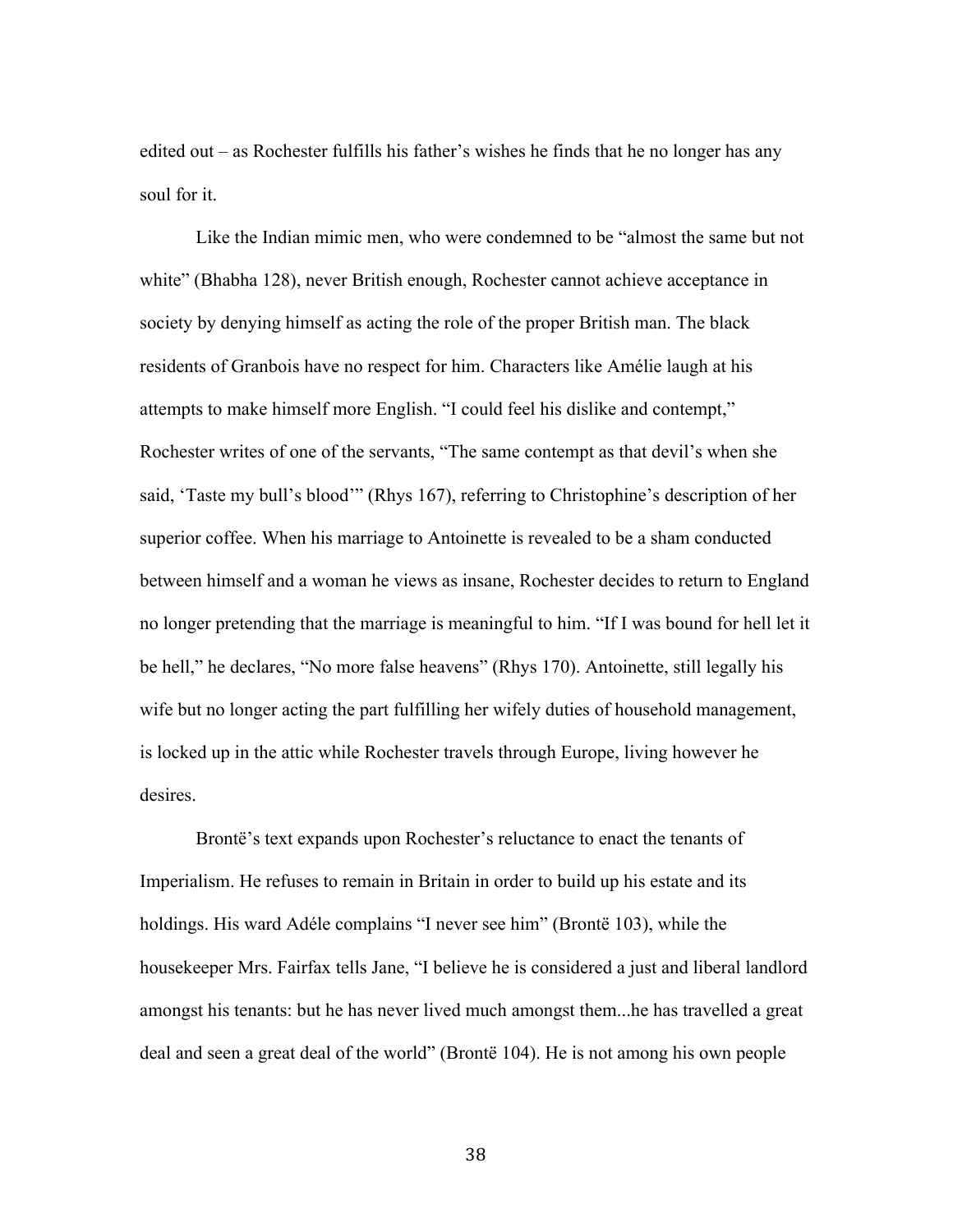edited out – as Rochester fulfills his father's wishes he finds that he no longer has any soul for it.

Like the Indian mimic men, who were condemned to be "almost the same but not white" (Bhabha 128), never British enough, Rochester cannot achieve acceptance in society by denying himself as acting the role of the proper British man. The black residents of Granbois have no respect for him. Characters like Amélie laugh at his attempts to make himself more English. "I could feel his dislike and contempt," Rochester writes of one of the servants, "The same contempt as that devil's when she said, 'Taste my bull's blood'" (Rhys 167), referring to Christophine's description of her superior coffee. When his marriage to Antoinette is revealed to be a sham conducted between himself and a woman he views as insane, Rochester decides to return to England no longer pretending that the marriage is meaningful to him. "If I was bound for hell let it be hell," he declares, "No more false heavens" (Rhys 170). Antoinette, still legally his wife but no longer acting the part fulfilling her wifely duties of household management, is locked up in the attic while Rochester travels through Europe, living however he desires.

Brontë's text expands upon Rochester's reluctance to enact the tenants of Imperialism. He refuses to remain in Britain in order to build up his estate and its holdings. His ward Adéle complains "I never see him" (Brontë 103), while the housekeeper Mrs. Fairfax tells Jane, "I believe he is considered a just and liberal landlord amongst his tenants: but he has never lived much amongst them...he has travelled a great deal and seen a great deal of the world" (Brontë 104). He is not among his own people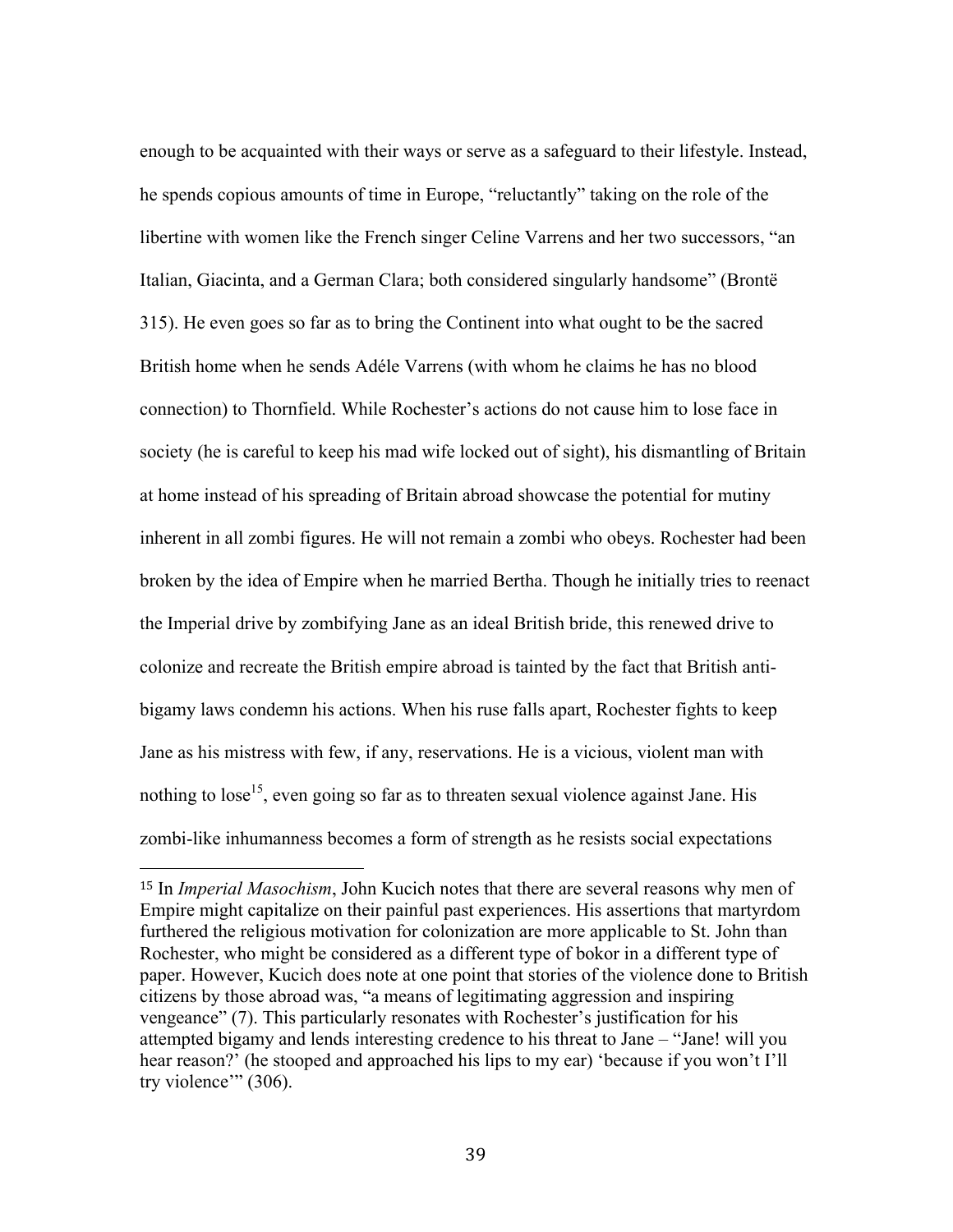enough to be acquainted with their ways or serve as a safeguard to their lifestyle. Instead, he spends copious amounts of time in Europe, "reluctantly" taking on the role of the libertine with women like the French singer Celine Varrens and her two successors, "an Italian, Giacinta, and a German Clara; both considered singularly handsome" (Brontë 315). He even goes so far as to bring the Continent into what ought to be the sacred British home when he sends Adéle Varrens (with whom he claims he has no blood connection) to Thornfield. While Rochester's actions do not cause him to lose face in society (he is careful to keep his mad wife locked out of sight), his dismantling of Britain at home instead of his spreading of Britain abroad showcase the potential for mutiny inherent in all zombi figures. He will not remain a zombi who obeys. Rochester had been broken by the idea of Empire when he married Bertha. Though he initially tries to reenact the Imperial drive by zombifying Jane as an ideal British bride, this renewed drive to colonize and recreate the British empire abroad is tainted by the fact that British antibigamy laws condemn his actions. When his ruse falls apart, Rochester fights to keep Jane as his mistress with few, if any, reservations. He is a vicious, violent man with nothing to lose<sup>15</sup>, even going so far as to threaten sexual violence against Jane. His zombi-like inhumanness becomes a form of strength as he resists social expectations

<sup>15</sup> In *Imperial Masochism*, John Kucich notes that there are several reasons why men of Empire might capitalize on their painful past experiences. His assertions that martyrdom furthered the religious motivation for colonization are more applicable to St. John than Rochester, who might be considered as a different type of bokor in a different type of paper. However, Kucich does note at one point that stories of the violence done to British citizens by those abroad was, "a means of legitimating aggression and inspiring vengeance" (7). This particularly resonates with Rochester's justification for his attempted bigamy and lends interesting credence to his threat to Jane – "Jane! will you hear reason?' (he stooped and approached his lips to my ear) 'because if you won't I'll try violence" (306).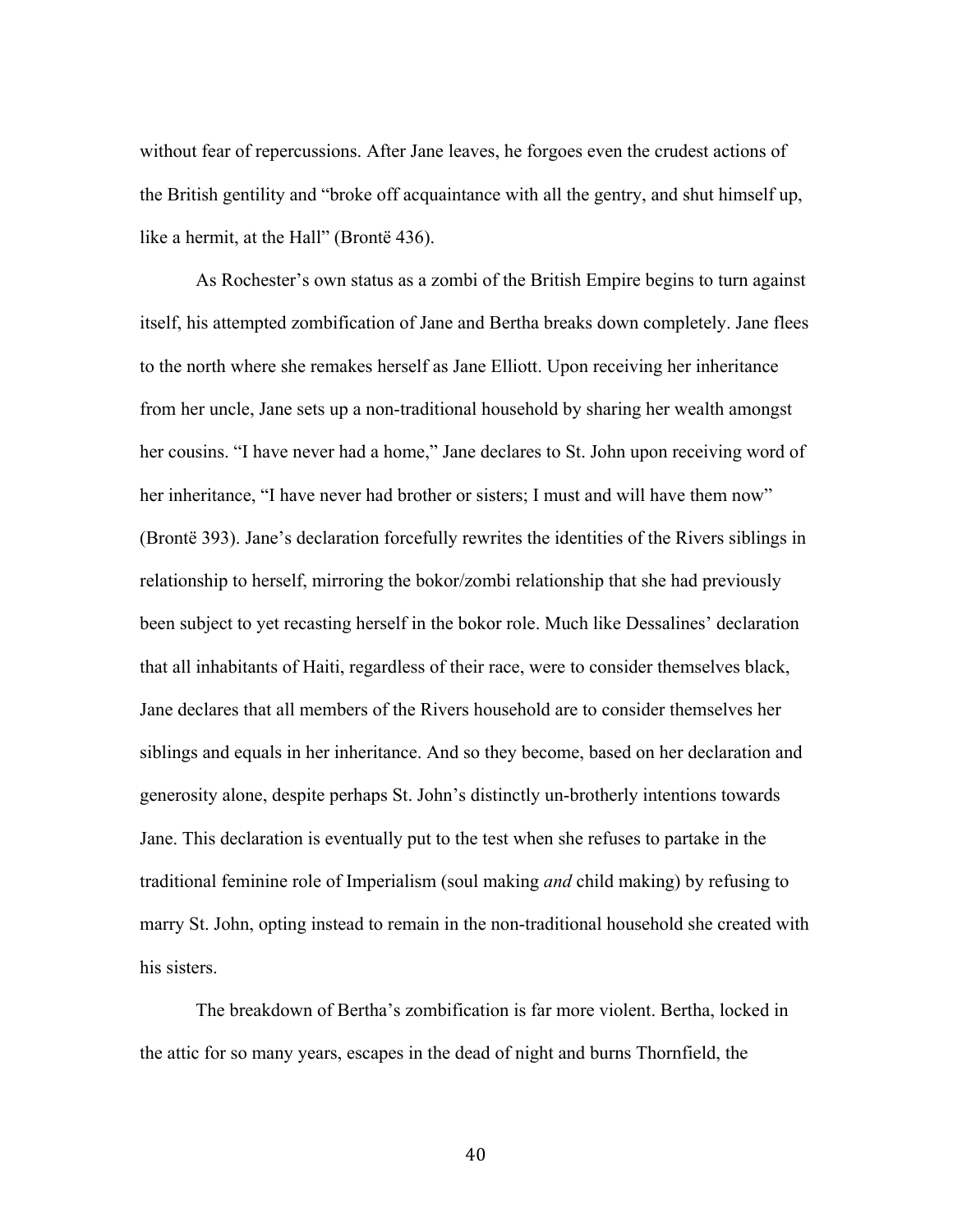without fear of repercussions. After Jane leaves, he forgoes even the crudest actions of the British gentility and "broke off acquaintance with all the gentry, and shut himself up, like a hermit, at the Hall" (Brontë 436).

As Rochester's own status as a zombi of the British Empire begins to turn against itself, his attempted zombification of Jane and Bertha breaks down completely. Jane flees to the north where she remakes herself as Jane Elliott. Upon receiving her inheritance from her uncle, Jane sets up a non-traditional household by sharing her wealth amongst her cousins. "I have never had a home," Jane declares to St. John upon receiving word of her inheritance, "I have never had brother or sisters; I must and will have them now" (Brontë 393). Jane's declaration forcefully rewrites the identities of the Rivers siblings in relationship to herself, mirroring the bokor/zombi relationship that she had previously been subject to yet recasting herself in the bokor role. Much like Dessalines' declaration that all inhabitants of Haiti, regardless of their race, were to consider themselves black, Jane declares that all members of the Rivers household are to consider themselves her siblings and equals in her inheritance. And so they become, based on her declaration and generosity alone, despite perhaps St. John's distinctly un-brotherly intentions towards Jane. This declaration is eventually put to the test when she refuses to partake in the traditional feminine role of Imperialism (soul making *and* child making) by refusing to marry St. John, opting instead to remain in the non-traditional household she created with his sisters.

The breakdown of Bertha's zombification is far more violent. Bertha, locked in the attic for so many years, escapes in the dead of night and burns Thornfield, the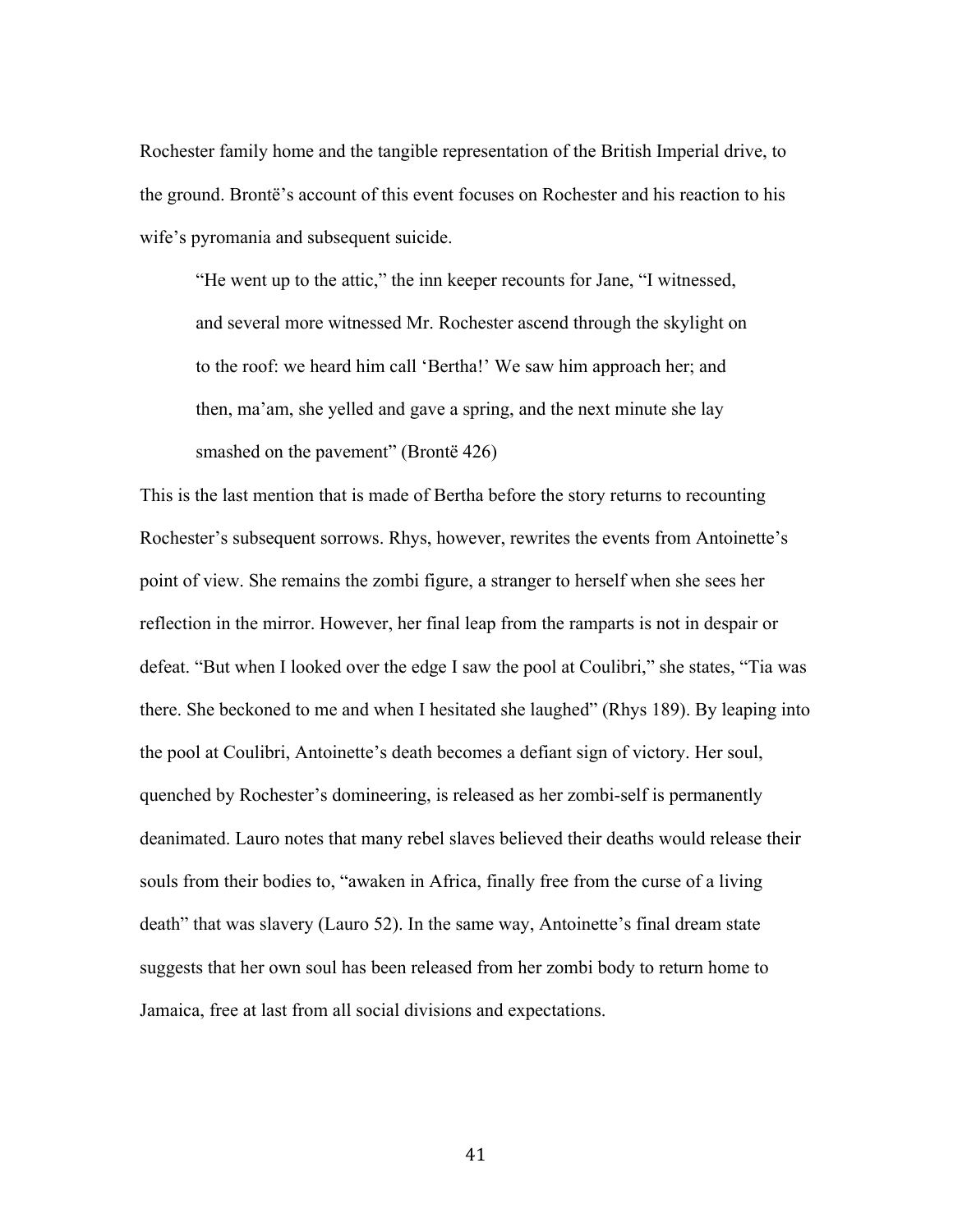Rochester family home and the tangible representation of the British Imperial drive, to the ground. Brontë's account of this event focuses on Rochester and his reaction to his wife's pyromania and subsequent suicide.

"He went up to the attic," the inn keeper recounts for Jane, "I witnessed, and several more witnessed Mr. Rochester ascend through the skylight on to the roof: we heard him call 'Bertha!' We saw him approach her; and then, ma'am, she yelled and gave a spring, and the next minute she lay smashed on the pavement" (Brontë 426)

This is the last mention that is made of Bertha before the story returns to recounting Rochester's subsequent sorrows. Rhys, however, rewrites the events from Antoinette's point of view. She remains the zombi figure, a stranger to herself when she sees her reflection in the mirror. However, her final leap from the ramparts is not in despair or defeat. "But when I looked over the edge I saw the pool at Coulibri," she states, "Tia was there. She beckoned to me and when I hesitated she laughed" (Rhys 189). By leaping into the pool at Coulibri, Antoinette's death becomes a defiant sign of victory. Her soul, quenched by Rochester's domineering, is released as her zombi-self is permanently deanimated. Lauro notes that many rebel slaves believed their deaths would release their souls from their bodies to, "awaken in Africa, finally free from the curse of a living death" that was slavery (Lauro 52). In the same way, Antoinette's final dream state suggests that her own soul has been released from her zombi body to return home to Jamaica, free at last from all social divisions and expectations.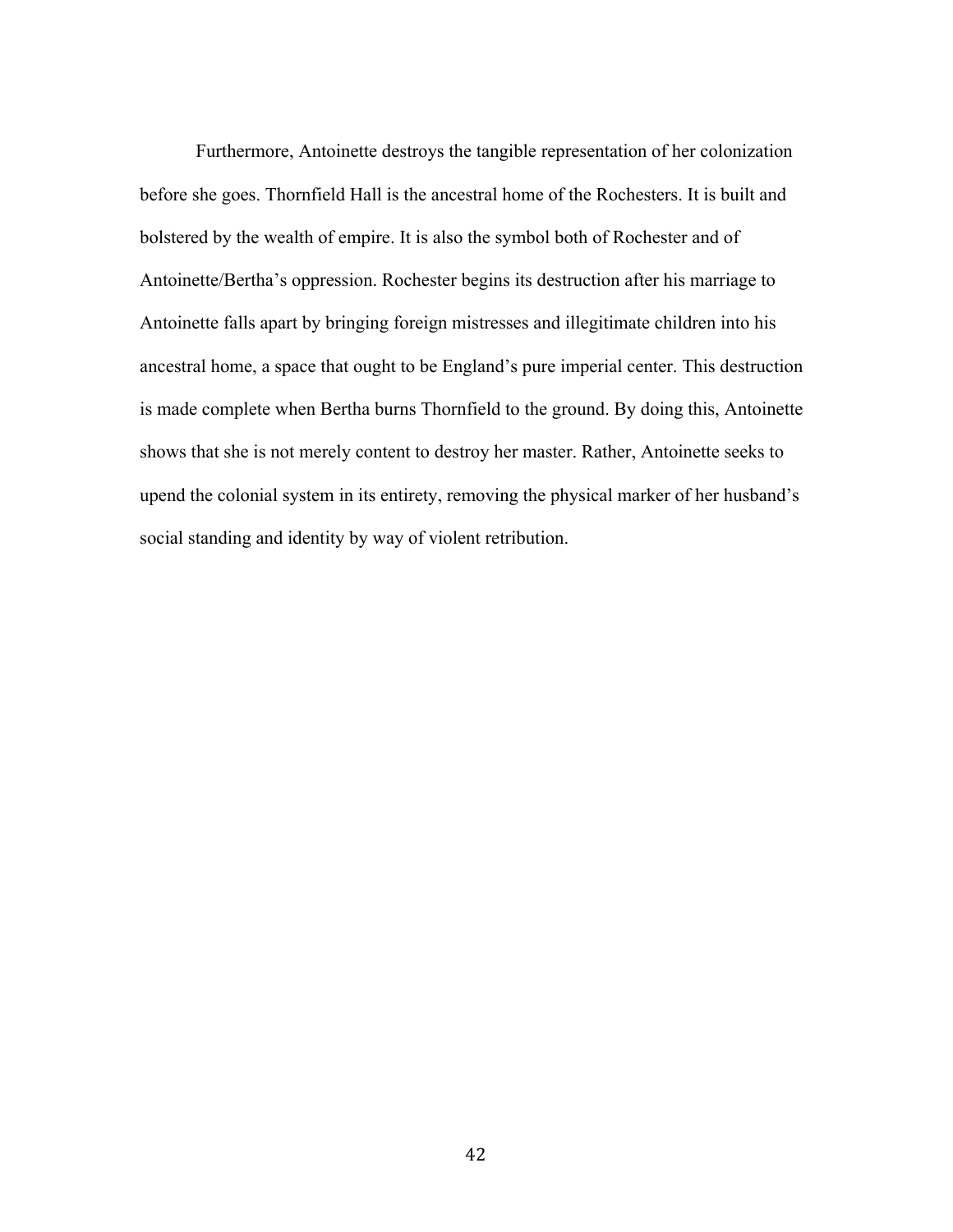Furthermore, Antoinette destroys the tangible representation of her colonization before she goes. Thornfield Hall is the ancestral home of the Rochesters. It is built and bolstered by the wealth of empire. It is also the symbol both of Rochester and of Antoinette/Bertha's oppression. Rochester begins its destruction after his marriage to Antoinette falls apart by bringing foreign mistresses and illegitimate children into his ancestral home, a space that ought to be England's pure imperial center. This destruction is made complete when Bertha burns Thornfield to the ground. By doing this, Antoinette shows that she is not merely content to destroy her master. Rather, Antoinette seeks to upend the colonial system in its entirety, removing the physical marker of her husband's social standing and identity by way of violent retribution.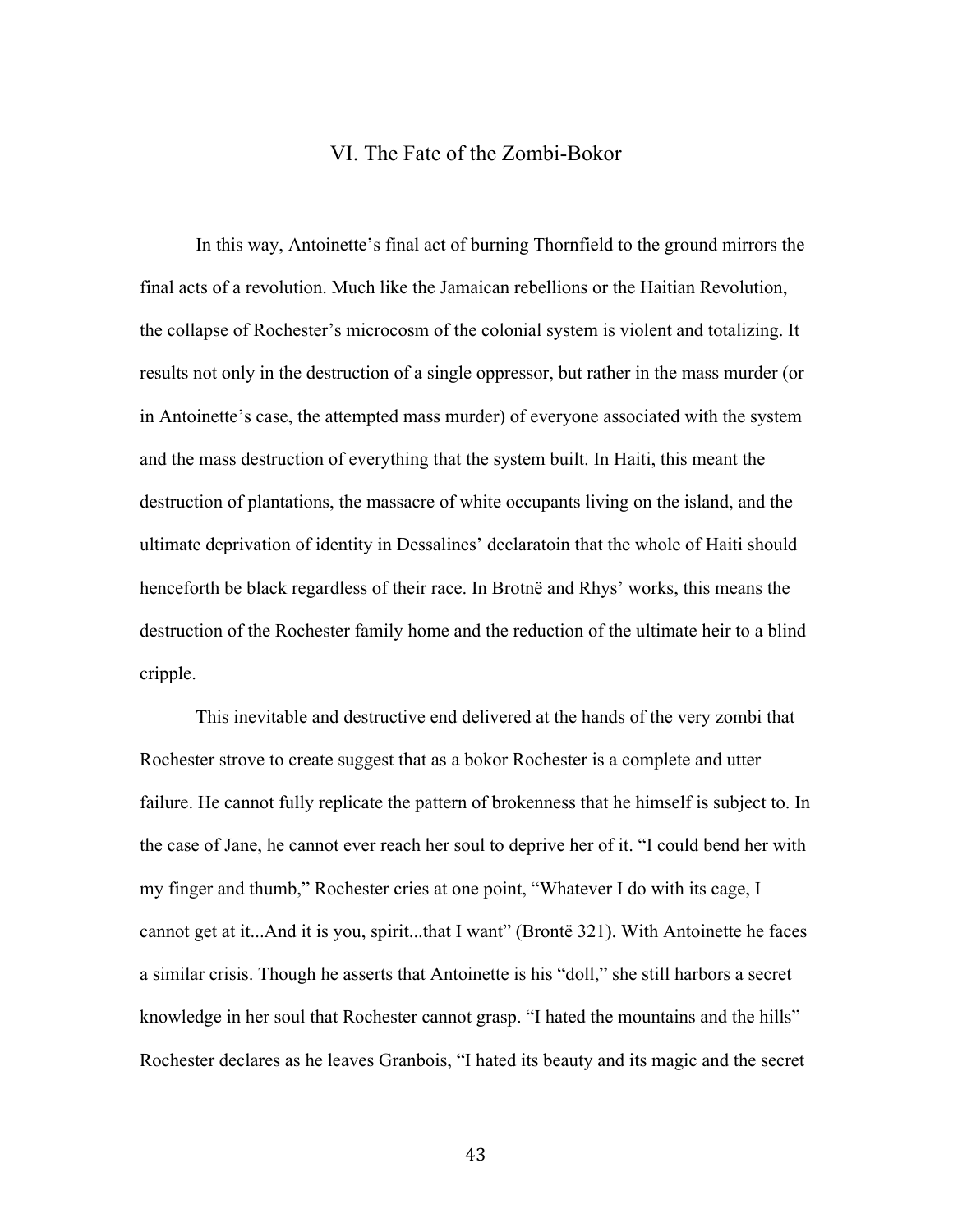### VI. The Fate of the Zombi-Bokor

In this way, Antoinette's final act of burning Thornfield to the ground mirrors the final acts of a revolution. Much like the Jamaican rebellions or the Haitian Revolution, the collapse of Rochester's microcosm of the colonial system is violent and totalizing. It results not only in the destruction of a single oppressor, but rather in the mass murder (or in Antoinette's case, the attempted mass murder) of everyone associated with the system and the mass destruction of everything that the system built. In Haiti, this meant the destruction of plantations, the massacre of white occupants living on the island, and the ultimate deprivation of identity in Dessalines' declaratoin that the whole of Haiti should henceforth be black regardless of their race. In Brotnë and Rhys' works, this means the destruction of the Rochester family home and the reduction of the ultimate heir to a blind cripple.

This inevitable and destructive end delivered at the hands of the very zombi that Rochester strove to create suggest that as a bokor Rochester is a complete and utter failure. He cannot fully replicate the pattern of brokenness that he himself is subject to. In the case of Jane, he cannot ever reach her soul to deprive her of it. "I could bend her with my finger and thumb," Rochester cries at one point, "Whatever I do with its cage, I cannot get at it...And it is you, spirit...that I want" (Brontë 321). With Antoinette he faces a similar crisis. Though he asserts that Antoinette is his "doll," she still harbors a secret knowledge in her soul that Rochester cannot grasp. "I hated the mountains and the hills" Rochester declares as he leaves Granbois, "I hated its beauty and its magic and the secret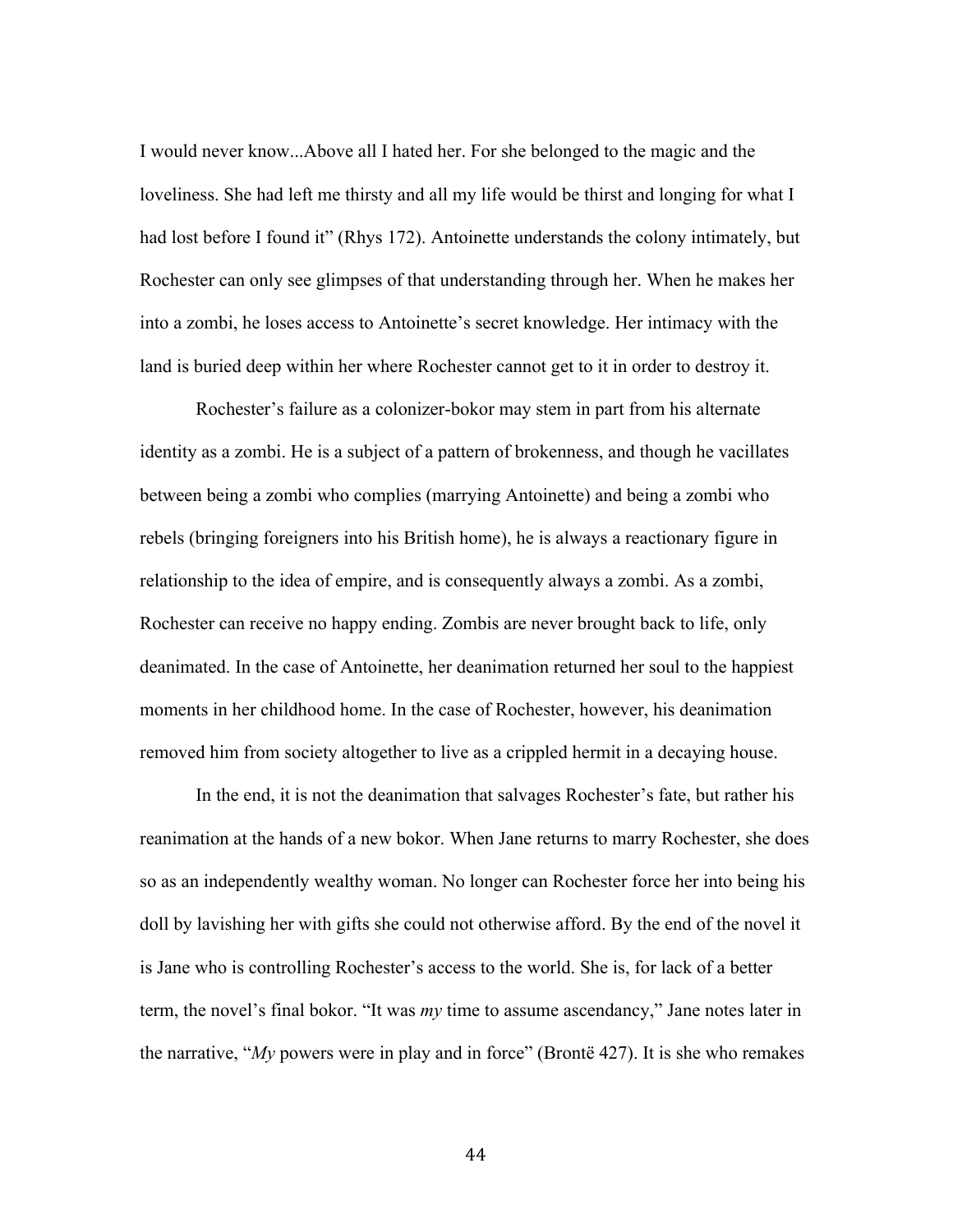I would never know...Above all I hated her. For she belonged to the magic and the loveliness. She had left me thirsty and all my life would be thirst and longing for what I had lost before I found it" (Rhys 172). Antoinette understands the colony intimately, but Rochester can only see glimpses of that understanding through her. When he makes her into a zombi, he loses access to Antoinette's secret knowledge. Her intimacy with the land is buried deep within her where Rochester cannot get to it in order to destroy it.

Rochester's failure as a colonizer-bokor may stem in part from his alternate identity as a zombi. He is a subject of a pattern of brokenness, and though he vacillates between being a zombi who complies (marrying Antoinette) and being a zombi who rebels (bringing foreigners into his British home), he is always a reactionary figure in relationship to the idea of empire, and is consequently always a zombi. As a zombi, Rochester can receive no happy ending. Zombis are never brought back to life, only deanimated. In the case of Antoinette, her deanimation returned her soul to the happiest moments in her childhood home. In the case of Rochester, however, his deanimation removed him from society altogether to live as a crippled hermit in a decaying house.

In the end, it is not the deanimation that salvages Rochester's fate, but rather his reanimation at the hands of a new bokor. When Jane returns to marry Rochester, she does so as an independently wealthy woman. No longer can Rochester force her into being his doll by lavishing her with gifts she could not otherwise afford. By the end of the novel it is Jane who is controlling Rochester's access to the world. She is, for lack of a better term, the novel's final bokor. "It was *my* time to assume ascendancy," Jane notes later in the narrative, "*My* powers were in play and in force" (Brontë 427). It is she who remakes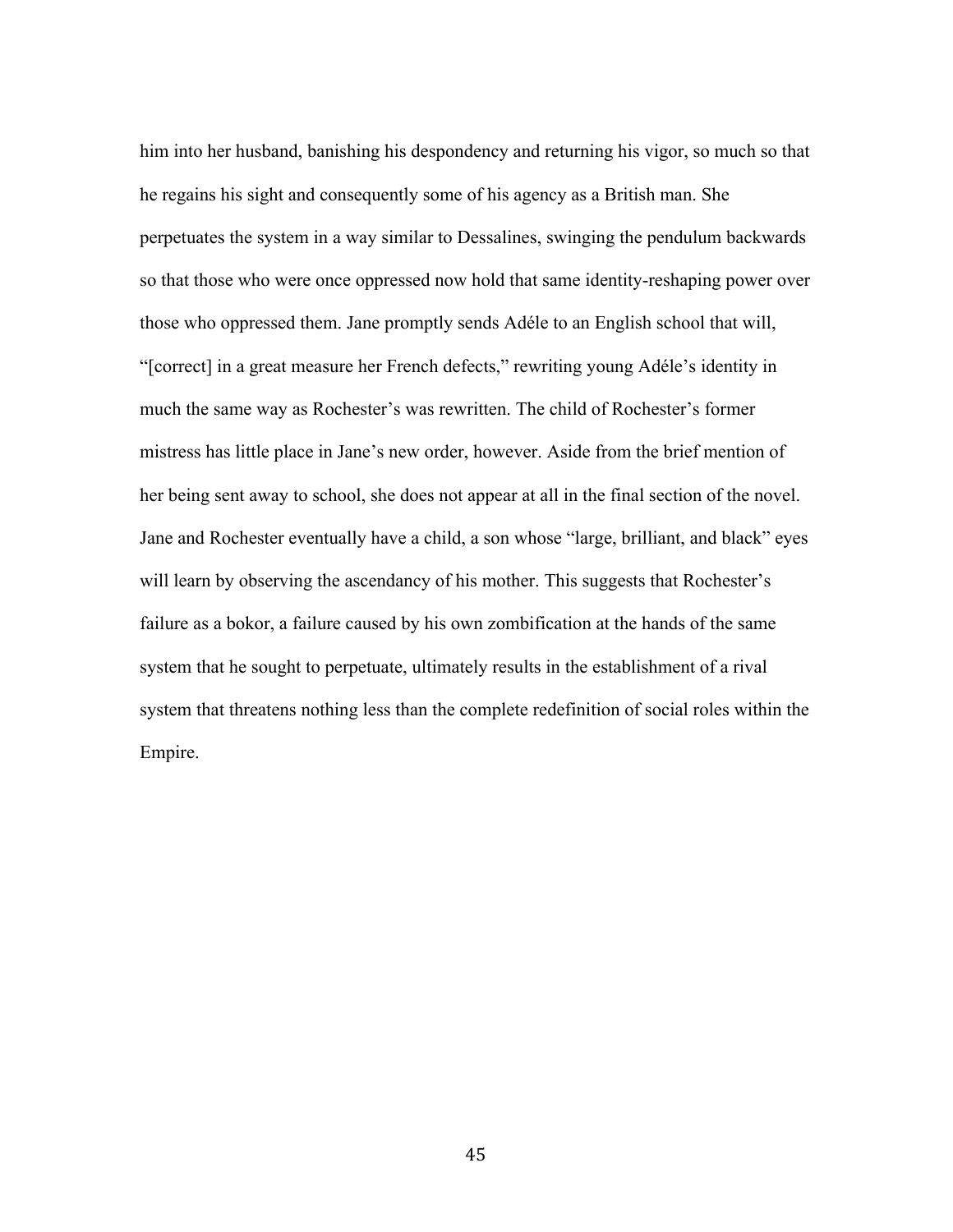him into her husband, banishing his despondency and returning his vigor, so much so that he regains his sight and consequently some of his agency as a British man. She perpetuates the system in a way similar to Dessalines, swinging the pendulum backwards so that those who were once oppressed now hold that same identity-reshaping power over those who oppressed them. Jane promptly sends Adéle to an English school that will, "[correct] in a great measure her French defects," rewriting young Adéle's identity in much the same way as Rochester's was rewritten. The child of Rochester's former mistress has little place in Jane's new order, however. Aside from the brief mention of her being sent away to school, she does not appear at all in the final section of the novel. Jane and Rochester eventually have a child, a son whose "large, brilliant, and black" eyes will learn by observing the ascendancy of his mother. This suggests that Rochester's failure as a bokor, a failure caused by his own zombification at the hands of the same system that he sought to perpetuate, ultimately results in the establishment of a rival system that threatens nothing less than the complete redefinition of social roles within the Empire.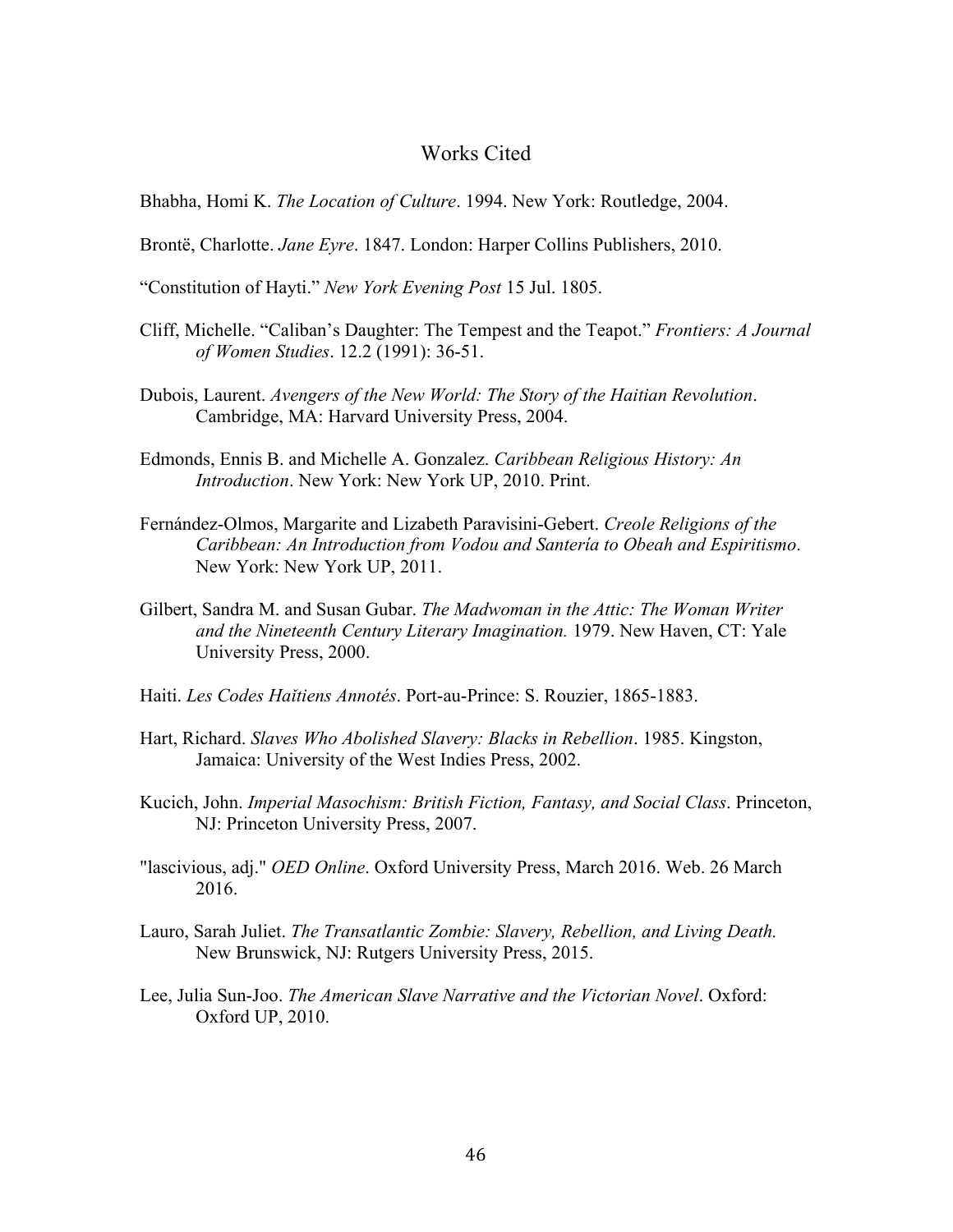### Works Cited

Bhabha, Homi K. *The Location of Culture*. 1994. New York: Routledge, 2004.

- Brontë, Charlotte. *Jane Eyre*. 1847. London: Harper Collins Publishers, 2010.
- "Constitution of Hayti." *New York Evening Post* 15 Jul. 1805.
- Cliff, Michelle. "Caliban's Daughter: The Tempest and the Teapot." *Frontiers: A Journal of Women Studies*. 12.2 (1991): 36-51.
- Dubois, Laurent. *Avengers of the New World: The Story of the Haitian Revolution*. Cambridge, MA: Harvard University Press, 2004.
- Edmonds, Ennis B. and Michelle A. Gonzalez. *Caribbean Religious History: An Introduction*. New York: New York UP, 2010. Print.
- Fernández-Olmos, Margarite and Lizabeth Paravisini-Gebert. *Creole Religions of the Caribbean: An Introduction from Vodou and Santería to Obeah and Espiritismo*. New York: New York UP, 2011.
- Gilbert, Sandra M. and Susan Gubar. *The Madwoman in the Attic: The Woman Writer and the Nineteenth Century Literary Imagination.* 1979. New Haven, CT: Yale University Press, 2000.
- Haiti. *Les Codes Haǐtiens Annotés*. Port-au-Prince: S. Rouzier, 1865-1883.
- Hart, Richard. *Slaves Who Abolished Slavery: Blacks in Rebellion*. 1985. Kingston, Jamaica: University of the West Indies Press, 2002.
- Kucich, John. *Imperial Masochism: British Fiction, Fantasy, and Social Class*. Princeton, NJ: Princeton University Press, 2007.
- "lascivious, adj." *OED Online*. Oxford University Press, March 2016. Web. 26 March 2016.
- Lauro, Sarah Juliet. *The Transatlantic Zombie: Slavery, Rebellion, and Living Death.*  New Brunswick, NJ: Rutgers University Press, 2015.
- Lee, Julia Sun-Joo. *The American Slave Narrative and the Victorian Novel*. Oxford: Oxford UP, 2010.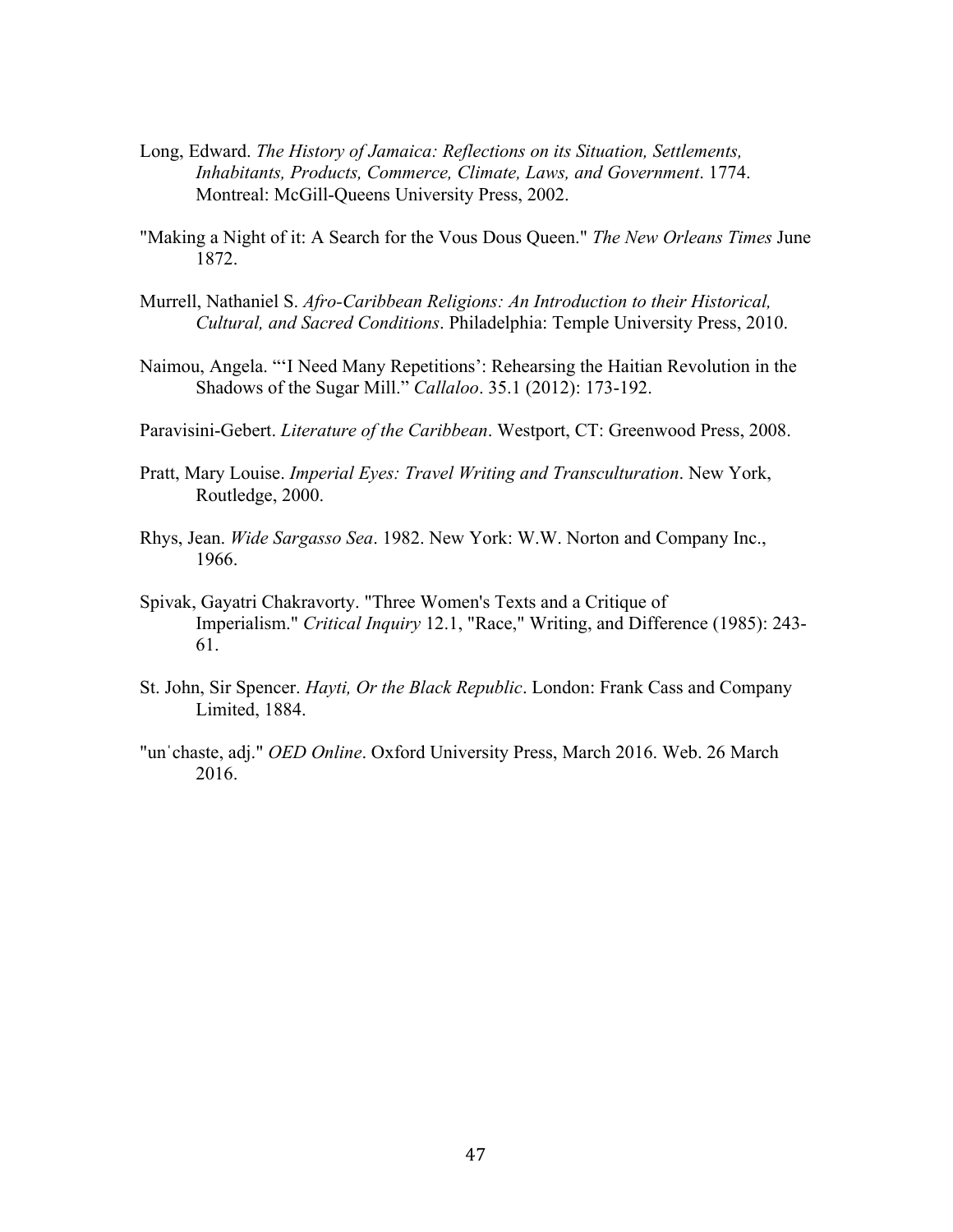- Long, Edward. *The History of Jamaica: Reflections on its Situation, Settlements, Inhabitants, Products, Commerce, Climate, Laws, and Government*. 1774. Montreal: McGill-Queens University Press, 2002.
- "Making a Night of it: A Search for the Vous Dous Queen." *The New Orleans Times* June 1872.
- Murrell, Nathaniel S. *Afro-Caribbean Religions: An Introduction to their Historical, Cultural, and Sacred Conditions*. Philadelphia: Temple University Press, 2010.
- Naimou, Angela. "'I Need Many Repetitions': Rehearsing the Haitian Revolution in the Shadows of the Sugar Mill." *Callaloo*. 35.1 (2012): 173-192.
- Paravisini-Gebert. *Literature of the Caribbean*. Westport, CT: Greenwood Press, 2008.
- Pratt, Mary Louise. *Imperial Eyes: Travel Writing and Transculturation*. New York, Routledge, 2000.
- Rhys, Jean. *Wide Sargasso Sea*. 1982. New York: W.W. Norton and Company Inc., 1966.
- Spivak, Gayatri Chakravorty. "Three Women's Texts and a Critique of Imperialism." *Critical Inquiry* 12.1, "Race," Writing, and Difference (1985): 243- 61.
- St. John, Sir Spencer. *Hayti, Or the Black Republic*. London: Frank Cass and Company Limited, 1884.
- "unˈchaste, adj." *OED Online*. Oxford University Press, March 2016. Web. 26 March 2016.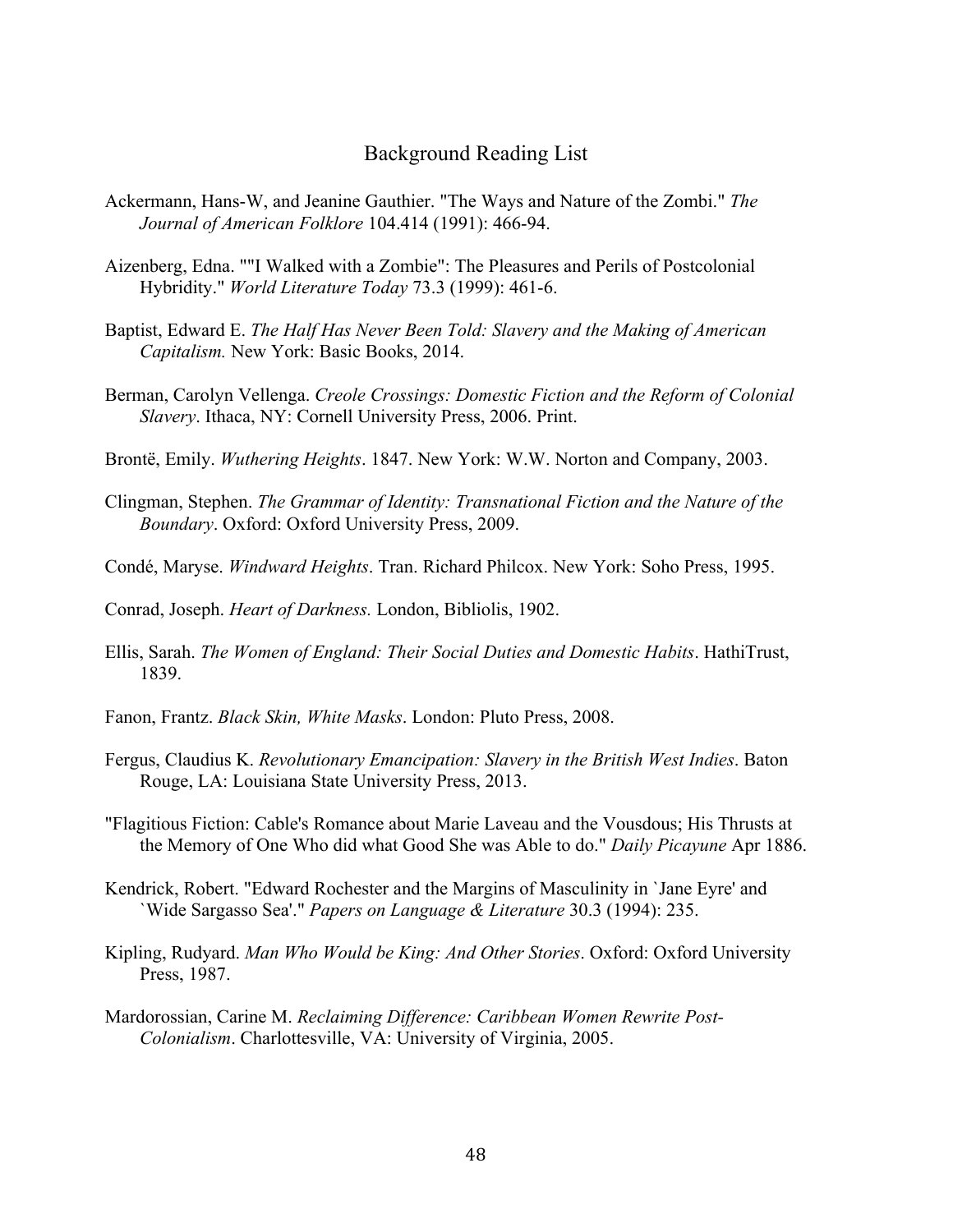### Background Reading List

- Ackermann, Hans-W, and Jeanine Gauthier. "The Ways and Nature of the Zombi." *The Journal of American Folklore* 104.414 (1991): 466-94.
- Aizenberg, Edna. ""I Walked with a Zombie": The Pleasures and Perils of Postcolonial Hybridity." *World Literature Today* 73.3 (1999): 461-6.
- Baptist, Edward E. *The Half Has Never Been Told: Slavery and the Making of American Capitalism.* New York: Basic Books, 2014.
- Berman, Carolyn Vellenga. *Creole Crossings: Domestic Fiction and the Reform of Colonial Slavery*. Ithaca, NY: Cornell University Press, 2006. Print.
- Brontë, Emily. *Wuthering Heights*. 1847. New York: W.W. Norton and Company, 2003.
- Clingman, Stephen. *The Grammar of Identity: Transnational Fiction and the Nature of the Boundary*. Oxford: Oxford University Press, 2009.
- Condé, Maryse. *Windward Heights*. Tran. Richard Philcox. New York: Soho Press, 1995.
- Conrad, Joseph. *Heart of Darkness.* London, Bibliolis, 1902.
- Ellis, Sarah. *The Women of England: Their Social Duties and Domestic Habits*. HathiTrust, 1839.
- Fanon, Frantz. *Black Skin, White Masks*. London: Pluto Press, 2008.
- Fergus, Claudius K. *Revolutionary Emancipation: Slavery in the British West Indies*. Baton Rouge, LA: Louisiana State University Press, 2013.
- "Flagitious Fiction: Cable's Romance about Marie Laveau and the Vousdous; His Thrusts at the Memory of One Who did what Good She was Able to do." *Daily Picayune* Apr 1886.
- Kendrick, Robert. "Edward Rochester and the Margins of Masculinity in `Jane Eyre' and `Wide Sargasso Sea'." *Papers on Language & Literature* 30.3 (1994): 235.
- Kipling, Rudyard. *Man Who Would be King: And Other Stories*. Oxford: Oxford University Press, 1987.
- Mardorossian, Carine M. *Reclaiming Difference: Caribbean Women Rewrite Post-Colonialism*. Charlottesville, VA: University of Virginia, 2005.